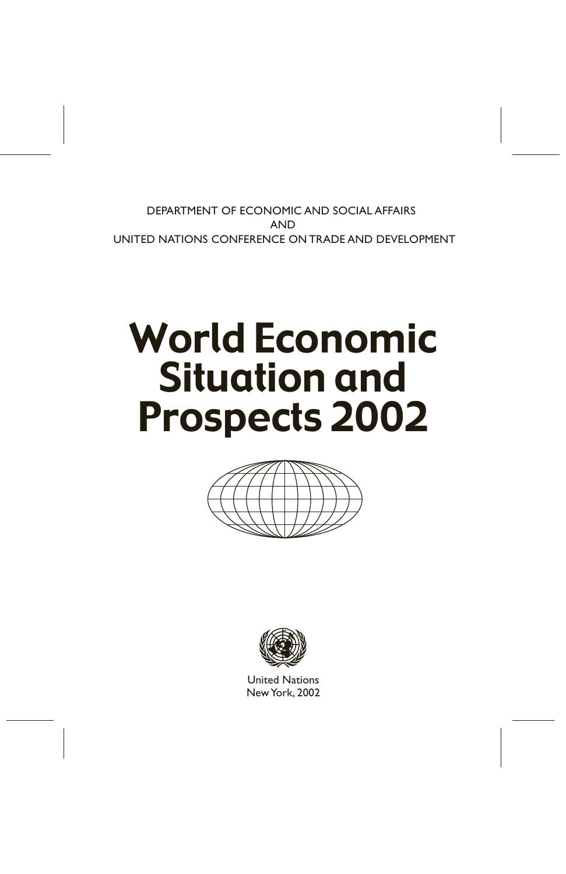DEPARTMENT OF ECONOMIC AND SOCIAL AFFAIRS AND UNITED NATIONS CONFERENCE ON TRADE AND DEVELOPMENT

# World Economic Situation and Prospects 2002





United Nations NewYork, 2002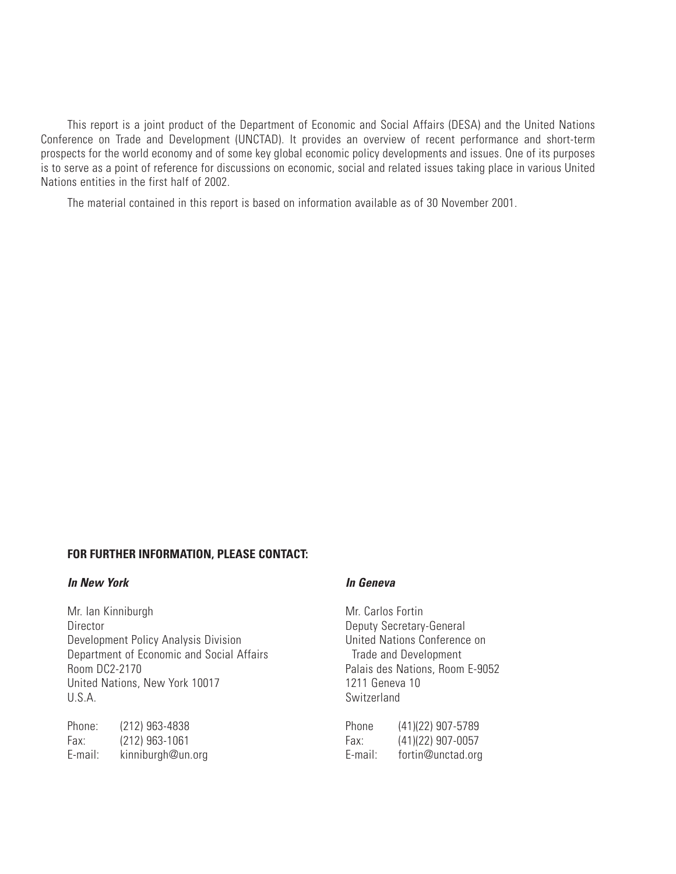This report is a joint product of the Department of Economic and Social Affairs (DESA) and the United Nations Conference on Trade and Development (UNCTAD). It provides an overview of recent performance and short-term prospects for the world economy and of some key global economic policy developments and issues. One of its purposes is to serve as a point of reference for discussions on economic, social and related issues taking place in various United Nations entities in the first half of 2002.

The material contained in this report is based on information available as of 30 November 2001.

# **FOR FURTHER INFORMATION, PLEASE CONTACT:**

# **In New York In Geneva**

Mr. Ian Kinniburgh Mr. Carlos Fortin Director Deputy Secretary-General Development Policy Analysis Division **Example 20 United Nations Conference on** Department of Economic and Social Affairs<br>
Room DC2-2170<br>
Palais des Nations, Room United Nations, New York 10017 1211 Geneva 10 U.S.A. Switzerland

| Phone:  | (212) 963-4838    | Phone   | (41)(22) 907-5789 |
|---------|-------------------|---------|-------------------|
| Fax:    | (212) 963-1061    | Fax:    | (41)(22) 907-0057 |
| E-mail: | kinniburgh@un.org | E-mail: | fortin@unctad.org |

Palais des Nations, Room E-9052

| Phone   | (41)(22) 907-5789 |
|---------|-------------------|
| Fax:    | (41)(22) 907-0057 |
| E-mail: | fortin@unctad.org |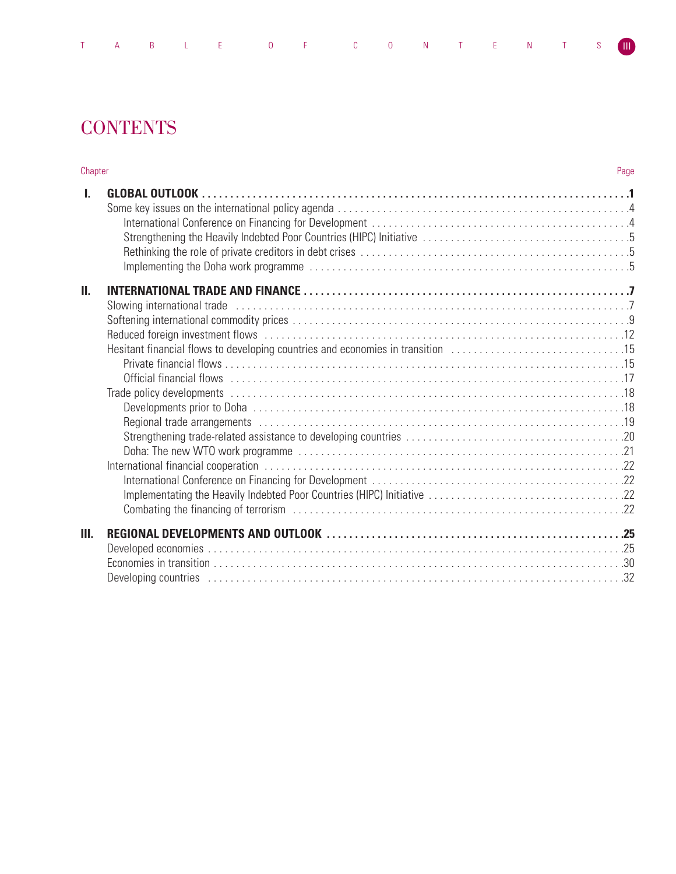| TABLE OF CONTENTS (III) |  |  |  |
|-------------------------|--|--|--|
|-------------------------|--|--|--|

# **CONTENTS**

| Chapter      |                                                                                 | Page |
|--------------|---------------------------------------------------------------------------------|------|
| $\mathbf{L}$ |                                                                                 |      |
| П.           | Hesitant financial flows to developing countries and economies in transition 15 |      |
| Ш.           |                                                                                 |      |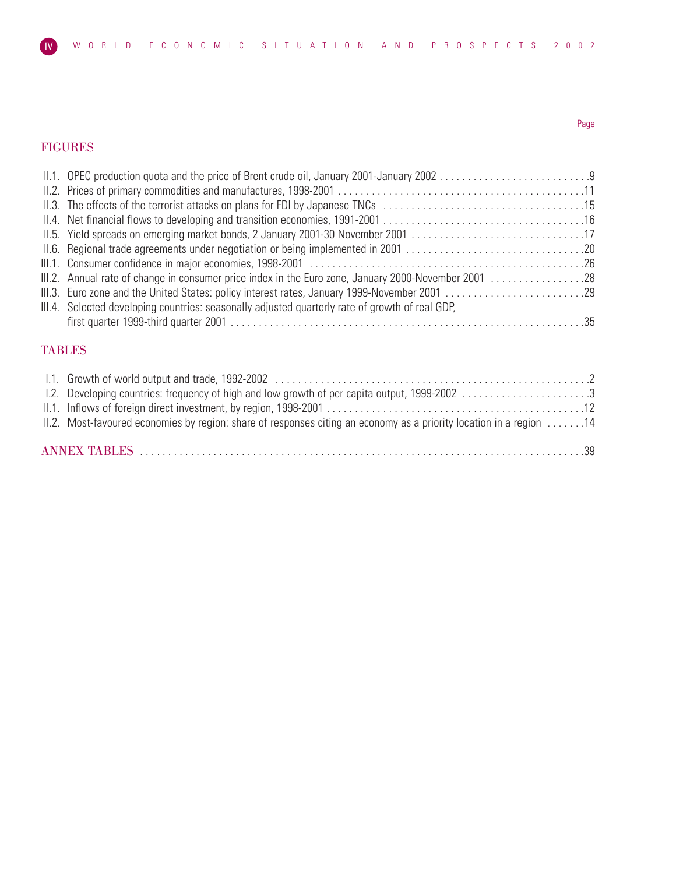# FIGURES

| 1. OPEC production quota and the price of Brent crude oil, January 2001-January 2002                 |  |
|------------------------------------------------------------------------------------------------------|--|
|                                                                                                      |  |
|                                                                                                      |  |
|                                                                                                      |  |
|                                                                                                      |  |
|                                                                                                      |  |
|                                                                                                      |  |
| III.2. Annual rate of change in consumer price index in the Euro zone, January 2000-November 2001 28 |  |
|                                                                                                      |  |
| III.4. Selected developing countries: seasonally adjusted quarterly rate of growth of real GDP,      |  |
|                                                                                                      |  |
|                                                                                                      |  |

# TABLES

| 1.2. Developing countries: frequency of high and low growth of per capita output, 1999-2002 3                       |  |
|---------------------------------------------------------------------------------------------------------------------|--|
|                                                                                                                     |  |
| II.2. Most-favoured economies by region: share of responses citing an economy as a priority location in a region 14 |  |
|                                                                                                                     |  |
|                                                                                                                     |  |

# Page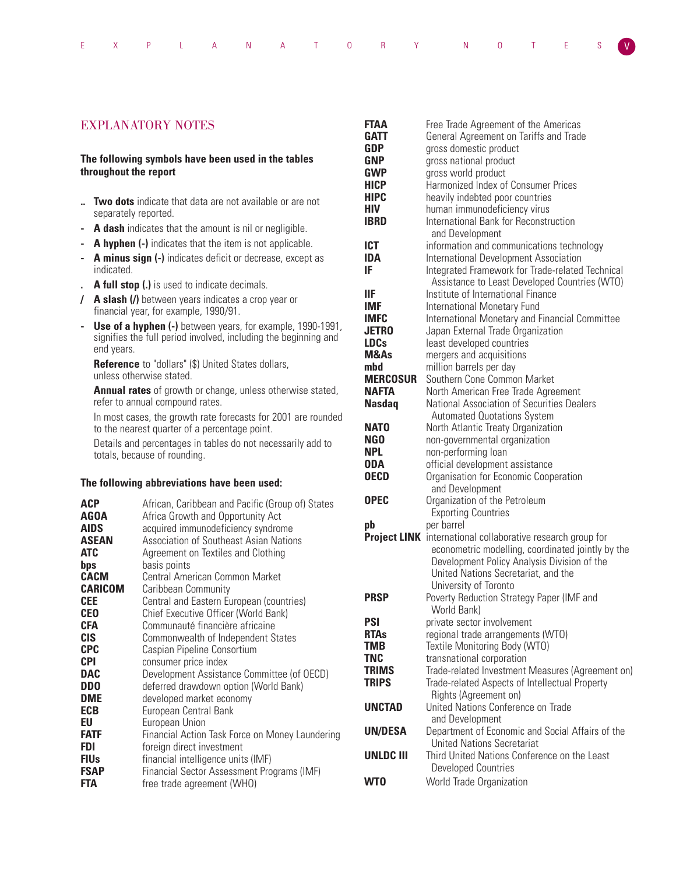|  |  | EXPLANATORY NOTES <mark>V</mark> |  |  |  |  |  |  |  |  |  |  |  |  |  |
|--|--|----------------------------------|--|--|--|--|--|--|--|--|--|--|--|--|--|
|--|--|----------------------------------|--|--|--|--|--|--|--|--|--|--|--|--|--|

# EXPLANATORY NOTES

# **The following symbols have been used in the tables throughout the report**

- **.. Two dots** indicate that data are not available or are not separately reported.
- **A dash** indicates that the amount is nil or negligible.
- **A hyphen (-)** indicates that the item is not applicable.
- **A minus sign (-)** indicates deficit or decrease, except as indicated.
- **. A full stop (.)** is used to indicate decimals.
- **/ A slash (/)** between years indicates a crop year or financial year, for example, 1990/91.
- **Use of a hyphen (-)** between years, for example, 1990-1991, signifies the full period involved, including the beginning and end years.

**Reference** to "dollars" (\$) United States dollars, unless otherwise stated.

**Annual rates** of growth or change, unless otherwise stated, refer to annual compound rates.

In most cases, the growth rate forecasts for 2001 are rounded to the nearest quarter of a percentage point.

Details and percentages in tables do not necessarily add to totals, because of rounding.

# **The following abbreviations have been used:**

| <b>ACP</b>     | African, Caribbean and Pacific (Group of) States |
|----------------|--------------------------------------------------|
| <b>AGOA</b>    | Africa Growth and Opportunity Act                |
| <b>AIDS</b>    | acquired immunodeficiency syndrome               |
| <b>ASEAN</b>   | Association of Southeast Asian Nations           |
| <b>ATC</b>     | Agreement on Textiles and Clothing               |
| bps            | basis points                                     |
| <b>CACM</b>    | Central American Common Market                   |
| <b>CARICOM</b> | Caribbean Community                              |
| <b>CEE</b>     | Central and Eastern European (countries)         |
| <b>CEO</b>     | Chief Executive Officer (World Bank)             |
| <b>CFA</b>     | Communauté financière africaine                  |
| CIS.           | Commonwealth of Independent States               |
| <b>CPC</b>     | Caspian Pipeline Consortium                      |
| CPI            | consumer price index                             |
| <b>DAC</b>     | Development Assistance Committee (of OECD)       |
| <b>DDO</b>     | deferred drawdown option (World Bank)            |
| <b>DME</b>     | developed market economy                         |
| <b>ECB</b>     | European Central Bank                            |
| EU             | European Union                                   |
| <b>FATF</b>    | Financial Action Task Force on Money Laundering  |
| FDI            | foreign direct investment                        |
| <b>FIUs</b>    | financial intelligence units (IMF)               |
| <b>FSAP</b>    | Financial Sector Assessment Programs (IMF)       |
| FTA            | free trade agreement (WHO)                       |

| FTAA             | Free Trade Agreement of the Americas                        |
|------------------|-------------------------------------------------------------|
| GATT             | General Agreement on Tariffs and Trade                      |
| <b>GDP</b>       | gross domestic product                                      |
| <b>GNP</b>       | gross national product                                      |
| <b>GWP</b>       | gross world product                                         |
| <b>HICP</b>      | Harmonized Index of Consumer Prices                         |
| <b>HIPC</b>      | heavily indebted poor countries                             |
| HIV              | human immunodeficiency virus                                |
| IBRD             | International Bank for Reconstruction                       |
|                  | and Development                                             |
| <b>ICT</b>       | information and communications technology                   |
| <b>IDA</b>       | International Development Association                       |
| IF               | Integrated Framework for Trade-related Technical            |
|                  | Assistance to Least Developed Countries (WTO)               |
| ШF               | Institute of International Finance                          |
|                  |                                                             |
| <b>IMF</b>       | International Monetary Fund                                 |
| <b>IMFC</b>      | International Monetary and Financial Committee              |
| <b>JETRO</b>     | Japan External Trade Organization                           |
| <b>LDCs</b>      | least developed countries                                   |
| M&As             | mergers and acquisitions                                    |
| mbd              | million barrels per day                                     |
| <b>MERCOSUR</b>  | Southern Cone Common Market                                 |
| <b>NAFTA</b>     | North American Free Trade Agreement                         |
| <b>Nasdaq</b>    | <b>National Association of Securities Dealers</b>           |
|                  | <b>Automated Quotations System</b>                          |
| <b>NATO</b>      | North Atlantic Treaty Organization                          |
| NG <sub>0</sub>  | non-governmental organization                               |
| <b>NPL</b>       | non-performing loan                                         |
| <b>ODA</b>       | official development assistance                             |
| <b>OECD</b>      | Organisation for Economic Cooperation                       |
|                  | and Development                                             |
| <b>OPEC</b>      | Organization of the Petroleum                               |
|                  | <b>Exporting Countries</b>                                  |
| pb               | per barrel                                                  |
|                  | Project LINK international collaborative research group for |
|                  | econometric modelling, coordinated jointly by the           |
|                  | Development Policy Analysis Division of the                 |
|                  | United Nations Secretariat, and the                         |
|                  | University of Toronto                                       |
| <b>PRSP</b>      | Poverty Reduction Strategy Paper (IMF and                   |
|                  | World Bank)                                                 |
| <b>PSI</b>       | private sector involvement                                  |
| <b>RTAs</b>      | regional trade arrangements (WTO)                           |
| <b>TMB</b>       | Textile Monitoring Body (WTO)                               |
| <b>TNC</b>       | transnational corporation                                   |
| <b>TRIMS</b>     | Trade-related Investment Measures (Agreement on)            |
| <b>TRIPS</b>     | Trade-related Aspects of Intellectual Property              |
|                  | Rights (Agreement on)                                       |
| <b>UNCTAD</b>    | United Nations Conference on Trade                          |
|                  | and Development                                             |
| <b>UN/DESA</b>   | Department of Economic and Social Affairs of the            |
|                  | <b>United Nations Secretariat</b>                           |
| <b>UNLDC III</b> | Third United Nations Conference on the Least                |
|                  | <b>Developed Countries</b>                                  |
| WT <sub>0</sub>  | World Trade Organization                                    |
|                  |                                                             |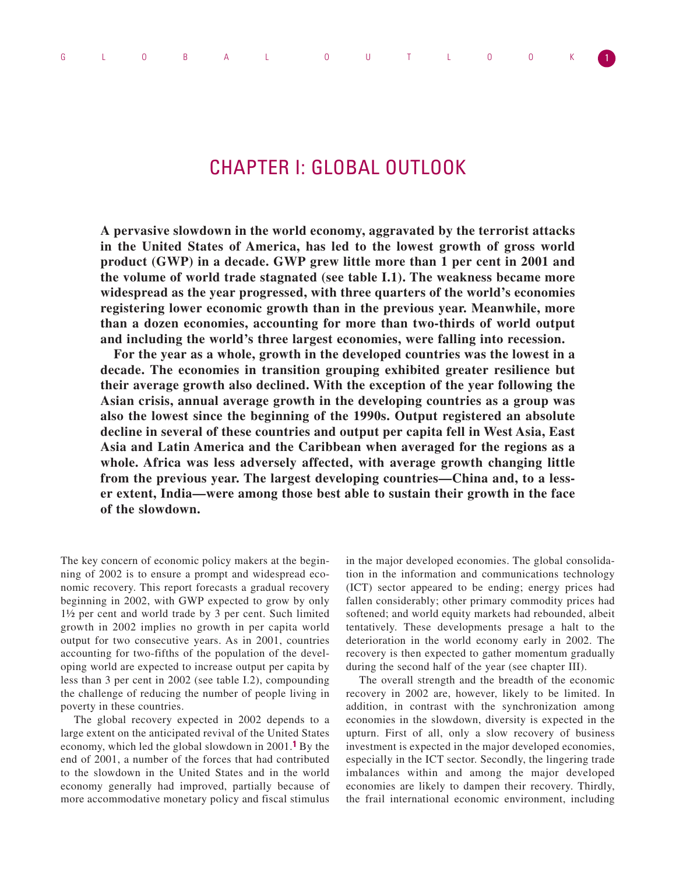# CHAPTER I: GLOBAL OUTLOOK

**A pervasive slowdown in the world economy, aggravated by the terrorist attacks in the United States of America, has led to the lowest growth of gross world product (GWP) in a decade. GWP grew little more than 1 per cent in 2001 and the volume of world trade stagnated (see table I.1). The weakness became more widespread as the year progressed, with three quarters of the world's economies registering lower economic growth than in the previous year. Meanwhile, more than a dozen economies, accounting for more than two-thirds of world output and including the world's three largest economies, were falling into recession.** 

**For the year as a whole, growth in the developed countries was the lowest in a decade. The economies in transition grouping exhibited greater resilience but their average growth also declined. With the exception of the year following the Asian crisis, annual average growth in the developing countries as a group was also the lowest since the beginning of the 1990s. Output registered an absolute decline in several of these countries and output per capita fell in West Asia, East Asia and Latin America and the Caribbean when averaged for the regions as a whole. Africa was less adversely affected, with average growth changing little from the previous year. The largest developing countries—China and, to a lesser extent, India—were among those best able to sustain their growth in the face of the slowdown.**

The key concern of economic policy makers at the beginning of 2002 is to ensure a prompt and widespread economic recovery. This report forecasts a gradual recovery beginning in 2002, with GWP expected to grow by only 1½ per cent and world trade by 3 per cent. Such limited growth in 2002 implies no growth in per capita world output for two consecutive years. As in 2001, countries accounting for two-fifths of the population of the developing world are expected to increase output per capita by less than 3 per cent in 2002 (see table I.2), compounding the challenge of reducing the number of people living in poverty in these countries.

The global recovery expected in 2002 depends to a large extent on the anticipated revival of the United States economy, which led the global slowdown in 2001.**1** By the end of 2001, a number of the forces that had contributed to the slowdown in the United States and in the world economy generally had improved, partially because of more accommodative monetary policy and fiscal stimulus

in the major developed economies. The global consolidation in the information and communications technology (ICT) sector appeared to be ending; energy prices had fallen considerably; other primary commodity prices had softened; and world equity markets had rebounded, albeit tentatively. These developments presage a halt to the deterioration in the world economy early in 2002. The recovery is then expected to gather momentum gradually during the second half of the year (see chapter III).

The overall strength and the breadth of the economic recovery in 2002 are, however, likely to be limited. In addition, in contrast with the synchronization among economies in the slowdown, diversity is expected in the upturn. First of all, only a slow recovery of business investment is expected in the major developed economies, especially in the ICT sector. Secondly, the lingering trade imbalances within and among the major developed economies are likely to dampen their recovery. Thirdly, the frail international economic environment, including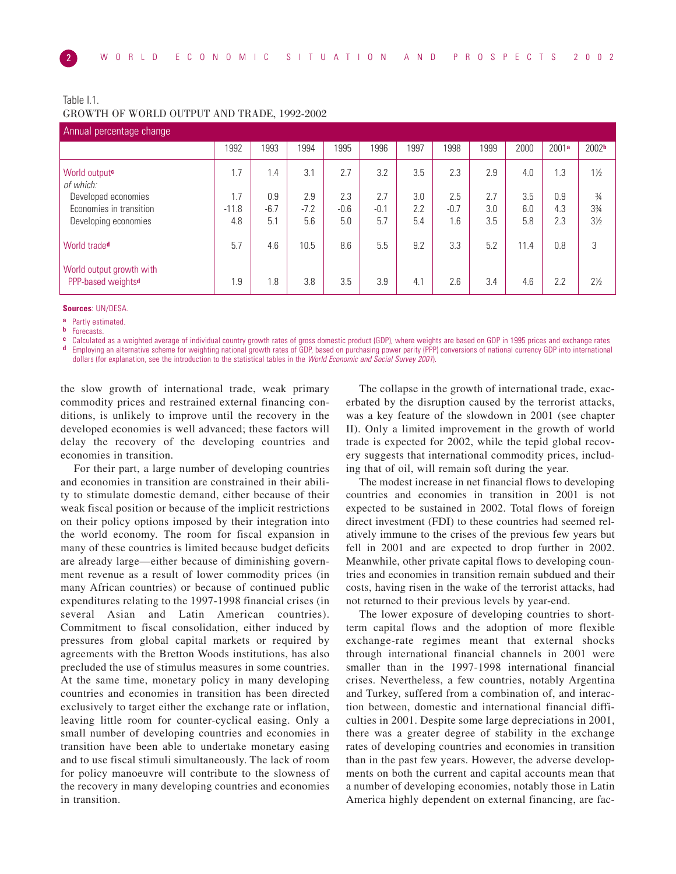# Table I.1. GROWTH OF WORLD OUTPUT AND TRADE, 1992-2002

| Annual percentage change                                   |         |        |        |        |        |      |        |      |      |       |                   |  |  |
|------------------------------------------------------------|---------|--------|--------|--------|--------|------|--------|------|------|-------|-------------------|--|--|
|                                                            | 1992    | 1993   | 1994   | 1995   | 1996   | 1997 | 1998   | 1999 | 2000 | 2001a | 2002 <sub>b</sub> |  |  |
| World output <sup>c</sup><br>of which:                     | 1.7     | 1.4    | 3.1    | 2.7    | 3.2    | 3.5  | 2.3    | 2.9  | 4.0  | 1.3   | $1\frac{1}{2}$    |  |  |
| Developed economies                                        | 1.7     | 0.9    | 2.9    | 2.3    | 2.7    | 3.0  | 2.5    | 2.7  | 3.5  | 0.9   | $\frac{3}{4}$     |  |  |
| Economies in transition                                    | $-11.8$ | $-6.7$ | $-7.2$ | $-0.6$ | $-0.1$ | 2.2  | $-0.7$ | 3.0  | 6.0  | 4.3   | 33⁄4              |  |  |
| Developing economies                                       | 4.8     | 5.1    | 5.6    | 5.0    | 5.7    | 5.4  | 1.6    | 3.5  | 5.8  | 2.3   | $3\frac{1}{2}$    |  |  |
| World trade <sup>d</sup>                                   | 5.7     | 4.6    | 10.5   | 8.6    | 5.5    | 9.2  | 3.3    | 5.2  | 11.4 | 0.8   | 3                 |  |  |
| World output growth with<br>PPP-based weights <sup>d</sup> | 1.9     | 1.8    | 3.8    | 3.5    | 3.9    | 4.1  | 2.6    | 3.4  | 4.6  | 2.2   | $2\frac{1}{2}$    |  |  |

**Sources**: UN/DESA.

**a** Partly estimated.

**b** Forecasts.

**c** Calculated as a weighted average of individual country growth rates of gross domestic product (GDP), where weights are based on GDP in 1995 prices and exchange rates of  $\mathbf{d}$ , Employing an alternative scheme for wei **d** Employing an alternative scheme for weighting national growth rates of GDP, based on purchasing power parity (PPP) conversions of national currency GDP into international dollars (for explanation, see the introduction to the statistical tables in the World Economic and Social Survey 2001).

the slow growth of international trade, weak primary commodity prices and restrained external financing conditions, is unlikely to improve until the recovery in the developed economies is well advanced; these factors will delay the recovery of the developing countries and economies in transition.

For their part, a large number of developing countries and economies in transition are constrained in their ability to stimulate domestic demand, either because of their weak fiscal position or because of the implicit restrictions on their policy options imposed by their integration into the world economy. The room for fiscal expansion in many of these countries is limited because budget deficits are already large—either because of diminishing government revenue as a result of lower commodity prices (in many African countries) or because of continued public expenditures relating to the 1997-1998 financial crises (in several Asian and Latin American countries). Commitment to fiscal consolidation, either induced by pressures from global capital markets or required by agreements with the Bretton Woods institutions, has also precluded the use of stimulus measures in some countries. At the same time, monetary policy in many developing countries and economies in transition has been directed exclusively to target either the exchange rate or inflation, leaving little room for counter-cyclical easing. Only a small number of developing countries and economies in transition have been able to undertake monetary easing and to use fiscal stimuli simultaneously. The lack of room for policy manoeuvre will contribute to the slowness of the recovery in many developing countries and economies in transition.

The collapse in the growth of international trade, exacerbated by the disruption caused by the terrorist attacks, was a key feature of the slowdown in 2001 (see chapter II). Only a limited improvement in the growth of world trade is expected for 2002, while the tepid global recovery suggests that international commodity prices, including that of oil, will remain soft during the year.

The modest increase in net financial flows to developing countries and economies in transition in 2001 is not expected to be sustained in 2002. Total flows of foreign direct investment (FDI) to these countries had seemed relatively immune to the crises of the previous few years but fell in 2001 and are expected to drop further in 2002. Meanwhile, other private capital flows to developing countries and economies in transition remain subdued and their costs, having risen in the wake of the terrorist attacks, had not returned to their previous levels by year-end.

The lower exposure of developing countries to shortterm capital flows and the adoption of more flexible exchange-rate regimes meant that external shocks through international financial channels in 2001 were smaller than in the 1997-1998 international financial crises. Nevertheless, a few countries, notably Argentina and Turkey, suffered from a combination of, and interaction between, domestic and international financial difficulties in 2001. Despite some large depreciations in 2001, there was a greater degree of stability in the exchange rates of developing countries and economies in transition than in the past few years. However, the adverse developments on both the current and capital accounts mean that a number of developing economies, notably those in Latin America highly dependent on external financing, are fac-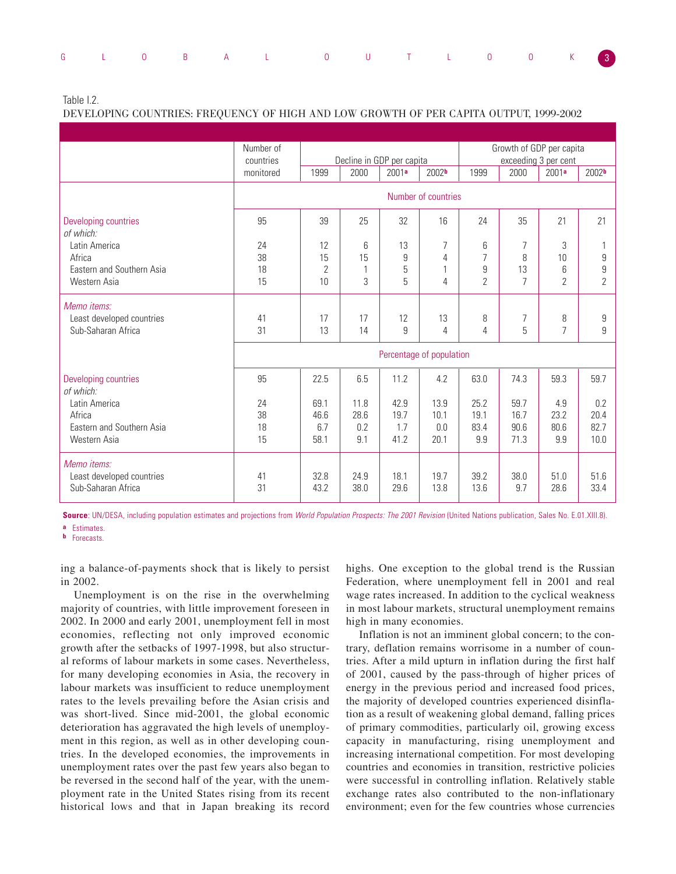|  |  | G L O B A L O U T L O O K 3 |  |  |  |  |
|--|--|-----------------------------|--|--|--|--|
|  |  |                             |  |  |  |  |

Table I.2.

DEVELOPING COUNTRIES: FREQUENCY OF HIGH AND LOW GROWTH OF PER CAPITA OUTPUT, 1999-2002

|                                   | Number of                |              |      |                           | Growth of GDP per capita |                |                |                      |                   |  |
|-----------------------------------|--------------------------|--------------|------|---------------------------|--------------------------|----------------|----------------|----------------------|-------------------|--|
|                                   | countries                |              |      | Decline in GDP per capita |                          |                |                | exceeding 3 per cent |                   |  |
|                                   | monitored                | 1999         | 2000 | 2001a                     | 2002 <sub>b</sub>        | 1999           | 2000           | 2001 <sup>a</sup>    | 2002 <sup>b</sup> |  |
|                                   |                          |              |      |                           | Number of countries      |                |                |                      |                   |  |
| Developing countries<br>of which: | 95                       | 39           | 25   | 32                        | 16                       | 24             | 35             | 21                   | 21                |  |
| Latin America                     | 24                       | 12           | 6    | 13                        | 7                        | 6              | 7              | 3                    |                   |  |
| Africa                            | 38                       | 15           | 15   | 9                         | 4                        | $\overline{7}$ | 8              | 10                   | 9                 |  |
| Eastern and Southern Asia         | 18                       | $\mathbf{2}$ |      | 5                         | 1                        | 9              | 13             | 6                    | 9                 |  |
| Western Asia                      | 15                       | 10           | 3    | 5                         | 4                        | $\overline{2}$ | $\overline{7}$ | $\overline{2}$       | $\overline{2}$    |  |
| Memo items:                       |                          |              |      |                           |                          |                |                |                      |                   |  |
| Least developed countries         | 41                       | 17           | 17   | 12                        | 13                       | 8              | 7              | 8                    | 9                 |  |
| Sub-Saharan Africa                | 31                       | 13           | 14   | 9                         | 4                        | $\overline{4}$ | 5              | $\overline{7}$       | 9                 |  |
|                                   | Percentage of population |              |      |                           |                          |                |                |                      |                   |  |
| Developing countries<br>of which: | 95                       | 22.5         | 6.5  | 11.2                      | 4.2                      | 63.0           | 74.3           | 59.3                 | 59.7              |  |
| Latin America                     | 24                       | 69.1         | 11.8 | 42.9                      | 13.9                     | 25.2           | 59.7           | 4.9                  | 0.2               |  |
| Africa                            | 38                       | 46.6         | 28.6 | 19.7                      | 10.1                     | 19.1           | 16.7           | 23.2                 | 20.4              |  |
| Eastern and Southern Asia         | 18                       | 6.7          | 0.2  | 1.7                       | 0.0                      | 83.4           | 90.6           | 80.6                 | 82.7              |  |
| Western Asia                      | 15                       | 58.1         | 9.1  | 41.2                      | 20.1                     | 9.9            | 71.3           | 9.9                  | 10.0              |  |
| Memo items:                       |                          |              |      |                           |                          |                |                |                      |                   |  |
| Least developed countries         | 41                       | 32.8         | 24.9 | 18.1                      | 19.7                     | 39.2           | 38.0           | 51.0                 | 51.6              |  |
| Sub-Saharan Africa                | 31                       | 43.2         | 38.0 | 29.6                      | 13.8                     | 13.6           | 9.7            | 28.6                 | 33.4              |  |

**Source**: UN/DESA, including population estimates and projections from World Population Prospects: The 2001 Revision (United Nations publication, Sales No. E.01.XIII.8).

**a** Estimates.

**b** Forecasts.

ing a balance-of-payments shock that is likely to persist in 2002.

Unemployment is on the rise in the overwhelming majority of countries, with little improvement foreseen in 2002. In 2000 and early 2001, unemployment fell in most economies, reflecting not only improved economic growth after the setbacks of 1997-1998, but also structural reforms of labour markets in some cases. Nevertheless, for many developing economies in Asia, the recovery in labour markets was insufficient to reduce unemployment rates to the levels prevailing before the Asian crisis and was short-lived. Since mid-2001, the global economic deterioration has aggravated the high levels of unemployment in this region, as well as in other developing countries. In the developed economies, the improvements in unemployment rates over the past few years also began to be reversed in the second half of the year, with the unemployment rate in the United States rising from its recent historical lows and that in Japan breaking its record

highs. One exception to the global trend is the Russian Federation, where unemployment fell in 2001 and real wage rates increased. In addition to the cyclical weakness in most labour markets, structural unemployment remains high in many economies.

Inflation is not an imminent global concern; to the contrary, deflation remains worrisome in a number of countries. After a mild upturn in inflation during the first half of 2001, caused by the pass-through of higher prices of energy in the previous period and increased food prices, the majority of developed countries experienced disinflation as a result of weakening global demand, falling prices of primary commodities, particularly oil, growing excess capacity in manufacturing, rising unemployment and increasing international competition. For most developing countries and economies in transition, restrictive policies were successful in controlling inflation. Relatively stable exchange rates also contributed to the non-inflationary environment; even for the few countries whose currencies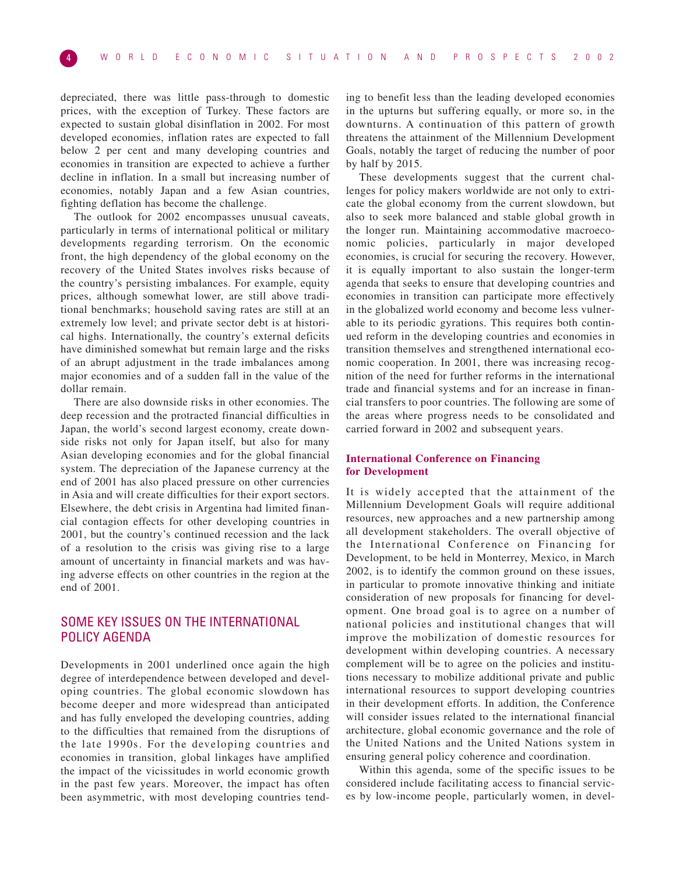depreciated, there was little pass-through to domestic prices, with the exception of Turkey. These factors are expected to sustain global disinflation in 2002. For most developed economies, inflation rates are expected to fall below 2 per cent and many developing countries and economies in transition are expected to achieve a further decline in inflation. In a small but increasing number of economies, notably Japan and a few Asian countries, fighting deflation has become the challenge.

The outlook for 2002 encompasses unusual caveats, particularly in terms of international political or military developments regarding terrorism. On the economic front, the high dependency of the global economy on the recovery of the United States involves risks because of the country's persisting imbalances. For example, equity prices, although somewhat lower, are still above traditional benchmarks; household saving rates are still at an extremely low level; and private sector debt is at historical highs. Internationally, the country's external deficits have diminished somewhat but remain large and the risks of an abrupt adjustment in the trade imbalances among major economies and of a sudden fall in the value of the dollar remain.

There are also downside risks in other economies. The deep recession and the protracted financial difficulties in Japan, the world's second largest economy, create downside risks not only for Japan itself, but also for many Asian developing economies and for the global financial system. The depreciation of the Japanese currency at the end of 2001 has also placed pressure on other currencies in Asia and will create difficulties for their export sectors. Elsewhere, the debt crisis in Argentina had limited financial contagion effects for other developing countries in 2001, but the country's continued recession and the lack of a resolution to the crisis was giving rise to a large amount of uncertainty in financial markets and was having adverse effects on other countries in the region at the end of 2001.

# SOME KEY ISSUES ON THE INTERNATIONAL POLICY AGENDA

Developments in 2001 underlined once again the high degree of interdependence between developed and developing countries. The global economic slowdown has become deeper and more widespread than anticipated and has fully enveloped the developing countries, adding to the difficulties that remained from the disruptions of the late 1990s. For the developing countries and economies in transition, global linkages have amplified the impact of the vicissitudes in world economic growth in the past few years. Moreover, the impact has often been asymmetric, with most developing countries tending to benefit less than the leading developed economies in the upturns but suffering equally, or more so, in the downturns. A continuation of this pattern of growth threatens the attainment of the Millennium Development Goals, notably the target of reducing the number of poor by half by 2015.

These developments suggest that the current challenges for policy makers worldwide are not only to extricate the global economy from the current slowdown, but also to seek more balanced and stable global growth in the longer run. Maintaining accommodative macroeconomic policies, particularly in major developed economies, is crucial for securing the recovery. However, it is equally important to also sustain the longer-term agenda that seeks to ensure that developing countries and economies in transition can participate more effectively in the globalized world economy and become less vulnerable to its periodic gyrations. This requires both continued reform in the developing countries and economies in transition themselves and strengthened international economic cooperation. In 2001, there was increasing recognition of the need for further reforms in the international trade and financial systems and for an increase in financial transfers to poor countries. The following are some of the areas where progress needs to be consolidated and carried forward in 2002 and subsequent years.

# **International Conference on Financing for Development**

It is widely accepted that the attainment of the Millennium Development Goals will require additional resources, new approaches and a new partnership among all development stakeholders. The overall objective of the International Conference on Financing for Development, to be held in Monterrey, Mexico, in March 2002, is to identify the common ground on these issues, in particular to promote innovative thinking and initiate consideration of new proposals for financing for development. One broad goal is to agree on a number of national policies and institutional changes that will improve the mobilization of domestic resources for development within developing countries. A necessary complement will be to agree on the policies and institutions necessary to mobilize additional private and public international resources to support developing countries in their development efforts. In addition, the Conference will consider issues related to the international financial architecture, global economic governance and the role of the United Nations and the United Nations system in ensuring general policy coherence and coordination.

Within this agenda, some of the specific issues to be considered include facilitating access to financial services by low-income people, particularly women, in devel-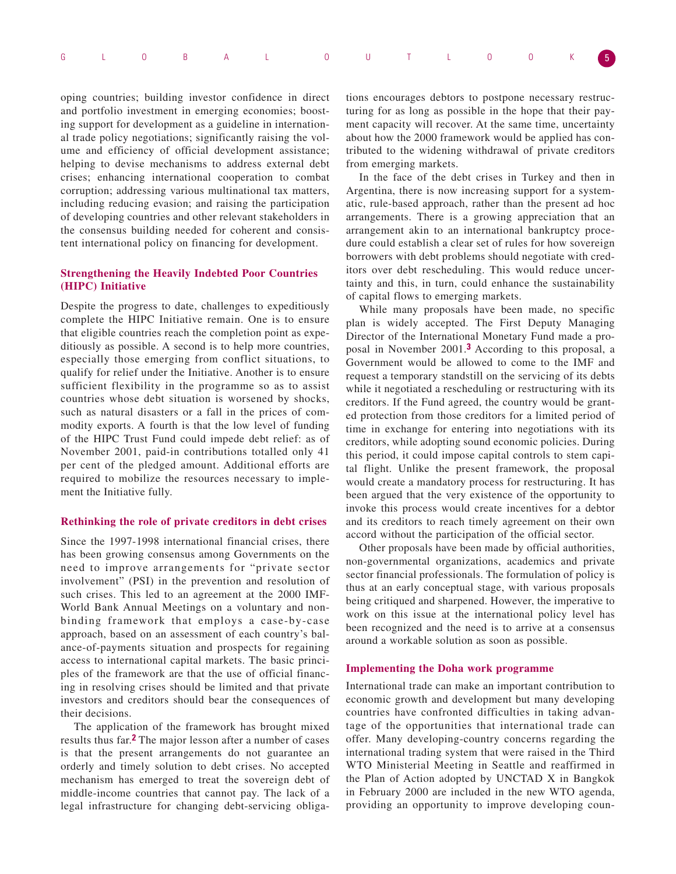|  |  |  | G L O B A L O U T L O O K 5 |  |  |  |  |
|--|--|--|-----------------------------|--|--|--|--|
|  |  |  |                             |  |  |  |  |

oping countries; building investor confidence in direct and portfolio investment in emerging economies; boosting support for development as a guideline in international trade policy negotiations; significantly raising the volume and efficiency of official development assistance; helping to devise mechanisms to address external debt crises; enhancing international cooperation to combat corruption; addressing various multinational tax matters, including reducing evasion; and raising the participation of developing countries and other relevant stakeholders in the consensus building needed for coherent and consistent international policy on financing for development.

# **Strengthening the Heavily Indebted Poor Countries (HIPC) Initiative**

Despite the progress to date, challenges to expeditiously complete the HIPC Initiative remain. One is to ensure that eligible countries reach the completion point as expeditiously as possible. A second is to help more countries, especially those emerging from conflict situations, to qualify for relief under the Initiative. Another is to ensure sufficient flexibility in the programme so as to assist countries whose debt situation is worsened by shocks, such as natural disasters or a fall in the prices of commodity exports. A fourth is that the low level of funding of the HIPC Trust Fund could impede debt relief: as of November 2001, paid-in contributions totalled only 41 per cent of the pledged amount. Additional efforts are required to mobilize the resources necessary to implement the Initiative fully.

# **Rethinking the role of private creditors in debt crises**

Since the 1997-1998 international financial crises, there has been growing consensus among Governments on the need to improve arrangements for "private sector involvement" (PSI) in the prevention and resolution of such crises. This led to an agreement at the 2000 IMF-World Bank Annual Meetings on a voluntary and nonbinding framework that employs a case-by-case approach, based on an assessment of each country's balance-of-payments situation and prospects for regaining access to international capital markets. The basic principles of the framework are that the use of official financing in resolving crises should be limited and that private investors and creditors should bear the consequences of their decisions.

The application of the framework has brought mixed results thus far.**2** The major lesson after a number of cases is that the present arrangements do not guarantee an orderly and timely solution to debt crises. No accepted mechanism has emerged to treat the sovereign debt of middle-income countries that cannot pay. The lack of a legal infrastructure for changing debt-servicing obliga-

tions encourages debtors to postpone necessary restructuring for as long as possible in the hope that their payment capacity will recover. At the same time, uncertainty about how the 2000 framework would be applied has contributed to the widening withdrawal of private creditors from emerging markets.

In the face of the debt crises in Turkey and then in Argentina, there is now increasing support for a systematic, rule-based approach, rather than the present ad hoc arrangements. There is a growing appreciation that an arrangement akin to an international bankruptcy procedure could establish a clear set of rules for how sovereign borrowers with debt problems should negotiate with creditors over debt rescheduling. This would reduce uncertainty and this, in turn, could enhance the sustainability of capital flows to emerging markets.

While many proposals have been made, no specific plan is widely accepted. The First Deputy Managing Director of the International Monetary Fund made a proposal in November 2001.**3** According to this proposal, a Government would be allowed to come to the IMF and request a temporary standstill on the servicing of its debts while it negotiated a rescheduling or restructuring with its creditors. If the Fund agreed, the country would be granted protection from those creditors for a limited period of time in exchange for entering into negotiations with its creditors, while adopting sound economic policies. During this period, it could impose capital controls to stem capital flight. Unlike the present framework, the proposal would create a mandatory process for restructuring. It has been argued that the very existence of the opportunity to invoke this process would create incentives for a debtor and its creditors to reach timely agreement on their own accord without the participation of the official sector.

Other proposals have been made by official authorities, non-governmental organizations, academics and private sector financial professionals. The formulation of policy is thus at an early conceptual stage, with various proposals being critiqued and sharpened. However, the imperative to work on this issue at the international policy level has been recognized and the need is to arrive at a consensus around a workable solution as soon as possible.

## **Implementing the Doha work programme**

International trade can make an important contribution to economic growth and development but many developing countries have confronted difficulties in taking advantage of the opportunities that international trade can offer. Many developing-country concerns regarding the international trading system that were raised in the Third WTO Ministerial Meeting in Seattle and reaffirmed in the Plan of Action adopted by UNCTAD X in Bangkok in February 2000 are included in the new WTO agenda, providing an opportunity to improve developing coun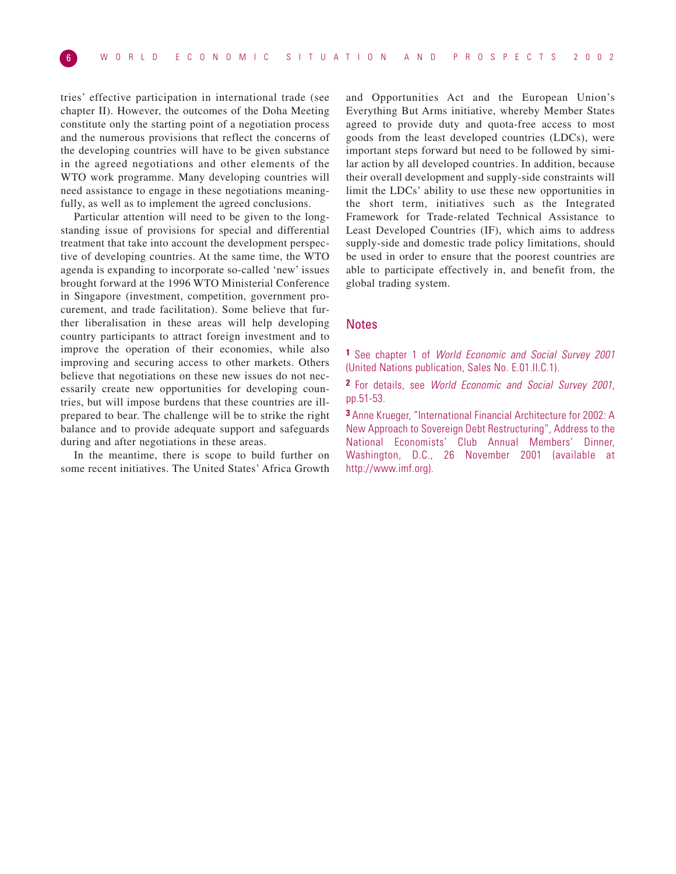tries' effective participation in international trade (see chapter II). However, the outcomes of the Doha Meeting constitute only the starting point of a negotiation process and the numerous provisions that reflect the concerns of the developing countries will have to be given substance in the agreed negotiations and other elements of the WTO work programme. Many developing countries will need assistance to engage in these negotiations meaningfully, as well as to implement the agreed conclusions.

Particular attention will need to be given to the longstanding issue of provisions for special and differential treatment that take into account the development perspective of developing countries. At the same time, the WTO agenda is expanding to incorporate so-called 'new' issues brought forward at the 1996 WTO Ministerial Conference in Singapore (investment, competition, government procurement, and trade facilitation). Some believe that further liberalisation in these areas will help developing country participants to attract foreign investment and to improve the operation of their economies, while also improving and securing access to other markets. Others believe that negotiations on these new issues do not necessarily create new opportunities for developing countries, but will impose burdens that these countries are illprepared to bear. The challenge will be to strike the right balance and to provide adequate support and safeguards during and after negotiations in these areas.

In the meantime, there is scope to build further on some recent initiatives. The United States' Africa Growth

and Opportunities Act and the European Union's Everything But Arms initiative, whereby Member States agreed to provide duty and quota-free access to most goods from the least developed countries (LDCs), were important steps forward but need to be followed by similar action by all developed countries. In addition, because their overall development and supply-side constraints will limit the LDCs' ability to use these new opportunities in the short term, initiatives such as the Integrated Framework for Trade-related Technical Assistance to Least Developed Countries (IF), which aims to address supply-side and domestic trade policy limitations, should be used in order to ensure that the poorest countries are able to participate effectively in, and benefit from, the global trading system.

# **Notes**

**1** See chapter 1 of World Economic and Social Survey 2001 (United Nations publication, Sales No. E.01.II.C.1).

**2** For details, see World Economic and Social Survey 2001, pp.51-53.

**3** Anne Krueger, "International Financial Architecture for 2002: A New Approach to Sovereign Debt Restructuring", Address to the National Economists' Club Annual Members' Dinner, Washington, D.C., 26 November 2001 (available at http://www.imf.org).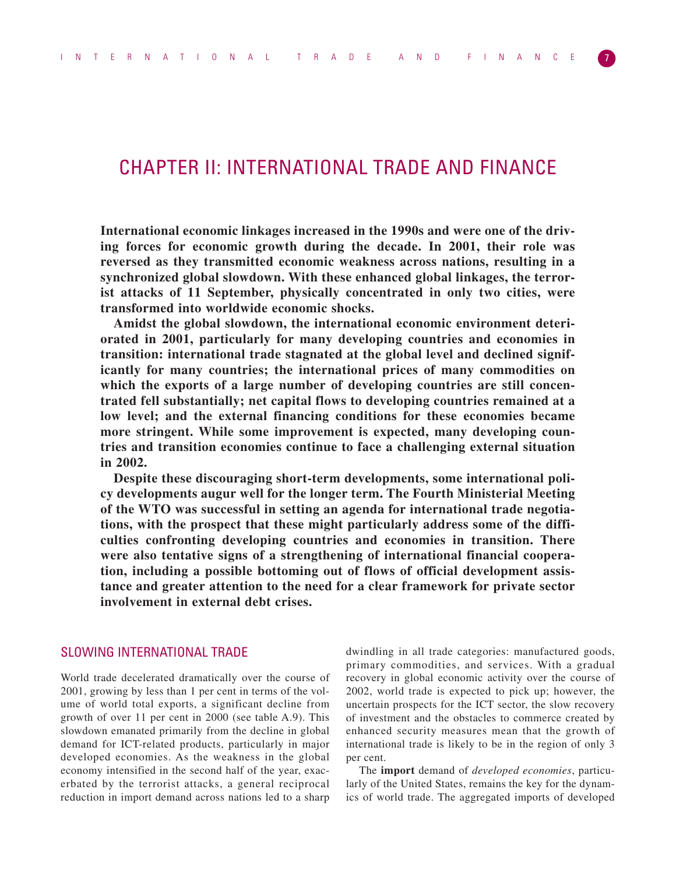# CHAPTER II: INTERNATIONAL TRADE AND FINANCE

**International economic linkages increased in the 1990s and were one of the driving forces for economic growth during the decade. In 2001, their role was reversed as they transmitted economic weakness across nations, resulting in a synchronized global slowdown. With these enhanced global linkages, the terrorist attacks of 11 September, physically concentrated in only two cities, were transformed into worldwide economic shocks.**

**Amidst the global slowdown, the international economic environment deteriorated in 2001, particularly for many developing countries and economies in transition: international trade stagnated at the global level and declined significantly for many countries; the international prices of many commodities on which the exports of a large number of developing countries are still concentrated fell substantially; net capital flows to developing countries remained at a low level; and the external financing conditions for these economies became more stringent. While some improvement is expected, many developing countries and transition economies continue to face a challenging external situation in 2002.** 

**Despite these discouraging short-term developments, some international policy developments augur well for the longer term. The Fourth Ministerial Meeting of the WTO was successful in setting an agenda for international trade negotiations, with the prospect that these might particularly address some of the difficulties confronting developing countries and economies in transition. There were also tentative signs of a strengthening of international financial cooperation, including a possible bottoming out of flows of official development assistance and greater attention to the need for a clear framework for private sector involvement in external debt crises.**

# SLOWING INTERNATIONAL TRADE

World trade decelerated dramatically over the course of 2001, growing by less than 1 per cent in terms of the volume of world total exports, a significant decline from growth of over 11 per cent in 2000 (see table A.9). This slowdown emanated primarily from the decline in global demand for ICT-related products, particularly in major developed economies. As the weakness in the global economy intensified in the second half of the year, exacerbated by the terrorist attacks, a general reciprocal reduction in import demand across nations led to a sharp dwindling in all trade categories: manufactured goods, primary commodities, and services. With a gradual recovery in global economic activity over the course of 2002, world trade is expected to pick up; however, the uncertain prospects for the ICT sector, the slow recovery of investment and the obstacles to commerce created by enhanced security measures mean that the growth of international trade is likely to be in the region of only 3 per cent.

The **import** demand of *developed economies*, particularly of the United States, remains the key for the dynamics of world trade. The aggregated imports of developed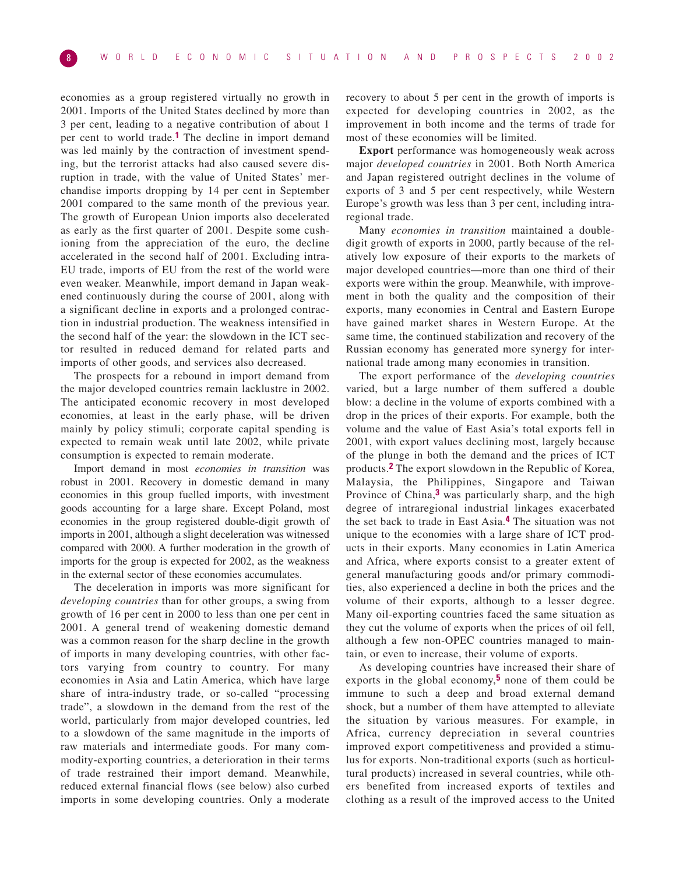economies as a group registered virtually no growth in 2001. Imports of the United States declined by more than 3 per cent, leading to a negative contribution of about 1 per cent to world trade.**1** The decline in import demand was led mainly by the contraction of investment spending, but the terrorist attacks had also caused severe disruption in trade, with the value of United States' merchandise imports dropping by 14 per cent in September 2001 compared to the same month of the previous year. The growth of European Union imports also decelerated as early as the first quarter of 2001. Despite some cushioning from the appreciation of the euro, the decline accelerated in the second half of 2001. Excluding intra-EU trade, imports of EU from the rest of the world were even weaker. Meanwhile, import demand in Japan weakened continuously during the course of 2001, along with a significant decline in exports and a prolonged contraction in industrial production. The weakness intensified in the second half of the year: the slowdown in the ICT sector resulted in reduced demand for related parts and imports of other goods, and services also decreased.

The prospects for a rebound in import demand from the major developed countries remain lacklustre in 2002. The anticipated economic recovery in most developed economies, at least in the early phase, will be driven mainly by policy stimuli; corporate capital spending is expected to remain weak until late 2002, while private consumption is expected to remain moderate.

Import demand in most *economies in transition* was robust in 2001. Recovery in domestic demand in many economies in this group fuelled imports, with investment goods accounting for a large share. Except Poland, most economies in the group registered double-digit growth of imports in 2001, although a slight deceleration was witnessed compared with 2000. A further moderation in the growth of imports for the group is expected for 2002, as the weakness in the external sector of these economies accumulates.

The deceleration in imports was more significant for *developing countries* than for other groups, a swing from growth of 16 per cent in 2000 to less than one per cent in 2001. A general trend of weakening domestic demand was a common reason for the sharp decline in the growth of imports in many developing countries, with other factors varying from country to country. For many economies in Asia and Latin America, which have large share of intra-industry trade, or so-called "processing trade", a slowdown in the demand from the rest of the world, particularly from major developed countries, led to a slowdown of the same magnitude in the imports of raw materials and intermediate goods. For many commodity-exporting countries, a deterioration in their terms of trade restrained their import demand. Meanwhile, reduced external financial flows (see below) also curbed imports in some developing countries. Only a moderate recovery to about 5 per cent in the growth of imports is expected for developing countries in 2002, as the improvement in both income and the terms of trade for most of these economies will be limited.

**Export** performance was homogeneously weak across major *developed countries* in 2001. Both North America and Japan registered outright declines in the volume of exports of 3 and 5 per cent respectively, while Western Europe's growth was less than 3 per cent, including intraregional trade.

Many *economies in transition* maintained a doubledigit growth of exports in 2000, partly because of the relatively low exposure of their exports to the markets of major developed countries—more than one third of their exports were within the group. Meanwhile, with improvement in both the quality and the composition of their exports, many economies in Central and Eastern Europe have gained market shares in Western Europe. At the same time, the continued stabilization and recovery of the Russian economy has generated more synergy for international trade among many economies in transition.

The export performance of the *developing countries* varied, but a large number of them suffered a double blow: a decline in the volume of exports combined with a drop in the prices of their exports. For example, both the volume and the value of East Asia's total exports fell in 2001, with export values declining most, largely because of the plunge in both the demand and the prices of ICT products.**2** The export slowdown in the Republic of Korea, Malaysia, the Philippines, Singapore and Taiwan Province of China,**3** was particularly sharp, and the high degree of intraregional industrial linkages exacerbated the set back to trade in East Asia.**4** The situation was not unique to the economies with a large share of ICT products in their exports. Many economies in Latin America and Africa, where exports consist to a greater extent of general manufacturing goods and/or primary commodities, also experienced a decline in both the prices and the volume of their exports, although to a lesser degree. Many oil-exporting countries faced the same situation as they cut the volume of exports when the prices of oil fell, although a few non-OPEC countries managed to maintain, or even to increase, their volume of exports.

As developing countries have increased their share of exports in the global economy,**5** none of them could be immune to such a deep and broad external demand shock, but a number of them have attempted to alleviate the situation by various measures. For example, in Africa, currency depreciation in several countries improved export competitiveness and provided a stimulus for exports. Non-traditional exports (such as horticultural products) increased in several countries, while others benefited from increased exports of textiles and clothing as a result of the improved access to the United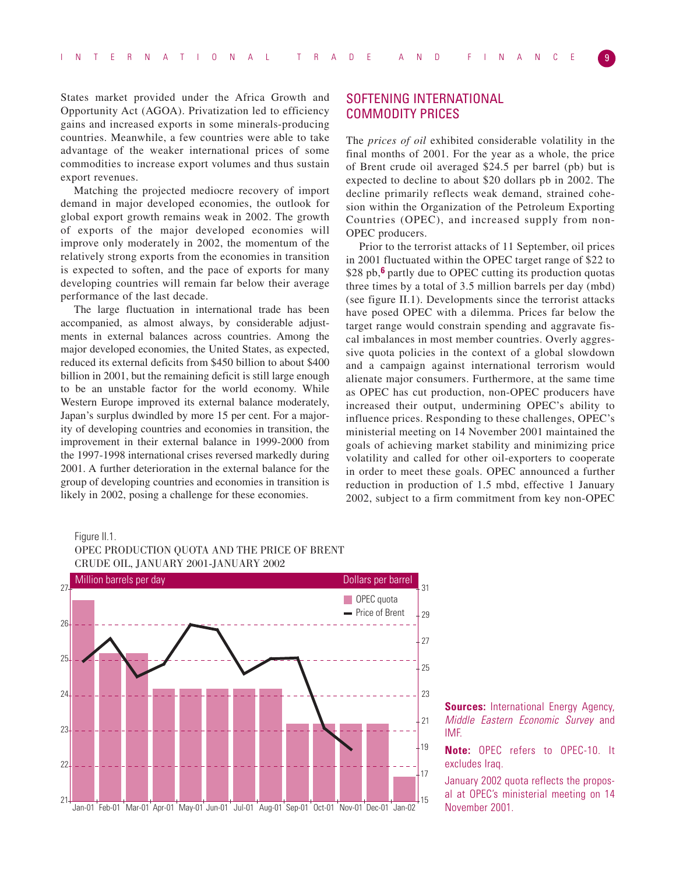States market provided under the Africa Growth and Opportunity Act (AGOA). Privatization led to efficiency gains and increased exports in some minerals-producing countries. Meanwhile, a few countries were able to take advantage of the weaker international prices of some commodities to increase export volumes and thus sustain export revenues.

Matching the projected mediocre recovery of import demand in major developed economies, the outlook for global export growth remains weak in 2002. The growth of exports of the major developed economies will improve only moderately in 2002, the momentum of the relatively strong exports from the economies in transition is expected to soften, and the pace of exports for many developing countries will remain far below their average performance of the last decade.

The large fluctuation in international trade has been accompanied, as almost always, by considerable adjustments in external balances across countries. Among the major developed economies, the United States, as expected, reduced its external deficits from \$450 billion to about \$400 billion in 2001, but the remaining deficit is still large enough to be an unstable factor for the world economy. While Western Europe improved its external balance moderately, Japan's surplus dwindled by more 15 per cent. For a majority of developing countries and economies in transition, the improvement in their external balance in 1999-2000 from the 1997-1998 international crises reversed markedly during 2001. A further deterioration in the external balance for the group of developing countries and economies in transition is likely in 2002, posing a challenge for these economies.

# SOFTENING INTERNATIONAL COMMODITY PRICES

The *prices of oil* exhibited considerable volatility in the final months of 2001. For the year as a whole, the price of Brent crude oil averaged \$24.5 per barrel (pb) but is expected to decline to about \$20 dollars pb in 2002. The decline primarily reflects weak demand, strained cohesion within the Organization of the Petroleum Exporting Countries (OPEC), and increased supply from non-OPEC producers.

Prior to the terrorist attacks of 11 September, oil prices in 2001 fluctuated within the OPEC target range of \$22 to \$28 pb,**6** partly due to OPEC cutting its production quotas three times by a total of 3.5 million barrels per day (mbd) (see figure II.1). Developments since the terrorist attacks have posed OPEC with a dilemma. Prices far below the target range would constrain spending and aggravate fiscal imbalances in most member countries. Overly aggressive quota policies in the context of a global slowdown and a campaign against international terrorism would alienate major consumers. Furthermore, at the same time as OPEC has cut production, non-OPEC producers have increased their output, undermining OPEC's ability to influence prices. Responding to these challenges, OPEC's ministerial meeting on 14 November 2001 maintained the goals of achieving market stability and minimizing price volatility and called for other oil-exporters to cooperate in order to meet these goals. OPEC announced a further reduction in production of 1.5 mbd, effective 1 January 2002, subject to a firm commitment from key non-OPEC

## Figure II.1.





**Sources:** International Energy Agency, Middle Eastern Economic Survey and IMF.

**Note:** OPEC refers to OPEC-10. It excludes Iraq.

January 2002 quota reflects the proposal at OPEC's ministerial meeting on 14 November 2001.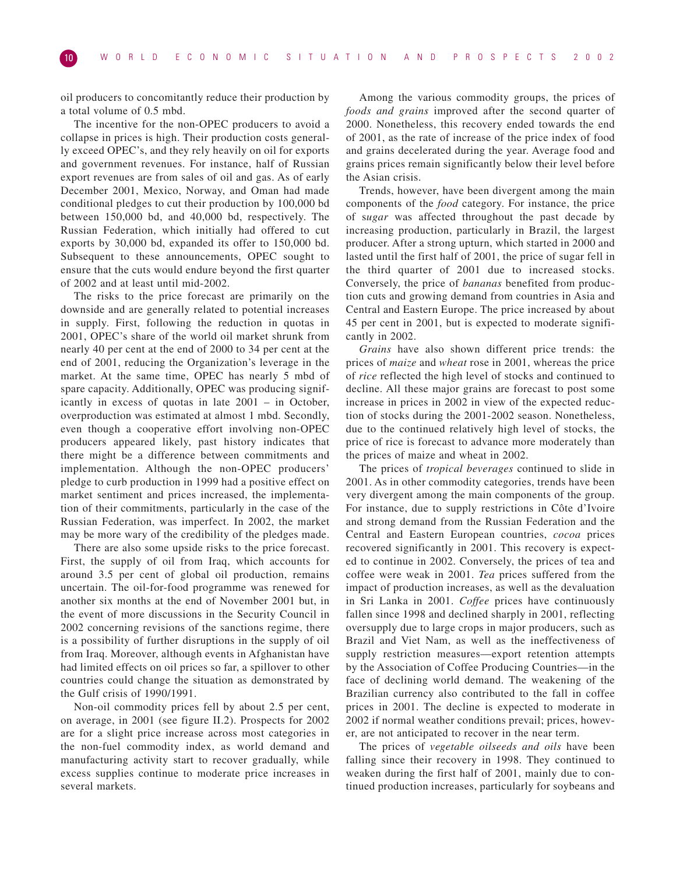oil producers to concomitantly reduce their production by a total volume of 0.5 mbd.

The incentive for the non-OPEC producers to avoid a collapse in prices is high. Their production costs generally exceed OPEC's, and they rely heavily on oil for exports and government revenues. For instance, half of Russian export revenues are from sales of oil and gas. As of early December 2001, Mexico, Norway, and Oman had made conditional pledges to cut their production by 100,000 bd between 150,000 bd, and 40,000 bd, respectively. The Russian Federation, which initially had offered to cut exports by 30,000 bd, expanded its offer to 150,000 bd. Subsequent to these announcements, OPEC sought to ensure that the cuts would endure beyond the first quarter of 2002 and at least until mid-2002.

The risks to the price forecast are primarily on the downside and are generally related to potential increases in supply. First, following the reduction in quotas in 2001, OPEC's share of the world oil market shrunk from nearly 40 per cent at the end of 2000 to 34 per cent at the end of 2001, reducing the Organization's leverage in the market. At the same time, OPEC has nearly 5 mbd of spare capacity. Additionally, OPEC was producing significantly in excess of quotas in late 2001 – in October, overproduction was estimated at almost 1 mbd. Secondly, even though a cooperative effort involving non-OPEC producers appeared likely, past history indicates that there might be a difference between commitments and implementation. Although the non-OPEC producers' pledge to curb production in 1999 had a positive effect on market sentiment and prices increased, the implementation of their commitments, particularly in the case of the Russian Federation, was imperfect. In 2002, the market may be more wary of the credibility of the pledges made.

There are also some upside risks to the price forecast. First, the supply of oil from Iraq, which accounts for around 3.5 per cent of global oil production, remains uncertain. The oil-for-food programme was renewed for another six months at the end of November 2001 but, in the event of more discussions in the Security Council in 2002 concerning revisions of the sanctions regime, there is a possibility of further disruptions in the supply of oil from Iraq. Moreover, although events in Afghanistan have had limited effects on oil prices so far, a spillover to other countries could change the situation as demonstrated by the Gulf crisis of 1990/1991.

Non-oil commodity prices fell by about 2.5 per cent, on average, in 2001 (see figure II.2). Prospects for 2002 are for a slight price increase across most categories in the non-fuel commodity index, as world demand and manufacturing activity start to recover gradually, while excess supplies continue to moderate price increases in several markets.

Among the various commodity groups, the prices of *foods and grains* improved after the second quarter of 2000. Nonetheless, this recovery ended towards the end of 2001, as the rate of increase of the price index of food and grains decelerated during the year. Average food and grains prices remain significantly below their level before the Asian crisis.

Trends, however, have been divergent among the main components of the *food* category. For instance, the price of s*ugar* was affected throughout the past decade by increasing production, particularly in Brazil, the largest producer. After a strong upturn, which started in 2000 and lasted until the first half of 2001, the price of sugar fell in the third quarter of 2001 due to increased stocks. Conversely, the price of *bananas* benefited from production cuts and growing demand from countries in Asia and Central and Eastern Europe. The price increased by about 45 per cent in 2001, but is expected to moderate significantly in 2002.

*Grains* have also shown different price trends: the prices of *maize* and *wheat* rose in 2001, whereas the price of *rice* reflected the high level of stocks and continued to decline. All these major grains are forecast to post some increase in prices in 2002 in view of the expected reduction of stocks during the 2001-2002 season. Nonetheless, due to the continued relatively high level of stocks, the price of rice is forecast to advance more moderately than the prices of maize and wheat in 2002.

The prices of *tropical beverages* continued to slide in 2001. As in other commodity categories, trends have been very divergent among the main components of the group. For instance, due to supply restrictions in Côte d'Ivoire and strong demand from the Russian Federation and the Central and Eastern European countries, *cocoa* prices recovered significantly in 2001. This recovery is expected to continue in 2002. Conversely, the prices of tea and coffee were weak in 2001. *Tea* prices suffered from the impact of production increases, as well as the devaluation in Sri Lanka in 2001. *Coffee* prices have continuously fallen since 1998 and declined sharply in 2001, reflecting oversupply due to large crops in major producers, such as Brazil and Viet Nam, as well as the ineffectiveness of supply restriction measures—export retention attempts by the Association of Coffee Producing Countries—in the face of declining world demand. The weakening of the Brazilian currency also contributed to the fall in coffee prices in 2001. The decline is expected to moderate in 2002 if normal weather conditions prevail; prices, however, are not anticipated to recover in the near term.

The prices of *vegetable oilseeds and oils* have been falling since their recovery in 1998. They continued to weaken during the first half of 2001, mainly due to continued production increases, particularly for soybeans and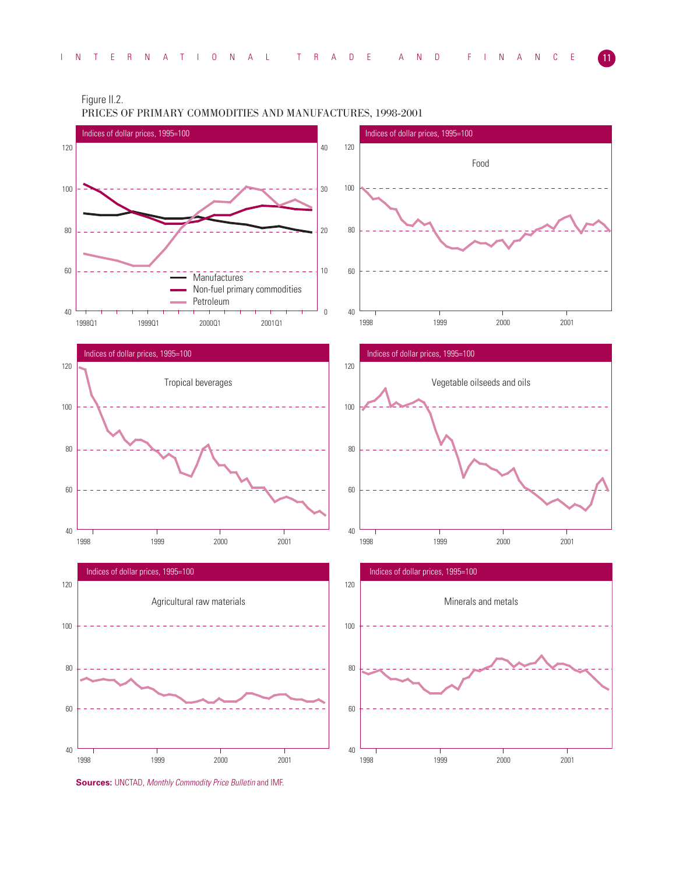Figure II.2.

PRICES OF PRIMARY COMMODITIES AND MANUFACTURES, 1998-2001



**Sources:** UNCTAD, *Monthly Commodity Price Bulletin* and IMF.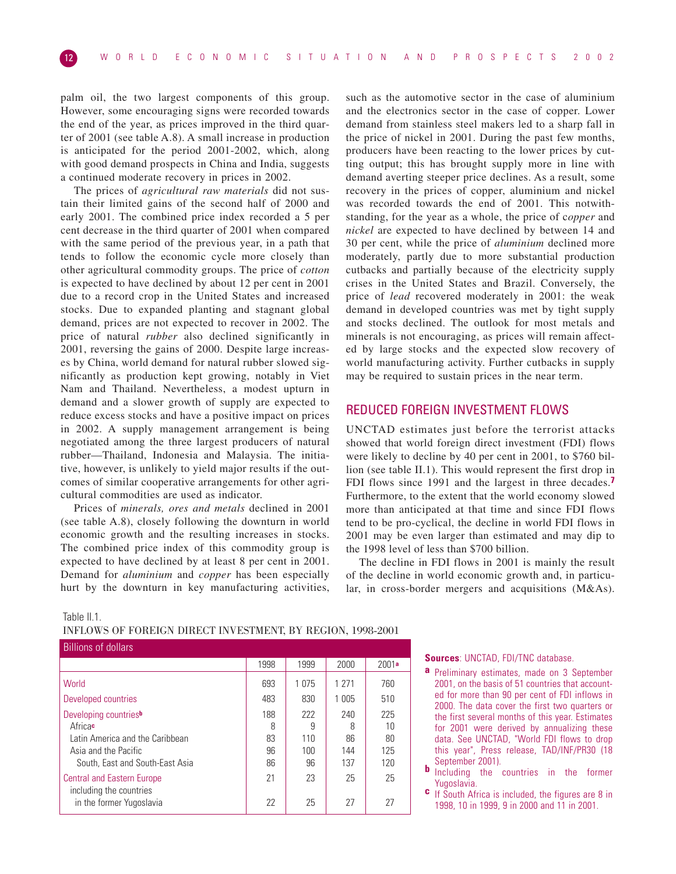palm oil, the two largest components of this group. However, some encouraging signs were recorded towards the end of the year, as prices improved in the third quarter of 2001 (see table A.8). A small increase in production is anticipated for the period 2001-2002, which, along with good demand prospects in China and India, suggests a continued moderate recovery in prices in 2002.

The prices of *agricultural raw materials* did not sustain their limited gains of the second half of 2000 and early 2001. The combined price index recorded a 5 per cent decrease in the third quarter of 2001 when compared with the same period of the previous year, in a path that tends to follow the economic cycle more closely than other agricultural commodity groups. The price of *cotton* is expected to have declined by about 12 per cent in 2001 due to a record crop in the United States and increased stocks. Due to expanded planting and stagnant global demand, prices are not expected to recover in 2002. The price of natural *rubber* also declined significantly in 2001, reversing the gains of 2000. Despite large increases by China, world demand for natural rubber slowed significantly as production kept growing, notably in Viet Nam and Thailand. Nevertheless, a modest upturn in demand and a slower growth of supply are expected to reduce excess stocks and have a positive impact on prices in 2002. A supply management arrangement is being negotiated among the three largest producers of natural rubber—Thailand, Indonesia and Malaysia. The initiative, however, is unlikely to yield major results if the outcomes of similar cooperative arrangements for other agricultural commodities are used as indicator.

Prices of *minerals, ores and metals* declined in 2001 (see table A.8), closely following the downturn in world economic growth and the resulting increases in stocks. The combined price index of this commodity group is expected to have declined by at least 8 per cent in 2001. Demand for *aluminium* and *copper* has been especially hurt by the downturn in key manufacturing activities, such as the automotive sector in the case of aluminium and the electronics sector in the case of copper. Lower demand from stainless steel makers led to a sharp fall in the price of nickel in 2001. During the past few months, producers have been reacting to the lower prices by cutting output; this has brought supply more in line with demand averting steeper price declines. As a result, some recovery in the prices of copper, aluminium and nickel was recorded towards the end of 2001. This notwithstanding, for the year as a whole, the price of c*opper* and *nickel* are expected to have declined by between 14 and 30 per cent, while the price of *aluminium* declined more moderately, partly due to more substantial production cutbacks and partially because of the electricity supply crises in the United States and Brazil. Conversely, the price of *lead* recovered moderately in 2001: the weak demand in developed countries was met by tight supply and stocks declined. The outlook for most metals and minerals is not encouraging, as prices will remain affected by large stocks and the expected slow recovery of world manufacturing activity. Further cutbacks in supply may be required to sustain prices in the near term.

# REDUCED FOREIGN INVESTMENT FLOWS

UNCTAD estimates just before the terrorist attacks showed that world foreign direct investment (FDI) flows were likely to decline by 40 per cent in 2001, to \$760 billion (see table II.1). This would represent the first drop in FDI flows since 1991 and the largest in three decades.**7** Furthermore, to the extent that the world economy slowed more than anticipated at that time and since FDI flows tend to be pro-cyclical, the decline in world FDI flows in 2001 may be even larger than estimated and may dip to the 1998 level of less than \$700 billion.

The decline in FDI flows in 2001 is mainly the result of the decline in world economic growth and, in particular, in cross-border mergers and acquisitions (M&As).

## Table II.1.

# INFLOWS OF FOREIGN DIRECT INVESTMENT, BY REGION, 1998-2001

| <b>Billions of dollars</b>        |      |         |         |       |
|-----------------------------------|------|---------|---------|-------|
|                                   | 1998 | 1999    | 2000    | 2001a |
| World                             | 693  | 1 0 7 5 | 1 2 7 1 | 760   |
| Developed countries               | 483  | 830     | 1 005   | 510   |
| Developing countries <sup>b</sup> | 188  | 222     | 240     | 225   |
| Africac                           | 8    | 9       | 8       | 10    |
| Latin America and the Caribbean   | 83   | 110     | 86      | 80    |
| Asia and the Pacific              | 96   | 100     | 144     | 125   |
| South, East and South-East Asia   | 86   | 96      | 137     | 120   |
| <b>Central and Eastern Europe</b> | 21   | 23      | 25      | 25    |
| in the former Yugoslavia          | 22   | 25      | 27      | 27    |
| including the countries           |      |         |         |       |

**Sources**: UNCTAD, FDI/TNC database.

- **a** Preliminary estimates, made on 3 September 2001, on the basis of 51 countries that accounted for more than 90 per cent of FDI inflows in 2000. The data cover the first two quarters or the first several months of this year. Estimates for 2001 were derived by annualizing these data. See UNCTAD, "World FDI flows to drop this year", Press release, TAD/INF/PR30 (18
- September 2001). **<sup>b</sup>** Including the countries in the former Yugoslavia.
- **c** If South Africa is included, the figures are 8 in 1998, 10 in 1999, 9 in 2000 and 11 in 2001.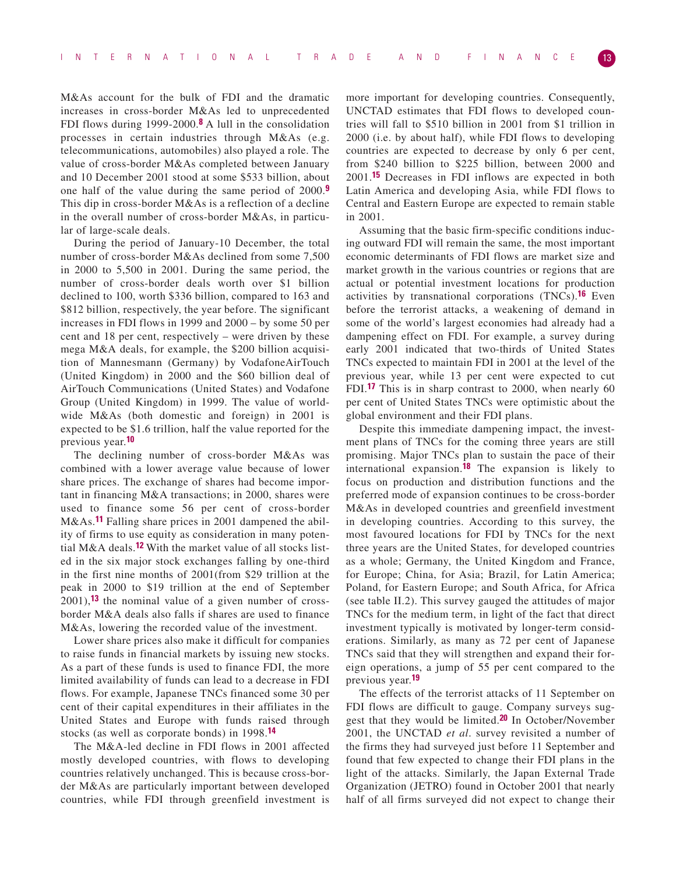M&As account for the bulk of FDI and the dramatic increases in cross-border M&As led to unprecedented FDI flows during 1999-2000.**8** A lull in the consolidation processes in certain industries through M&As (e.g. telecommunications, automobiles) also played a role. The value of cross-border M&As completed between January and 10 December 2001 stood at some \$533 billion, about one half of the value during the same period of 2000.**9** This dip in cross-border M&As is a reflection of a decline in the overall number of cross-border M&As, in particular of large-scale deals.

During the period of January-10 December, the total number of cross-border M&As declined from some 7,500 in 2000 to 5,500 in 2001. During the same period, the number of cross-border deals worth over \$1 billion declined to 100, worth \$336 billion, compared to 163 and \$812 billion, respectively, the year before. The significant increases in FDI flows in 1999 and 2000 – by some 50 per cent and 18 per cent, respectively – were driven by these mega M&A deals, for example, the \$200 billion acquisition of Mannesmann (Germany) by VodafoneAirTouch (United Kingdom) in 2000 and the \$60 billion deal of AirTouch Communications (United States) and Vodafone Group (United Kingdom) in 1999. The value of worldwide M&As (both domestic and foreign) in 2001 is expected to be \$1.6 trillion, half the value reported for the previous year.**10**

The declining number of cross-border M&As was combined with a lower average value because of lower share prices. The exchange of shares had become important in financing M&A transactions; in 2000, shares were used to finance some 56 per cent of cross-border M&As.**11** Falling share prices in 2001 dampened the ability of firms to use equity as consideration in many potential M&A deals.**12** With the market value of all stocks listed in the six major stock exchanges falling by one-third in the first nine months of 2001(from \$29 trillion at the peak in 2000 to \$19 trillion at the end of September 2001),**13** the nominal value of a given number of crossborder M&A deals also falls if shares are used to finance M&As, lowering the recorded value of the investment.

Lower share prices also make it difficult for companies to raise funds in financial markets by issuing new stocks. As a part of these funds is used to finance FDI, the more limited availability of funds can lead to a decrease in FDI flows. For example, Japanese TNCs financed some 30 per cent of their capital expenditures in their affiliates in the United States and Europe with funds raised through stocks (as well as corporate bonds) in 1998.**14**

The M&A-led decline in FDI flows in 2001 affected mostly developed countries, with flows to developing countries relatively unchanged. This is because cross-border M&As are particularly important between developed countries, while FDI through greenfield investment is

more important for developing countries. Consequently, UNCTAD estimates that FDI flows to developed countries will fall to \$510 billion in 2001 from \$1 trillion in 2000 (i.e. by about half), while FDI flows to developing countries are expected to decrease by only 6 per cent, from \$240 billion to \$225 billion, between 2000 and 2001.**15** Decreases in FDI inflows are expected in both Latin America and developing Asia, while FDI flows to Central and Eastern Europe are expected to remain stable in 2001.

Assuming that the basic firm-specific conditions inducing outward FDI will remain the same, the most important economic determinants of FDI flows are market size and market growth in the various countries or regions that are actual or potential investment locations for production activities by transnational corporations (TNCs).**16** Even before the terrorist attacks, a weakening of demand in some of the world's largest economies had already had a dampening effect on FDI. For example, a survey during early 2001 indicated that two-thirds of United States TNCs expected to maintain FDI in 2001 at the level of the previous year, while 13 per cent were expected to cut FDI.**17** This is in sharp contrast to 2000, when nearly 60 per cent of United States TNCs were optimistic about the global environment and their FDI plans.

Despite this immediate dampening impact, the investment plans of TNCs for the coming three years are still promising. Major TNCs plan to sustain the pace of their international expansion.**18** The expansion is likely to focus on production and distribution functions and the preferred mode of expansion continues to be cross-border M&As in developed countries and greenfield investment in developing countries. According to this survey, the most favoured locations for FDI by TNCs for the next three years are the United States, for developed countries as a whole; Germany, the United Kingdom and France, for Europe; China, for Asia; Brazil, for Latin America; Poland, for Eastern Europe; and South Africa, for Africa (see table II.2). This survey gauged the attitudes of major TNCs for the medium term, in light of the fact that direct investment typically is motivated by longer-term considerations. Similarly, as many as 72 per cent of Japanese TNCs said that they will strengthen and expand their foreign operations, a jump of 55 per cent compared to the previous year.**19**

The effects of the terrorist attacks of 11 September on FDI flows are difficult to gauge. Company surveys suggest that they would be limited.**20** In October/November 2001, the UNCTAD *et al*. survey revisited a number of the firms they had surveyed just before 11 September and found that few expected to change their FDI plans in the light of the attacks. Similarly, the Japan External Trade Organization (JETRO) found in October 2001 that nearly half of all firms surveyed did not expect to change their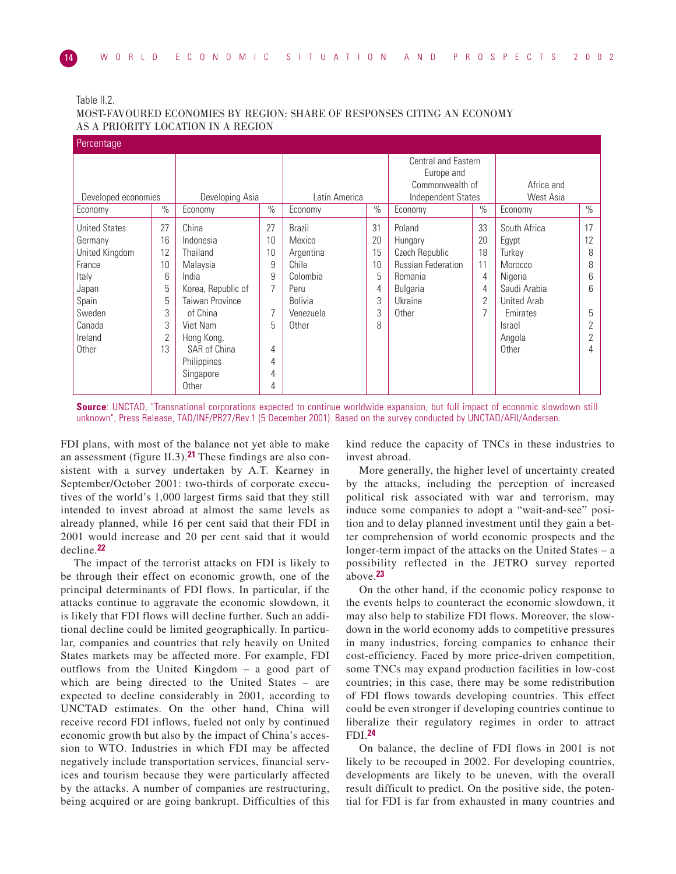| lable |  |
|-------|--|
|-------|--|

MOST-FAVOURED ECONOMIES BY REGION: SHARE OF RESPONSES CITING AN ECONOMY AS A PRIORITY LOCATION IN A REGION

| Percentage                                                                                                                                 |                                                                                                                                                                                                                                                |                                                   |                                                                                                    |                                               |                                                                                                                    |                                                       |                                                                                                                                             |                                                  |
|--------------------------------------------------------------------------------------------------------------------------------------------|------------------------------------------------------------------------------------------------------------------------------------------------------------------------------------------------------------------------------------------------|---------------------------------------------------|----------------------------------------------------------------------------------------------------|-----------------------------------------------|--------------------------------------------------------------------------------------------------------------------|-------------------------------------------------------|---------------------------------------------------------------------------------------------------------------------------------------------|--------------------------------------------------|
| Developed economies                                                                                                                        | Developing Asia                                                                                                                                                                                                                                |                                                   | Latin America                                                                                      |                                               | Central and Eastern<br>Europe and<br>Commonwealth of<br>Independent States                                         |                                                       | Africa and<br>West Asia                                                                                                                     |                                                  |
| Economy                                                                                                                                    | $\%$<br>Economy                                                                                                                                                                                                                                | $\frac{1}{2}$                                     | Economy                                                                                            | $\frac{0}{0}$                                 | Economy                                                                                                            | $\%$                                                  | Economy                                                                                                                                     | $\frac{0}{0}$                                    |
| 27<br><b>United States</b><br>Germany<br>12<br>United Kingdom<br>France<br>Italy<br>Japan<br>Spain<br>Sweden<br>Canada<br>Ireland<br>Other | China<br>16<br>Indonesia<br>Thailand<br>10<br>Malaysia<br>6<br>India<br>5<br>Korea, Republic of<br>5<br><b>Taiwan Province</b><br>3<br>of China<br>3<br>Viet Nam<br>2<br>Hong Kong,<br>13<br>SAR of China<br>Philippines<br>Singapore<br>Other | 27<br>10<br>10<br>9<br>9<br>5<br>4<br>4<br>4<br>4 | Brazil<br>Mexico<br>Argentina<br>Chile<br>Colombia<br>Peru<br><b>Bolivia</b><br>Venezuela<br>Other | 31<br>20<br>15<br>10<br>5<br>4<br>3<br>3<br>8 | Poland<br>Hungary<br>Czech Republic<br><b>Russian Federation</b><br>Romania<br><b>Bulgaria</b><br>Ukraine<br>Other | 33<br>20<br>18<br>11<br>4<br>4<br>$\overline{2}$<br>7 | South Africa<br>Egypt<br>Turkey<br>Morocco<br>Nigeria<br>Saudi Arabia<br><b>United Arab</b><br>Emirates<br><b>Israel</b><br>Angola<br>Other | 17<br>12<br>8<br>8<br>6<br>6<br>5<br>2<br>2<br>4 |

**Source**: UNCTAD, "Transnational corporations expected to continue worldwide expansion, but full impact of economic slowdown still unknown", Press Release, TAD/INF/PR27/Rev.1 (5 December 2001). Based on the survey conducted by UNCTAD/AFII/Andersen.

FDI plans, with most of the balance not yet able to make an assessment (figure II.3).**21** These findings are also consistent with a survey undertaken by A.T. Kearney in September/October 2001: two-thirds of corporate executives of the world's 1,000 largest firms said that they still intended to invest abroad at almost the same levels as already planned, while 16 per cent said that their FDI in 2001 would increase and 20 per cent said that it would decline.**22**

The impact of the terrorist attacks on FDI is likely to be through their effect on economic growth, one of the principal determinants of FDI flows. In particular, if the attacks continue to aggravate the economic slowdown, it is likely that FDI flows will decline further. Such an additional decline could be limited geographically. In particular, companies and countries that rely heavily on United States markets may be affected more. For example, FDI outflows from the United Kingdom – a good part of which are being directed to the United States – are expected to decline considerably in 2001, according to UNCTAD estimates. On the other hand, China will receive record FDI inflows, fueled not only by continued economic growth but also by the impact of China's accession to WTO. Industries in which FDI may be affected negatively include transportation services, financial services and tourism because they were particularly affected by the attacks. A number of companies are restructuring, being acquired or are going bankrupt. Difficulties of this

kind reduce the capacity of TNCs in these industries to invest abroad.

More generally, the higher level of uncertainty created by the attacks, including the perception of increased political risk associated with war and terrorism, may induce some companies to adopt a "wait-and-see" position and to delay planned investment until they gain a better comprehension of world economic prospects and the longer-term impact of the attacks on the United States – a possibility reflected in the JETRO survey reported above.**23**

On the other hand, if the economic policy response to the events helps to counteract the economic slowdown, it may also help to stabilize FDI flows. Moreover, the slowdown in the world economy adds to competitive pressures in many industries, forcing companies to enhance their cost-efficiency. Faced by more price-driven competition, some TNCs may expand production facilities in low-cost countries; in this case, there may be some redistribution of FDI flows towards developing countries. This effect could be even stronger if developing countries continue to liberalize their regulatory regimes in order to attract FDI.**24**

On balance, the decline of FDI flows in 2001 is not likely to be recouped in 2002. For developing countries, developments are likely to be uneven, with the overall result difficult to predict. On the positive side, the potential for FDI is far from exhausted in many countries and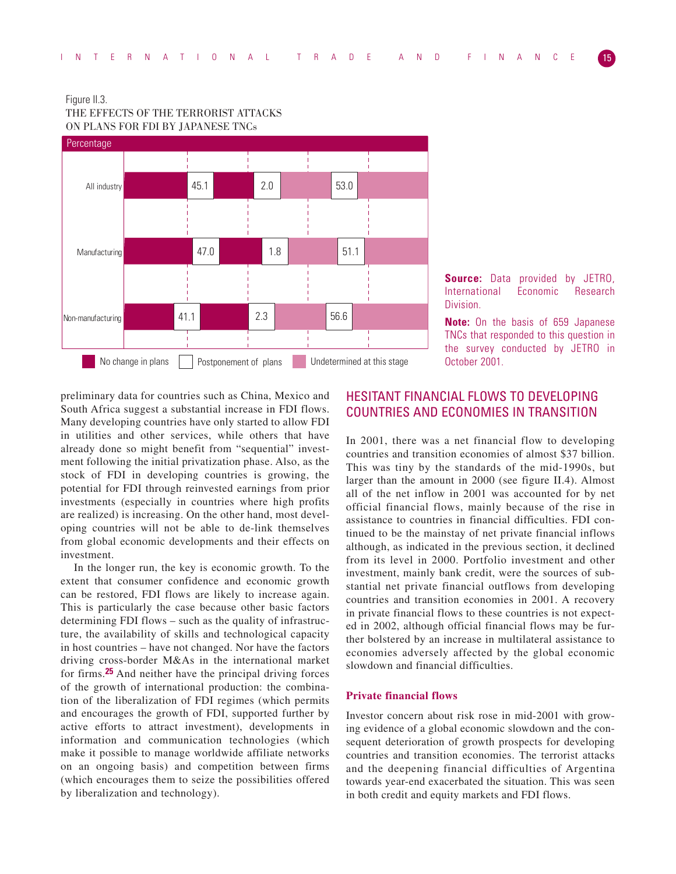



**Source:** Data provided by JETRO, International Economic Research Division.

**Note:** On the basis of 659 Japanese TNCs that responded to this question in the survey conducted by JETRO in October 2001.

preliminary data for countries such as China, Mexico and South Africa suggest a substantial increase in FDI flows. Many developing countries have only started to allow FDI in utilities and other services, while others that have already done so might benefit from "sequential" investment following the initial privatization phase. Also, as the stock of FDI in developing countries is growing, the potential for FDI through reinvested earnings from prior investments (especially in countries where high profits are realized) is increasing. On the other hand, most developing countries will not be able to de-link themselves from global economic developments and their effects on investment.

In the longer run, the key is economic growth. To the extent that consumer confidence and economic growth can be restored, FDI flows are likely to increase again. This is particularly the case because other basic factors determining FDI flows – such as the quality of infrastructure, the availability of skills and technological capacity in host countries – have not changed. Nor have the factors driving cross-border M&As in the international market for firms.**25** And neither have the principal driving forces of the growth of international production: the combination of the liberalization of FDI regimes (which permits and encourages the growth of FDI, supported further by active efforts to attract investment), developments in information and communication technologies (which make it possible to manage worldwide affiliate networks on an ongoing basis) and competition between firms (which encourages them to seize the possibilities offered by liberalization and technology).

# HESITANT FINANCIAL FLOWS TO DEVELOPING COUNTRIES AND ECONOMIES IN TRANSITION

In 2001, there was a net financial flow to developing countries and transition economies of almost \$37 billion. This was tiny by the standards of the mid-1990s, but larger than the amount in 2000 (see figure II.4). Almost all of the net inflow in 2001 was accounted for by net official financial flows, mainly because of the rise in assistance to countries in financial difficulties. FDI continued to be the mainstay of net private financial inflows although, as indicated in the previous section, it declined from its level in 2000. Portfolio investment and other investment, mainly bank credit, were the sources of substantial net private financial outflows from developing countries and transition economies in 2001. A recovery in private financial flows to these countries is not expected in 2002, although official financial flows may be further bolstered by an increase in multilateral assistance to economies adversely affected by the global economic slowdown and financial difficulties.

## **Private financial flows**

Investor concern about risk rose in mid-2001 with growing evidence of a global economic slowdown and the consequent deterioration of growth prospects for developing countries and transition economies. The terrorist attacks and the deepening financial difficulties of Argentina towards year-end exacerbated the situation. This was seen in both credit and equity markets and FDI flows.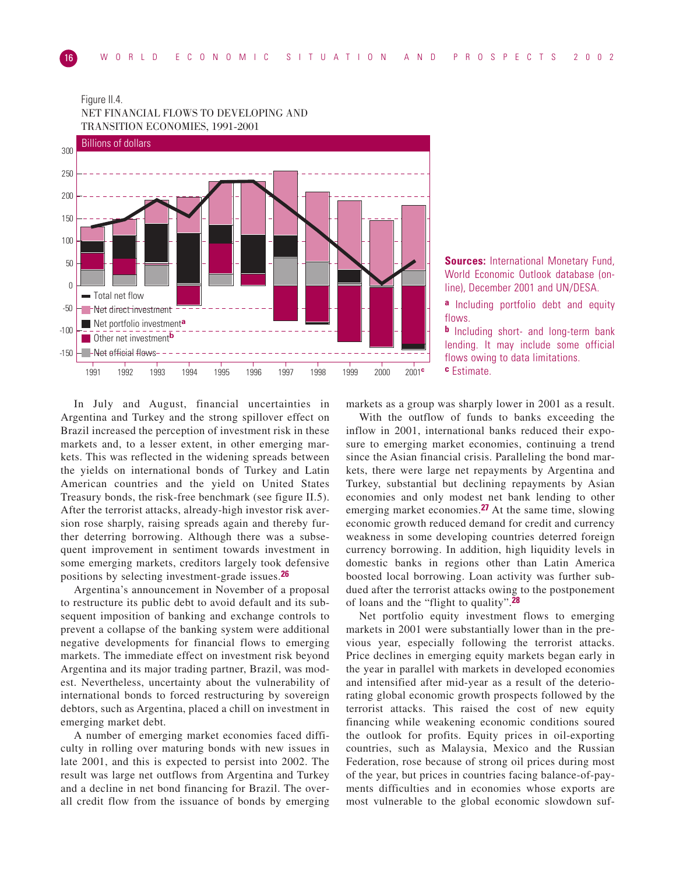Figure II.4.



NET FINANCIAL FLOWS TO DEVELOPING AND

**Sources:** International Monetary Fund, World Economic Outlook database (online), December 2001 and UN/DESA.

**a** Including portfolio debt and equity flows.

**b** Including short- and long-term bank lending. It may include some official flows owing to data limitations. **c** Estimate.

In July and August, financial uncertainties in Argentina and Turkey and the strong spillover effect on Brazil increased the perception of investment risk in these markets and, to a lesser extent, in other emerging markets. This was reflected in the widening spreads between the yields on international bonds of Turkey and Latin American countries and the yield on United States Treasury bonds, the risk-free benchmark (see figure II.5). After the terrorist attacks, already-high investor risk aversion rose sharply, raising spreads again and thereby further deterring borrowing. Although there was a subsequent improvement in sentiment towards investment in some emerging markets, creditors largely took defensive positions by selecting investment-grade issues.**26**

Argentina's announcement in November of a proposal to restructure its public debt to avoid default and its subsequent imposition of banking and exchange controls to prevent a collapse of the banking system were additional negative developments for financial flows to emerging markets. The immediate effect on investment risk beyond Argentina and its major trading partner, Brazil, was modest. Nevertheless, uncertainty about the vulnerability of international bonds to forced restructuring by sovereign debtors, such as Argentina, placed a chill on investment in emerging market debt.

A number of emerging market economies faced difficulty in rolling over maturing bonds with new issues in late 2001, and this is expected to persist into 2002. The result was large net outflows from Argentina and Turkey and a decline in net bond financing for Brazil. The overall credit flow from the issuance of bonds by emerging

markets as a group was sharply lower in 2001 as a result.

With the outflow of funds to banks exceeding the inflow in 2001, international banks reduced their exposure to emerging market economies, continuing a trend since the Asian financial crisis. Paralleling the bond markets, there were large net repayments by Argentina and Turkey, substantial but declining repayments by Asian economies and only modest net bank lending to other emerging market economies.**27** At the same time, slowing economic growth reduced demand for credit and currency weakness in some developing countries deterred foreign currency borrowing. In addition, high liquidity levels in domestic banks in regions other than Latin America boosted local borrowing. Loan activity was further subdued after the terrorist attacks owing to the postponement of loans and the "flight to quality".**28**

Net portfolio equity investment flows to emerging markets in 2001 were substantially lower than in the previous year, especially following the terrorist attacks. Price declines in emerging equity markets began early in the year in parallel with markets in developed economies and intensified after mid-year as a result of the deteriorating global economic growth prospects followed by the terrorist attacks. This raised the cost of new equity financing while weakening economic conditions soured the outlook for profits. Equity prices in oil-exporting countries, such as Malaysia, Mexico and the Russian Federation, rose because of strong oil prices during most of the year, but prices in countries facing balance-of-payments difficulties and in economies whose exports are most vulnerable to the global economic slowdown suf-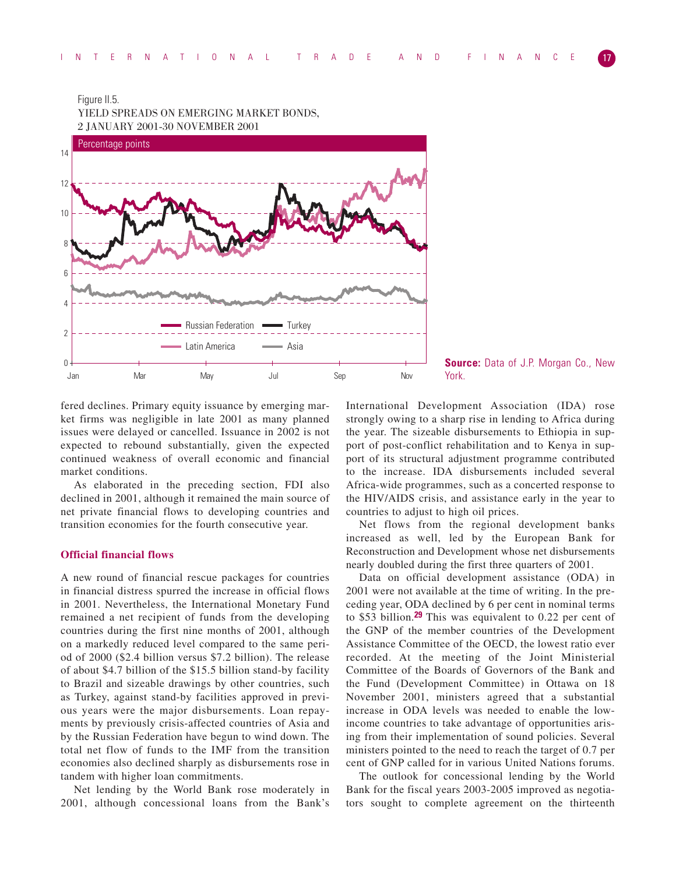Figure II.5.



**Source:** Data of J.P. Morgan Co., New York.

fered declines. Primary equity issuance by emerging market firms was negligible in late 2001 as many planned issues were delayed or cancelled. Issuance in 2002 is not expected to rebound substantially, given the expected continued weakness of overall economic and financial market conditions.

As elaborated in the preceding section, FDI also declined in 2001, although it remained the main source of net private financial flows to developing countries and transition economies for the fourth consecutive year.

# **Official financial flows**

A new round of financial rescue packages for countries in financial distress spurred the increase in official flows in 2001. Nevertheless, the International Monetary Fund remained a net recipient of funds from the developing countries during the first nine months of 2001, although on a markedly reduced level compared to the same period of 2000 (\$2.4 billion versus \$7.2 billion). The release of about \$4.7 billion of the \$15.5 billion stand-by facility to Brazil and sizeable drawings by other countries, such as Turkey, against stand-by facilities approved in previous years were the major disbursements. Loan repayments by previously crisis-affected countries of Asia and by the Russian Federation have begun to wind down. The total net flow of funds to the IMF from the transition economies also declined sharply as disbursements rose in tandem with higher loan commitments.

Net lending by the World Bank rose moderately in 2001, although concessional loans from the Bank's International Development Association (IDA) rose strongly owing to a sharp rise in lending to Africa during the year. The sizeable disbursements to Ethiopia in support of post-conflict rehabilitation and to Kenya in support of its structural adjustment programme contributed to the increase. IDA disbursements included several Africa-wide programmes, such as a concerted response to the HIV/AIDS crisis, and assistance early in the year to countries to adjust to high oil prices.

Net flows from the regional development banks increased as well, led by the European Bank for Reconstruction and Development whose net disbursements nearly doubled during the first three quarters of 2001.

Data on official development assistance (ODA) in 2001 were not available at the time of writing. In the preceding year, ODA declined by 6 per cent in nominal terms to \$53 billion.**29** This was equivalent to 0.22 per cent of the GNP of the member countries of the Development Assistance Committee of the OECD, the lowest ratio ever recorded. At the meeting of the Joint Ministerial Committee of the Boards of Governors of the Bank and the Fund (Development Committee) in Ottawa on 18 November 2001, ministers agreed that a substantial increase in ODA levels was needed to enable the lowincome countries to take advantage of opportunities arising from their implementation of sound policies. Several ministers pointed to the need to reach the target of 0.7 per cent of GNP called for in various United Nations forums.

The outlook for concessional lending by the World Bank for the fiscal years 2003-2005 improved as negotiators sought to complete agreement on the thirteenth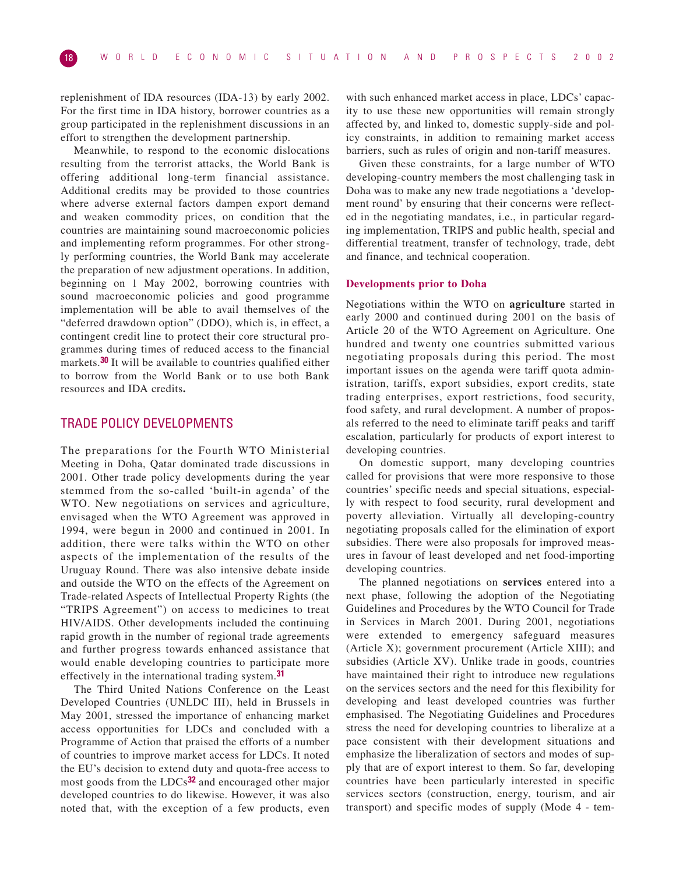replenishment of IDA resources (IDA-13) by early 2002. For the first time in IDA history, borrower countries as a group participated in the replenishment discussions in an effort to strengthen the development partnership.

Meanwhile, to respond to the economic dislocations resulting from the terrorist attacks, the World Bank is offering additional long-term financial assistance. Additional credits may be provided to those countries where adverse external factors dampen export demand and weaken commodity prices, on condition that the countries are maintaining sound macroeconomic policies and implementing reform programmes. For other strongly performing countries, the World Bank may accelerate the preparation of new adjustment operations. In addition, beginning on 1 May 2002, borrowing countries with sound macroeconomic policies and good programme implementation will be able to avail themselves of the "deferred drawdown option" (DDO), which is, in effect, a contingent credit line to protect their core structural programmes during times of reduced access to the financial markets.**30** It will be available to countries qualified either to borrow from the World Bank or to use both Bank resources and IDA credits**.**

# TRADE POLICY DEVELOPMENTS

The preparations for the Fourth WTO Ministerial Meeting in Doha, Qatar dominated trade discussions in 2001. Other trade policy developments during the year stemmed from the so-called 'built-in agenda' of the WTO. New negotiations on services and agriculture, envisaged when the WTO Agreement was approved in 1994, were begun in 2000 and continued in 2001. In addition, there were talks within the WTO on other aspects of the implementation of the results of the Uruguay Round. There was also intensive debate inside and outside the WTO on the effects of the Agreement on Trade-related Aspects of Intellectual Property Rights (the "TRIPS Agreement") on access to medicines to treat HIV/AIDS. Other developments included the continuing rapid growth in the number of regional trade agreements and further progress towards enhanced assistance that would enable developing countries to participate more effectively in the international trading system.**31**

The Third United Nations Conference on the Least Developed Countries (UNLDC III), held in Brussels in May 2001, stressed the importance of enhancing market access opportunities for LDCs and concluded with a Programme of Action that praised the efforts of a number of countries to improve market access for LDCs. It noted the EU's decision to extend duty and quota-free access to most goods from the LDCs**32** and encouraged other major developed countries to do likewise. However, it was also noted that, with the exception of a few products, even

with such enhanced market access in place, LDCs' capacity to use these new opportunities will remain strongly affected by, and linked to, domestic supply-side and policy constraints, in addition to remaining market access barriers, such as rules of origin and non-tariff measures.

Given these constraints, for a large number of WTO developing-country members the most challenging task in Doha was to make any new trade negotiations a 'development round' by ensuring that their concerns were reflected in the negotiating mandates, i.e., in particular regarding implementation, TRIPS and public health, special and differential treatment, transfer of technology, trade, debt and finance, and technical cooperation.

## **Developments prior to Doha**

Negotiations within the WTO on **agriculture** started in early 2000 and continued during 2001 on the basis of Article 20 of the WTO Agreement on Agriculture. One hundred and twenty one countries submitted various negotiating proposals during this period. The most important issues on the agenda were tariff quota administration, tariffs, export subsidies, export credits, state trading enterprises, export restrictions, food security, food safety, and rural development. A number of proposals referred to the need to eliminate tariff peaks and tariff escalation, particularly for products of export interest to developing countries.

On domestic support, many developing countries called for provisions that were more responsive to those countries' specific needs and special situations, especially with respect to food security, rural development and poverty alleviation. Virtually all developing-country negotiating proposals called for the elimination of export subsidies. There were also proposals for improved measures in favour of least developed and net food-importing developing countries.

The planned negotiations on **services** entered into a next phase, following the adoption of the Negotiating Guidelines and Procedures by the WTO Council for Trade in Services in March 2001. During 2001, negotiations were extended to emergency safeguard measures (Article X); government procurement (Article XIII); and subsidies (Article XV). Unlike trade in goods, countries have maintained their right to introduce new regulations on the services sectors and the need for this flexibility for developing and least developed countries was further emphasised. The Negotiating Guidelines and Procedures stress the need for developing countries to liberalize at a pace consistent with their development situations and emphasize the liberalization of sectors and modes of supply that are of export interest to them. So far, developing countries have been particularly interested in specific services sectors (construction, energy, tourism, and air transport) and specific modes of supply (Mode 4 - tem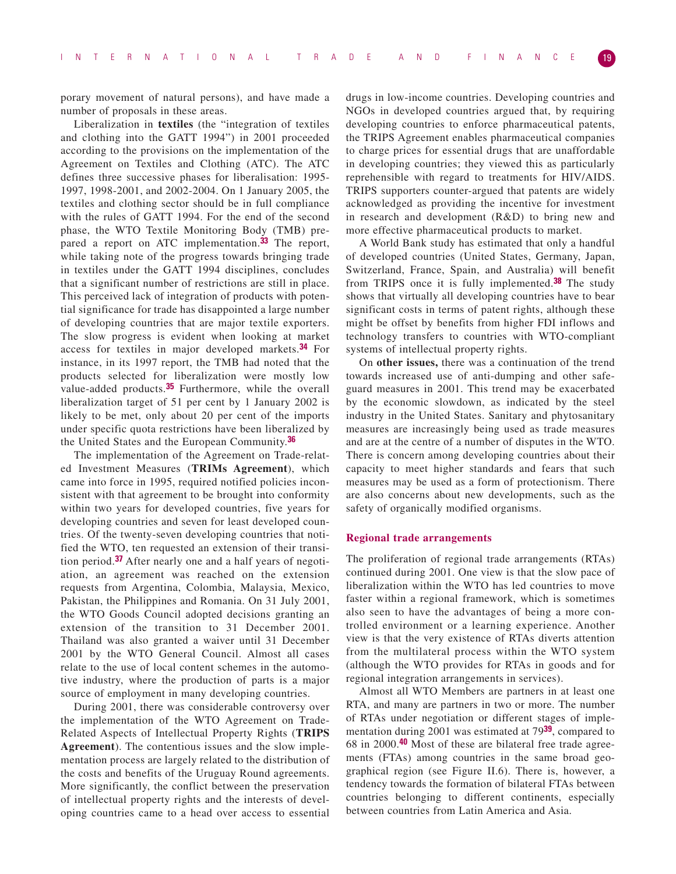porary movement of natural persons), and have made a number of proposals in these areas.

Liberalization in **textiles** (the "integration of textiles and clothing into the GATT 1994") in 2001 proceeded according to the provisions on the implementation of the Agreement on Textiles and Clothing (ATC). The ATC defines three successive phases for liberalisation: 1995- 1997, 1998-2001, and 2002-2004. On 1 January 2005, the textiles and clothing sector should be in full compliance with the rules of GATT 1994. For the end of the second phase, the WTO Textile Monitoring Body (TMB) prepared a report on ATC implementation.**33** The report, while taking note of the progress towards bringing trade in textiles under the GATT 1994 disciplines, concludes that a significant number of restrictions are still in place. This perceived lack of integration of products with potential significance for trade has disappointed a large number of developing countries that are major textile exporters. The slow progress is evident when looking at market access for textiles in major developed markets.**34** For instance, in its 1997 report, the TMB had noted that the products selected for liberalization were mostly low value-added products.**35** Furthermore, while the overall liberalization target of 51 per cent by 1 January 2002 is likely to be met, only about 20 per cent of the imports under specific quota restrictions have been liberalized by the United States and the European Community.**36**

The implementation of the Agreement on Trade-related Investment Measures (**TRIMs Agreement**), which came into force in 1995, required notified policies inconsistent with that agreement to be brought into conformity within two years for developed countries, five years for developing countries and seven for least developed countries. Of the twenty-seven developing countries that notified the WTO, ten requested an extension of their transition period.**37** After nearly one and a half years of negotiation, an agreement was reached on the extension requests from Argentina, Colombia, Malaysia, Mexico, Pakistan, the Philippines and Romania. On 31 July 2001, the WTO Goods Council adopted decisions granting an extension of the transition to 31 December 2001. Thailand was also granted a waiver until 31 December 2001 by the WTO General Council. Almost all cases relate to the use of local content schemes in the automotive industry, where the production of parts is a major source of employment in many developing countries.

During 2001, there was considerable controversy over the implementation of the WTO Agreement on Trade-Related Aspects of Intellectual Property Rights (**TRIPS Agreement**). The contentious issues and the slow implementation process are largely related to the distribution of the costs and benefits of the Uruguay Round agreements. More significantly, the conflict between the preservation of intellectual property rights and the interests of developing countries came to a head over access to essential

drugs in low-income countries. Developing countries and NGOs in developed countries argued that, by requiring developing countries to enforce pharmaceutical patents, the TRIPS Agreement enables pharmaceutical companies to charge prices for essential drugs that are unaffordable in developing countries; they viewed this as particularly reprehensible with regard to treatments for HIV/AIDS. TRIPS supporters counter-argued that patents are widely acknowledged as providing the incentive for investment in research and development (R&D) to bring new and more effective pharmaceutical products to market.

A World Bank study has estimated that only a handful of developed countries (United States, Germany, Japan, Switzerland, France, Spain, and Australia) will benefit from TRIPS once it is fully implemented.**38** The study shows that virtually all developing countries have to bear significant costs in terms of patent rights, although these might be offset by benefits from higher FDI inflows and technology transfers to countries with WTO-compliant systems of intellectual property rights.

On **other issues,** there was a continuation of the trend towards increased use of anti-dumping and other safeguard measures in 2001. This trend may be exacerbated by the economic slowdown, as indicated by the steel industry in the United States. Sanitary and phytosanitary measures are increasingly being used as trade measures and are at the centre of a number of disputes in the WTO. There is concern among developing countries about their capacity to meet higher standards and fears that such measures may be used as a form of protectionism. There are also concerns about new developments, such as the safety of organically modified organisms.

## **Regional trade arrangements**

The proliferation of regional trade arrangements (RTAs) continued during 2001. One view is that the slow pace of liberalization within the WTO has led countries to move faster within a regional framework, which is sometimes also seen to have the advantages of being a more controlled environment or a learning experience. Another view is that the very existence of RTAs diverts attention from the multilateral process within the WTO system (although the WTO provides for RTAs in goods and for regional integration arrangements in services).

Almost all WTO Members are partners in at least one RTA, and many are partners in two or more. The number of RTAs under negotiation or different stages of implementation during 2001 was estimated at 79**39**, compared to 68 in 2000.**40** Most of these are bilateral free trade agreements (FTAs) among countries in the same broad geographical region (see Figure II.6). There is, however, a tendency towards the formation of bilateral FTAs between countries belonging to different continents, especially between countries from Latin America and Asia.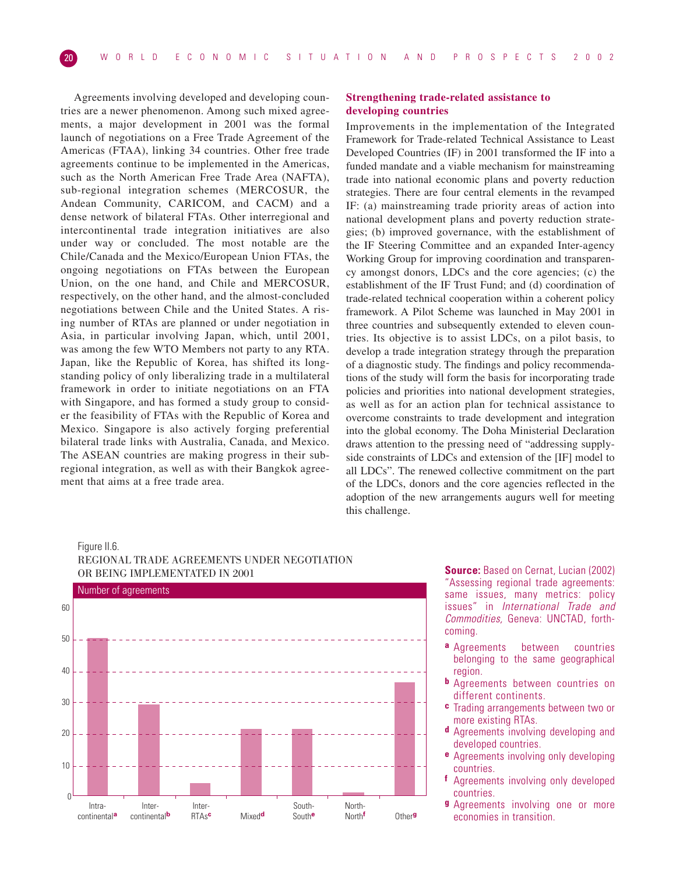Agreements involving developed and developing countries are a newer phenomenon. Among such mixed agreements, a major development in 2001 was the formal launch of negotiations on a Free Trade Agreement of the Americas (FTAA), linking 34 countries. Other free trade agreements continue to be implemented in the Americas, such as the North American Free Trade Area (NAFTA), sub-regional integration schemes (MERCOSUR, the Andean Community, CARICOM, and CACM) and a dense network of bilateral FTAs. Other interregional and intercontinental trade integration initiatives are also under way or concluded. The most notable are the Chile/Canada and the Mexico/European Union FTAs, the ongoing negotiations on FTAs between the European Union, on the one hand, and Chile and MERCOSUR, respectively, on the other hand, and the almost-concluded negotiations between Chile and the United States. A rising number of RTAs are planned or under negotiation in Asia, in particular involving Japan, which, until 2001, was among the few WTO Members not party to any RTA. Japan, like the Republic of Korea, has shifted its longstanding policy of only liberalizing trade in a multilateral framework in order to initiate negotiations on an FTA with Singapore, and has formed a study group to consider the feasibility of FTAs with the Republic of Korea and Mexico. Singapore is also actively forging preferential bilateral trade links with Australia, Canada, and Mexico. The ASEAN countries are making progress in their subregional integration, as well as with their Bangkok agreement that aims at a free trade area.

# **Strengthening trade-related assistance to developing countries**

Improvements in the implementation of the Integrated Framework for Trade-related Technical Assistance to Least Developed Countries (IF) in 2001 transformed the IF into a funded mandate and a viable mechanism for mainstreaming trade into national economic plans and poverty reduction strategies. There are four central elements in the revamped IF: (a) mainstreaming trade priority areas of action into national development plans and poverty reduction strategies; (b) improved governance, with the establishment of the IF Steering Committee and an expanded Inter-agency Working Group for improving coordination and transparency amongst donors, LDCs and the core agencies; (c) the establishment of the IF Trust Fund; and (d) coordination of trade-related technical cooperation within a coherent policy framework. A Pilot Scheme was launched in May 2001 in three countries and subsequently extended to eleven countries. Its objective is to assist LDCs, on a pilot basis, to develop a trade integration strategy through the preparation of a diagnostic study. The findings and policy recommendations of the study will form the basis for incorporating trade policies and priorities into national development strategies, as well as for an action plan for technical assistance to overcome constraints to trade development and integration into the global economy. The Doha Ministerial Declaration draws attention to the pressing need of "addressing supplyside constraints of LDCs and extension of the [IF] model to all LDCs". The renewed collective commitment on the part of the LDCs, donors and the core agencies reflected in the adoption of the new arrangements augurs well for meeting this challenge.

# Figure II.6. REGIONAL TRADE AGREEMENTS UNDER NEGOTIATION OR BEING IMPLEMENTATED IN 2001



**Source:** Based on Cernat, Lucian (2002) "Assessing regional trade agreements: same issues, many metrics: policy issues" in International Trade and Commodities, Geneva: UNCTAD, forthcoming.

- **a** Agreements between countries belonging to the same geographical region.
- **b** Agreements between countries on different continents.
- **c** Trading arrangements between two or more existing RTAs.
- **d** Agreements involving developing and developed countries.
- **e** Agreements involving only developing countries.
- **f** Agreements involving only developed countries.
- **g** Agreements involving one or more economies in transition.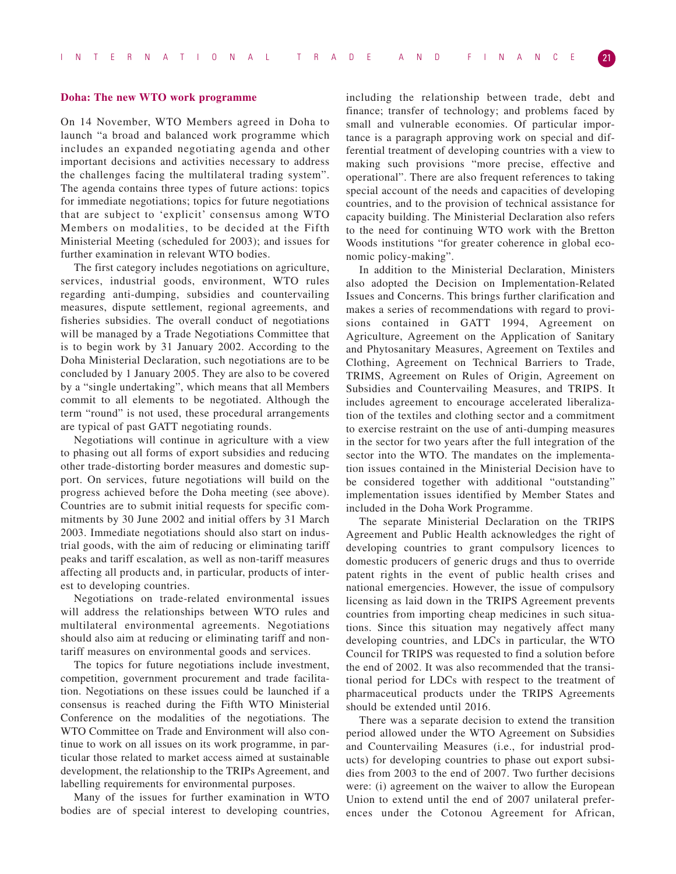## **Doha: The new WTO work programme**

On 14 November, WTO Members agreed in Doha to launch "a broad and balanced work programme which includes an expanded negotiating agenda and other important decisions and activities necessary to address the challenges facing the multilateral trading system". The agenda contains three types of future actions: topics for immediate negotiations; topics for future negotiations that are subject to 'explicit' consensus among WTO Members on modalities, to be decided at the Fifth Ministerial Meeting (scheduled for 2003); and issues for further examination in relevant WTO bodies.

The first category includes negotiations on agriculture, services, industrial goods, environment, WTO rules regarding anti-dumping, subsidies and countervailing measures, dispute settlement, regional agreements, and fisheries subsidies. The overall conduct of negotiations will be managed by a Trade Negotiations Committee that is to begin work by 31 January 2002. According to the Doha Ministerial Declaration, such negotiations are to be concluded by 1 January 2005. They are also to be covered by a "single undertaking", which means that all Members commit to all elements to be negotiated. Although the term "round" is not used, these procedural arrangements are typical of past GATT negotiating rounds.

Negotiations will continue in agriculture with a view to phasing out all forms of export subsidies and reducing other trade-distorting border measures and domestic support. On services, future negotiations will build on the progress achieved before the Doha meeting (see above). Countries are to submit initial requests for specific commitments by 30 June 2002 and initial offers by 31 March 2003. Immediate negotiations should also start on industrial goods, with the aim of reducing or eliminating tariff peaks and tariff escalation, as well as non-tariff measures affecting all products and, in particular, products of interest to developing countries.

Negotiations on trade-related environmental issues will address the relationships between WTO rules and multilateral environmental agreements. Negotiations should also aim at reducing or eliminating tariff and nontariff measures on environmental goods and services.

The topics for future negotiations include investment, competition, government procurement and trade facilitation. Negotiations on these issues could be launched if a consensus is reached during the Fifth WTO Ministerial Conference on the modalities of the negotiations. The WTO Committee on Trade and Environment will also continue to work on all issues on its work programme, in particular those related to market access aimed at sustainable development, the relationship to the TRIPs Agreement, and labelling requirements for environmental purposes.

Many of the issues for further examination in WTO bodies are of special interest to developing countries,

including the relationship between trade, debt and finance; transfer of technology; and problems faced by small and vulnerable economies. Of particular importance is a paragraph approving work on special and differential treatment of developing countries with a view to making such provisions "more precise, effective and operational". There are also frequent references to taking special account of the needs and capacities of developing countries, and to the provision of technical assistance for capacity building. The Ministerial Declaration also refers to the need for continuing WTO work with the Bretton Woods institutions "for greater coherence in global economic policy-making".

In addition to the Ministerial Declaration, Ministers also adopted the Decision on Implementation-Related Issues and Concerns. This brings further clarification and makes a series of recommendations with regard to provisions contained in GATT 1994, Agreement on Agriculture, Agreement on the Application of Sanitary and Phytosanitary Measures, Agreement on Textiles and Clothing, Agreement on Technical Barriers to Trade, TRIMS, Agreement on Rules of Origin, Agreement on Subsidies and Countervailing Measures, and TRIPS. It includes agreement to encourage accelerated liberalization of the textiles and clothing sector and a commitment to exercise restraint on the use of anti-dumping measures in the sector for two years after the full integration of the sector into the WTO. The mandates on the implementation issues contained in the Ministerial Decision have to be considered together with additional "outstanding" implementation issues identified by Member States and included in the Doha Work Programme.

The separate Ministerial Declaration on the TRIPS Agreement and Public Health acknowledges the right of developing countries to grant compulsory licences to domestic producers of generic drugs and thus to override patent rights in the event of public health crises and national emergencies. However, the issue of compulsory licensing as laid down in the TRIPS Agreement prevents countries from importing cheap medicines in such situations. Since this situation may negatively affect many developing countries, and LDCs in particular, the WTO Council for TRIPS was requested to find a solution before the end of 2002. It was also recommended that the transitional period for LDCs with respect to the treatment of pharmaceutical products under the TRIPS Agreements should be extended until 2016.

There was a separate decision to extend the transition period allowed under the WTO Agreement on Subsidies and Countervailing Measures (i.e., for industrial products) for developing countries to phase out export subsidies from 2003 to the end of 2007. Two further decisions were: (i) agreement on the waiver to allow the European Union to extend until the end of 2007 unilateral preferences under the Cotonou Agreement for African,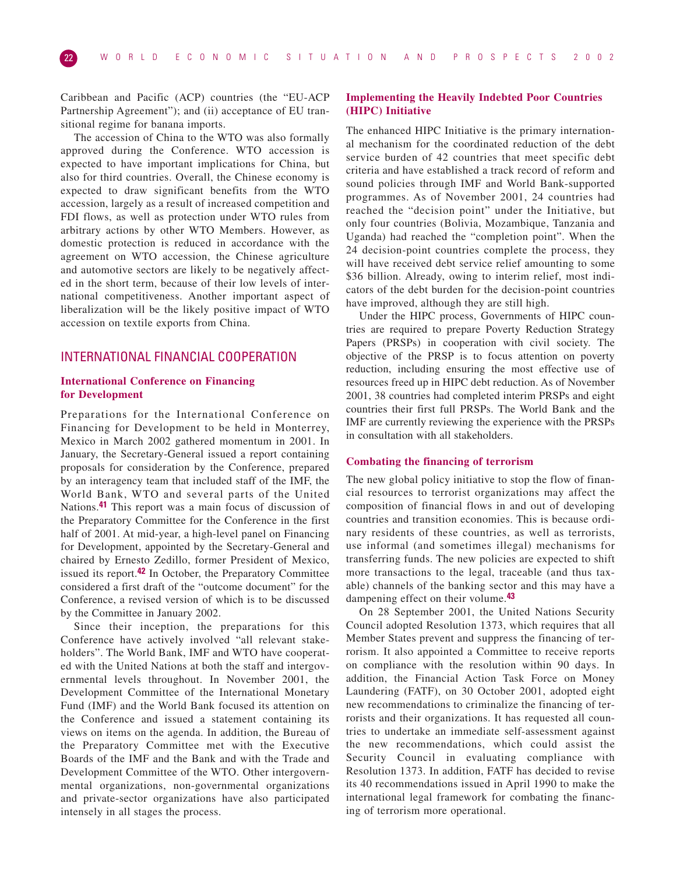Caribbean and Pacific (ACP) countries (the "EU-ACP Partnership Agreement"); and (ii) acceptance of EU transitional regime for banana imports.

The accession of China to the WTO was also formally approved during the Conference. WTO accession is expected to have important implications for China, but also for third countries. Overall, the Chinese economy is expected to draw significant benefits from the WTO accession, largely as a result of increased competition and FDI flows, as well as protection under WTO rules from arbitrary actions by other WTO Members. However, as domestic protection is reduced in accordance with the agreement on WTO accession, the Chinese agriculture and automotive sectors are likely to be negatively affected in the short term, because of their low levels of international competitiveness. Another important aspect of liberalization will be the likely positive impact of WTO accession on textile exports from China.

# INTERNATIONAL FINANCIAL COOPERATION

# **International Conference on Financing for Development**

Preparations for the International Conference on Financing for Development to be held in Monterrey, Mexico in March 2002 gathered momentum in 2001. In January, the Secretary-General issued a report containing proposals for consideration by the Conference, prepared by an interagency team that included staff of the IMF, the World Bank, WTO and several parts of the United Nations.**41** This report was a main focus of discussion of the Preparatory Committee for the Conference in the first half of 2001. At mid-year, a high-level panel on Financing for Development, appointed by the Secretary-General and chaired by Ernesto Zedillo, former President of Mexico, issued its report.**42** In October, the Preparatory Committee considered a first draft of the "outcome document" for the Conference, a revised version of which is to be discussed by the Committee in January 2002.

Since their inception, the preparations for this Conference have actively involved "all relevant stakeholders". The World Bank, IMF and WTO have cooperated with the United Nations at both the staff and intergovernmental levels throughout. In November 2001, the Development Committee of the International Monetary Fund (IMF) and the World Bank focused its attention on the Conference and issued a statement containing its views on items on the agenda. In addition, the Bureau of the Preparatory Committee met with the Executive Boards of the IMF and the Bank and with the Trade and Development Committee of the WTO. Other intergovernmental organizations, non-governmental organizations and private-sector organizations have also participated intensely in all stages the process.

# **Implementing the Heavily Indebted Poor Countries (HIPC) Initiative**

The enhanced HIPC Initiative is the primary international mechanism for the coordinated reduction of the debt service burden of 42 countries that meet specific debt criteria and have established a track record of reform and sound policies through IMF and World Bank-supported programmes. As of November 2001, 24 countries had reached the "decision point" under the Initiative, but only four countries (Bolivia, Mozambique, Tanzania and Uganda) had reached the "completion point". When the 24 decision-point countries complete the process, they will have received debt service relief amounting to some \$36 billion. Already, owing to interim relief, most indicators of the debt burden for the decision-point countries have improved, although they are still high.

Under the HIPC process, Governments of HIPC countries are required to prepare Poverty Reduction Strategy Papers (PRSPs) in cooperation with civil society. The objective of the PRSP is to focus attention on poverty reduction, including ensuring the most effective use of resources freed up in HIPC debt reduction. As of November 2001, 38 countries had completed interim PRSPs and eight countries their first full PRSPs. The World Bank and the IMF are currently reviewing the experience with the PRSPs in consultation with all stakeholders.

## **Combating the financing of terrorism**

The new global policy initiative to stop the flow of financial resources to terrorist organizations may affect the composition of financial flows in and out of developing countries and transition economies. This is because ordinary residents of these countries, as well as terrorists, use informal (and sometimes illegal) mechanisms for transferring funds. The new policies are expected to shift more transactions to the legal, traceable (and thus taxable) channels of the banking sector and this may have a dampening effect on their volume.**43**

On 28 September 2001, the United Nations Security Council adopted Resolution 1373, which requires that all Member States prevent and suppress the financing of terrorism. It also appointed a Committee to receive reports on compliance with the resolution within 90 days. In addition, the Financial Action Task Force on Money Laundering (FATF), on 30 October 2001, adopted eight new recommendations to criminalize the financing of terrorists and their organizations. It has requested all countries to undertake an immediate self-assessment against the new recommendations, which could assist the Security Council in evaluating compliance with Resolution 1373. In addition, FATF has decided to revise its 40 recommendations issued in April 1990 to make the international legal framework for combating the financing of terrorism more operational.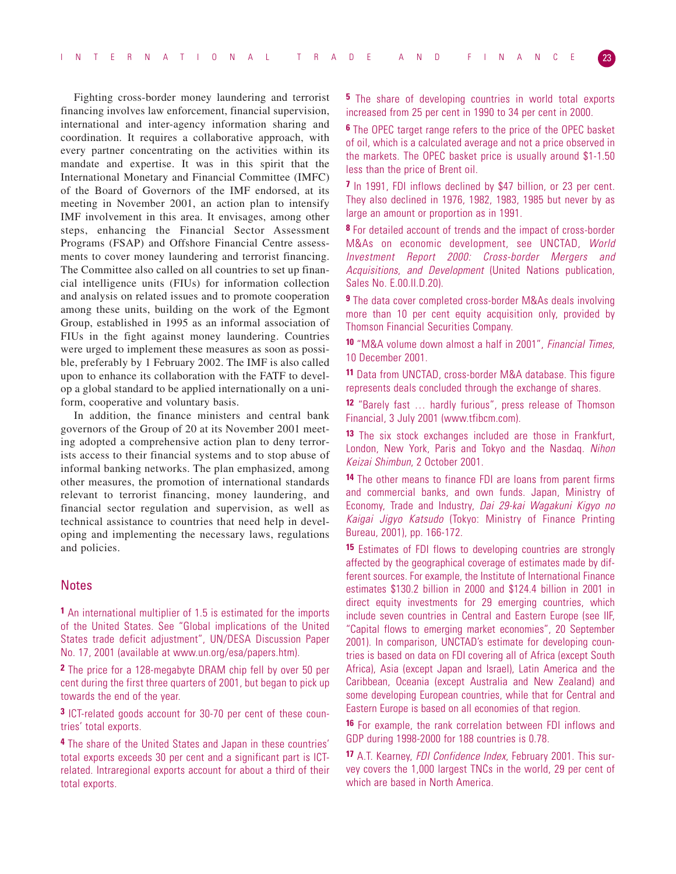Fighting cross-border money laundering and terrorist financing involves law enforcement, financial supervision, international and inter-agency information sharing and coordination. It requires a collaborative approach, with every partner concentrating on the activities within its mandate and expertise. It was in this spirit that the International Monetary and Financial Committee (IMFC) of the Board of Governors of the IMF endorsed, at its meeting in November 2001, an action plan to intensify IMF involvement in this area. It envisages, among other steps, enhancing the Financial Sector Assessment Programs (FSAP) and Offshore Financial Centre assessments to cover money laundering and terrorist financing. The Committee also called on all countries to set up financial intelligence units (FIUs) for information collection and analysis on related issues and to promote cooperation among these units, building on the work of the Egmont Group, established in 1995 as an informal association of FIUs in the fight against money laundering. Countries were urged to implement these measures as soon as possible, preferably by 1 February 2002. The IMF is also called upon to enhance its collaboration with the FATF to develop a global standard to be applied internationally on a uniform, cooperative and voluntary basis.

In addition, the finance ministers and central bank governors of the Group of 20 at its November 2001 meeting adopted a comprehensive action plan to deny terrorists access to their financial systems and to stop abuse of informal banking networks. The plan emphasized, among other measures, the promotion of international standards relevant to terrorist financing, money laundering, and financial sector regulation and supervision, as well as technical assistance to countries that need help in developing and implementing the necessary laws, regulations and policies.

# **Notes**

**1** An international multiplier of 1.5 is estimated for the imports of the United States. See "Global implications of the United States trade deficit adjustment", UN/DESA Discussion Paper No. 17, 2001 (available at www.un.org/esa/papers.htm).

**2** The price for a 128-megabyte DRAM chip fell by over 50 per cent during the first three quarters of 2001, but began to pick up towards the end of the year.

**3** ICT-related goods account for 30-70 per cent of these countries' total exports.

**4** The share of the United States and Japan in these countries' total exports exceeds 30 per cent and a significant part is ICTrelated. Intraregional exports account for about a third of their total exports.

**5** The share of developing countries in world total exports increased from 25 per cent in 1990 to 34 per cent in 2000.

**6** The OPEC target range refers to the price of the OPEC basket of oil, which is a calculated average and not a price observed in the markets. The OPEC basket price is usually around \$1-1.50 less than the price of Brent oil.

**7** In 1991, FDI inflows declined by \$47 billion, or 23 per cent. They also declined in 1976, 1982, 1983, 1985 but never by as large an amount or proportion as in 1991.

**8** For detailed account of trends and the impact of cross-border M&As on economic development, see UNCTAD, World Investment Report 2000: Cross-border Mergers and Acquisitions, and Development (United Nations publication, Sales No. E.00.II.D.20).

**9** The data cover completed cross-border M&As deals involving more than 10 per cent equity acquisition only, provided by Thomson Financial Securities Company.

**10** "M&A volume down almost a half in 2001", Financial Times, 10 December 2001.

**11** Data from UNCTAD, cross-border M&A database. This figure represents deals concluded through the exchange of shares.

**12** "Barely fast … hardly furious", press release of Thomson Financial, 3 July 2001 (www.tfibcm.com).

**13** The six stock exchanges included are those in Frankfurt, London, New York, Paris and Tokyo and the Nasdaq. Nihon Keizai Shimbun, 2 October 2001.

**14** The other means to finance FDI are loans from parent firms and commercial banks, and own funds. Japan, Ministry of Economy, Trade and Industry, Dai 29-kai Wagakuni Kigyo no Kaigai Jigyo Katsudo (Tokyo: Ministry of Finance Printing Bureau, 2001), pp. 166-172.

**15** Estimates of FDI flows to developing countries are strongly affected by the geographical coverage of estimates made by different sources. For example, the Institute of International Finance estimates \$130.2 billion in 2000 and \$124.4 billion in 2001 in direct equity investments for 29 emerging countries, which include seven countries in Central and Eastern Europe (see IIF, "Capital flows to emerging market economies", 20 September 2001). In comparison, UNCTAD's estimate for developing countries is based on data on FDI covering all of Africa (except South Africa), Asia (except Japan and Israel), Latin America and the Caribbean, Oceania (except Australia and New Zealand) and some developing European countries, while that for Central and Eastern Europe is based on all economies of that region.

**16** For example, the rank correlation between FDI inflows and GDP during 1998-2000 for 188 countries is 0.78.

**17** A.T. Kearney, FDI Confidence Index, February 2001. This survey covers the 1,000 largest TNCs in the world, 29 per cent of which are based in North America.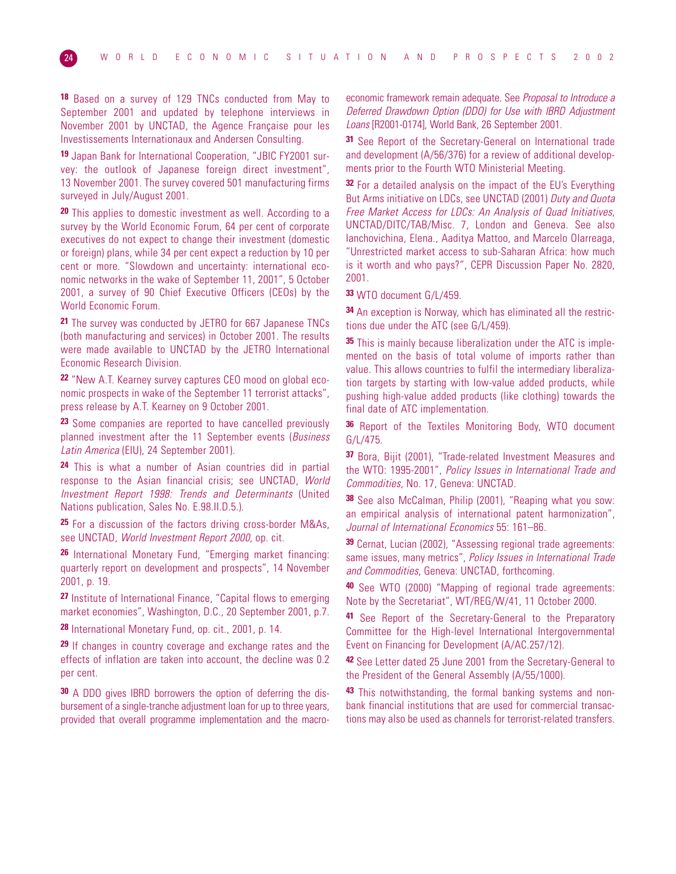**18** Based on a survey of 129 TNCs conducted from May to September 2001 and updated by telephone interviews in November 2001 by UNCTAD, the Agence Française pour les Investissements Internationaux and Andersen Consulting.

**19** Japan Bank for International Cooperation, "JBIC FY2001 survey: the outlook of Japanese foreign direct investment", 13 November 2001. The survey covered 501 manufacturing firms surveyed in July/August 2001.

**20** This applies to domestic investment as well. According to a survey by the World Economic Forum, 64 per cent of corporate executives do not expect to change their investment (domestic or foreign) plans, while 34 per cent expect a reduction by 10 per cent or more. "Slowdown and uncertainty: international economic networks in the wake of September 11, 2001", 5 October 2001, a survey of 90 Chief Executive Officers (CEOs) by the World Economic Forum.

**21** The survey was conducted by JETRO for 667 Japanese TNCs (both manufacturing and services) in October 2001. The results were made available to UNCTAD by the JETRO International Economic Research Division.

**22** "New A.T. Kearney survey captures CEO mood on global economic prospects in wake of the September 11 terrorist attacks", press release by A.T. Kearney on 9 October 2001.

**23** Some companies are reported to have cancelled previously planned investment after the 11 September events (Business Latin America (EIU), 24 September 2001).

**24** This is what a number of Asian countries did in partial response to the Asian financial crisis; see UNCTAD, World Investment Report 1998: Trends and Determinants (United Nations publication, Sales No. E.98.II.D.5.).

**25** For a discussion of the factors driving cross-border M&As, see UNCTAD, World Investment Report 2000, op. cit.

**26** International Monetary Fund, "Emerging market financing: quarterly report on development and prospects", 14 November 2001, p. 19.

**27** Institute of International Finance, "Capital flows to emerging market economies", Washington, D.C., 20 September 2001, p.7.

**28** International Monetary Fund, op. cit., 2001, p. 14.

**29** If changes in country coverage and exchange rates and the effects of inflation are taken into account, the decline was 0.2 per cent.

**30** A DDO gives IBRD borrowers the option of deferring the disbursement of a single-tranche adjustment loan for up to three years, provided that overall programme implementation and the macroeconomic framework remain adequate. See Proposal to Introduce a Deferred Drawdown Option (DDO) for Use with IBRD Adjustment Loans [R2001-0174], World Bank, 26 September 2001.

**31** See Report of the Secretary-General on International trade and development (A/56/376) for a review of additional developments prior to the Fourth WTO Ministerial Meeting.

**32** For a detailed analysis on the impact of the EU's Everything But Arms initiative on LDCs, see UNCTAD (2001) Duty and Quota Free Market Access for LDCs: An Analysis of Quad Initiatives, UNCTAD/DITC/TAB/Misc. 7, London and Geneva. See also Ianchovichina, Elena., Aaditya Mattoo, and Marcelo Olarreaga, "Unrestricted market access to sub-Saharan Africa: how much is it worth and who pays?", CEPR Discussion Paper No. 2820, 2001.

**33** WTO document G/L/459.

**34** An exception is Norway, which has eliminated all the restrictions due under the ATC (see G/L/459).

**35** This is mainly because liberalization under the ATC is implemented on the basis of total volume of imports rather than value. This allows countries to fulfil the intermediary liberalization targets by starting with low-value added products, while pushing high-value added products (like clothing) towards the final date of ATC implementation.

**36** Report of the Textiles Monitoring Body, WTO document G/L/475.

**37** Bora, Bijit (2001), "Trade-related Investment Measures and the WTO: 1995-2001", Policy Issues in International Trade and Commodities, No. 17, Geneva: UNCTAD.

**38** See also McCalman, Philip (2001), "Reaping what you sow: an empirical analysis of international patent harmonization", Journal of International Economics 55: 161–86.

**39** Cernat, Lucian (2002), "Assessing regional trade agreements: same issues, many metrics", Policy Issues in International Trade and Commodities, Geneva: UNCTAD, forthcoming.

**40** See WTO (2000) "Mapping of regional trade agreements: Note by the Secretariat", WT/REG/W/41, 11 October 2000.

**41** See Report of the Secretary-General to the Preparatory Committee for the High-level International Intergovernmental Event on Financing for Development (A/AC.257/12).

**42** See Letter dated 25 June 2001 from the Secretary-General to the President of the General Assembly (A/55/1000).

**43** This notwithstanding, the formal banking systems and nonbank financial institutions that are used for commercial transactions may also be used as channels for terrorist-related transfers.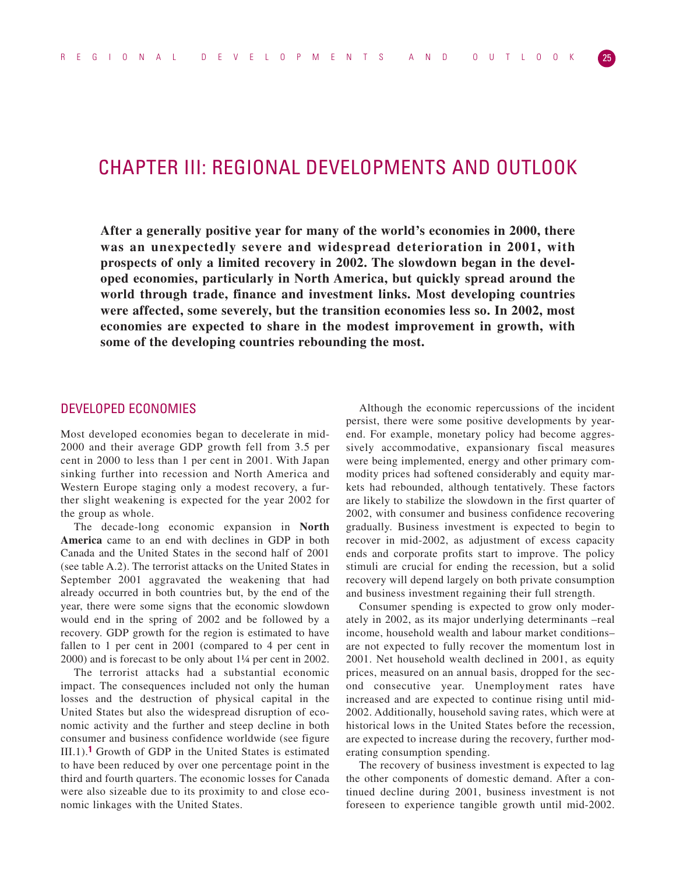# CHAPTER III: REGIONAL DEVELOPMENTS AND OUTLOOK

**After a generally positive year for many of the world's economies in 2000, there was an unexpectedly severe and widespread deterioration in 2001, with prospects of only a limited recovery in 2002. The slowdown began in the developed economies, particularly in North America, but quickly spread around the world through trade, finance and investment links. Most developing countries were affected, some severely, but the transition economies less so. In 2002, most economies are expected to share in the modest improvement in growth, with some of the developing countries rebounding the most.**

# DEVELOPED ECONOMIES

Most developed economies began to decelerate in mid-2000 and their average GDP growth fell from 3.5 per cent in 2000 to less than 1 per cent in 2001. With Japan sinking further into recession and North America and Western Europe staging only a modest recovery, a further slight weakening is expected for the year 2002 for the group as whole.

The decade-long economic expansion in **North America** came to an end with declines in GDP in both Canada and the United States in the second half of 2001 (see table A.2). The terrorist attacks on the United States in September 2001 aggravated the weakening that had already occurred in both countries but, by the end of the year, there were some signs that the economic slowdown would end in the spring of 2002 and be followed by a recovery. GDP growth for the region is estimated to have fallen to 1 per cent in 2001 (compared to 4 per cent in 2000) and is forecast to be only about 1¼ per cent in 2002.

The terrorist attacks had a substantial economic impact. The consequences included not only the human losses and the destruction of physical capital in the United States but also the widespread disruption of economic activity and the further and steep decline in both consumer and business confidence worldwide (see figure III.1).**1** Growth of GDP in the United States is estimated to have been reduced by over one percentage point in the third and fourth quarters. The economic losses for Canada were also sizeable due to its proximity to and close economic linkages with the United States.

Although the economic repercussions of the incident persist, there were some positive developments by yearend. For example, monetary policy had become aggressively accommodative, expansionary fiscal measures were being implemented, energy and other primary commodity prices had softened considerably and equity markets had rebounded, although tentatively. These factors are likely to stabilize the slowdown in the first quarter of 2002, with consumer and business confidence recovering gradually. Business investment is expected to begin to recover in mid-2002, as adjustment of excess capacity ends and corporate profits start to improve. The policy stimuli are crucial for ending the recession, but a solid recovery will depend largely on both private consumption and business investment regaining their full strength.

Consumer spending is expected to grow only moderately in 2002, as its major underlying determinants –real income, household wealth and labour market conditions– are not expected to fully recover the momentum lost in 2001. Net household wealth declined in 2001, as equity prices, measured on an annual basis, dropped for the second consecutive year. Unemployment rates have increased and are expected to continue rising until mid-2002. Additionally, household saving rates, which were at historical lows in the United States before the recession, are expected to increase during the recovery, further moderating consumption spending.

The recovery of business investment is expected to lag the other components of domestic demand. After a continued decline during 2001, business investment is not foreseen to experience tangible growth until mid-2002.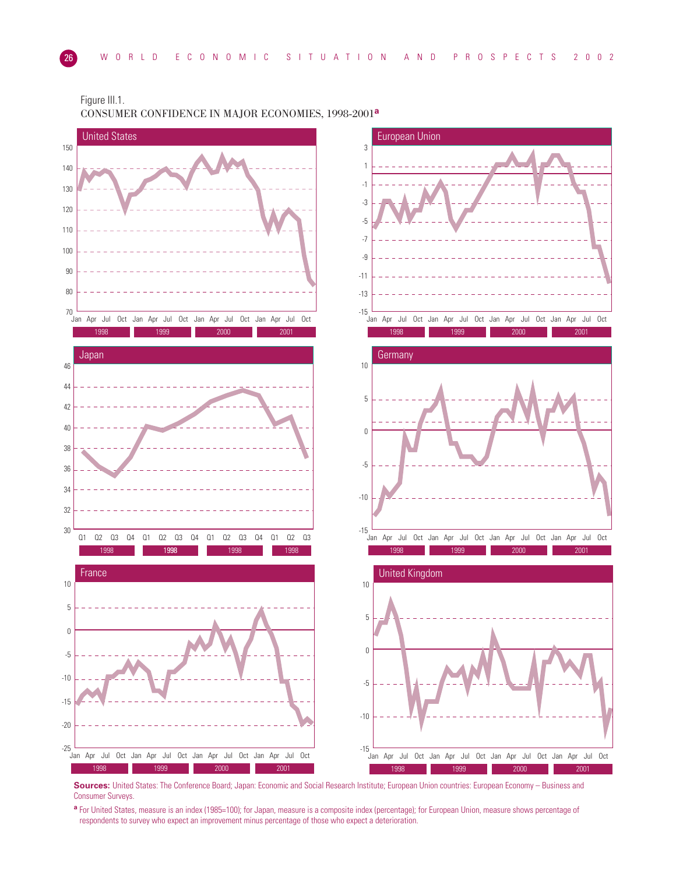

Figure III.1. CONSUMER CONFIDENCE IN MAJOR ECONOMIES, 1998-2001**<sup>a</sup>**

**Sources:** United States: The Conference Board; Japan: Economic and Social Research Institute; European Union countries: European Economy – Business and Consumer Surveys.

**<sup>a</sup>** For United States, measure is an index (1985=100); for Japan, measure is a composite index (percentage); for European Union, measure shows percentage of respondents to survey who expect an improvement minus percentage of those who expect a deterioration.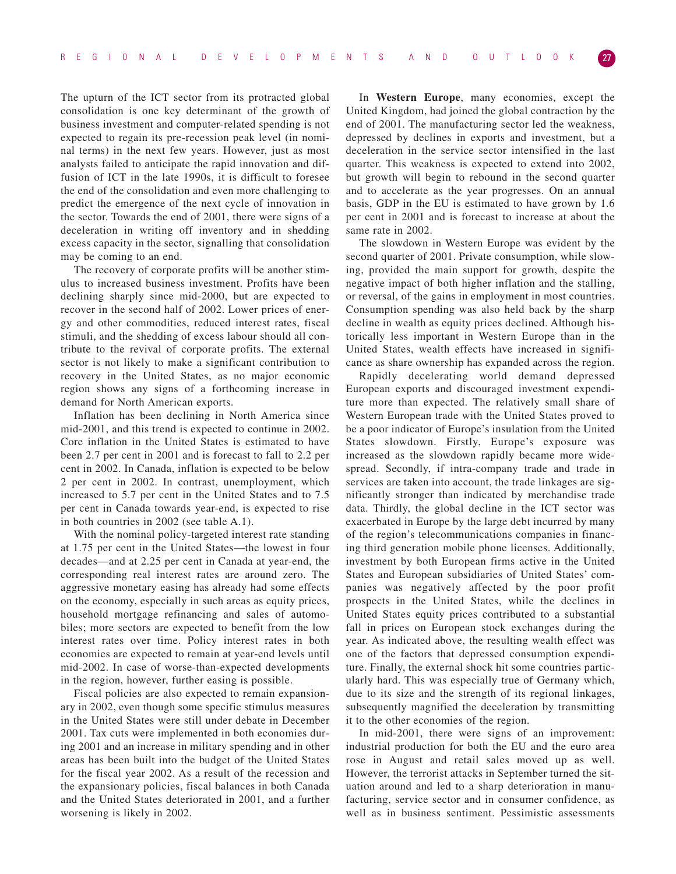The upturn of the ICT sector from its protracted global consolidation is one key determinant of the growth of business investment and computer-related spending is not expected to regain its pre-recession peak level (in nominal terms) in the next few years. However, just as most analysts failed to anticipate the rapid innovation and diffusion of ICT in the late 1990s, it is difficult to foresee the end of the consolidation and even more challenging to predict the emergence of the next cycle of innovation in the sector. Towards the end of 2001, there were signs of a deceleration in writing off inventory and in shedding excess capacity in the sector, signalling that consolidation may be coming to an end.

The recovery of corporate profits will be another stimulus to increased business investment. Profits have been declining sharply since mid-2000, but are expected to recover in the second half of 2002. Lower prices of energy and other commodities, reduced interest rates, fiscal stimuli, and the shedding of excess labour should all contribute to the revival of corporate profits. The external sector is not likely to make a significant contribution to recovery in the United States, as no major economic region shows any signs of a forthcoming increase in demand for North American exports.

Inflation has been declining in North America since mid-2001, and this trend is expected to continue in 2002. Core inflation in the United States is estimated to have been 2.7 per cent in 2001 and is forecast to fall to 2.2 per cent in 2002. In Canada, inflation is expected to be below 2 per cent in 2002. In contrast, unemployment, which increased to 5.7 per cent in the United States and to 7.5 per cent in Canada towards year-end, is expected to rise in both countries in 2002 (see table A.1).

With the nominal policy-targeted interest rate standing at 1.75 per cent in the United States—the lowest in four decades—and at 2.25 per cent in Canada at year-end, the corresponding real interest rates are around zero. The aggressive monetary easing has already had some effects on the economy, especially in such areas as equity prices, household mortgage refinancing and sales of automobiles; more sectors are expected to benefit from the low interest rates over time. Policy interest rates in both economies are expected to remain at year-end levels until mid-2002. In case of worse-than-expected developments in the region, however, further easing is possible.

Fiscal policies are also expected to remain expansionary in 2002, even though some specific stimulus measures in the United States were still under debate in December 2001. Tax cuts were implemented in both economies during 2001 and an increase in military spending and in other areas has been built into the budget of the United States for the fiscal year 2002. As a result of the recession and the expansionary policies, fiscal balances in both Canada and the United States deteriorated in 2001, and a further worsening is likely in 2002.

In **Western Europe**, many economies, except the United Kingdom, had joined the global contraction by the end of 2001. The manufacturing sector led the weakness, depressed by declines in exports and investment, but a deceleration in the service sector intensified in the last quarter. This weakness is expected to extend into 2002, but growth will begin to rebound in the second quarter and to accelerate as the year progresses. On an annual basis, GDP in the EU is estimated to have grown by 1.6 per cent in 2001 and is forecast to increase at about the same rate in 2002.

The slowdown in Western Europe was evident by the second quarter of 2001. Private consumption, while slowing, provided the main support for growth, despite the negative impact of both higher inflation and the stalling, or reversal, of the gains in employment in most countries. Consumption spending was also held back by the sharp decline in wealth as equity prices declined. Although historically less important in Western Europe than in the United States, wealth effects have increased in significance as share ownership has expanded across the region.

Rapidly decelerating world demand depressed European exports and discouraged investment expenditure more than expected. The relatively small share of Western European trade with the United States proved to be a poor indicator of Europe's insulation from the United States slowdown. Firstly, Europe's exposure was increased as the slowdown rapidly became more widespread. Secondly, if intra-company trade and trade in services are taken into account, the trade linkages are significantly stronger than indicated by merchandise trade data. Thirdly, the global decline in the ICT sector was exacerbated in Europe by the large debt incurred by many of the region's telecommunications companies in financing third generation mobile phone licenses. Additionally, investment by both European firms active in the United States and European subsidiaries of United States' companies was negatively affected by the poor profit prospects in the United States, while the declines in United States equity prices contributed to a substantial fall in prices on European stock exchanges during the year. As indicated above, the resulting wealth effect was one of the factors that depressed consumption expenditure. Finally, the external shock hit some countries particularly hard. This was especially true of Germany which, due to its size and the strength of its regional linkages, subsequently magnified the deceleration by transmitting it to the other economies of the region.

In mid-2001, there were signs of an improvement: industrial production for both the EU and the euro area rose in August and retail sales moved up as well. However, the terrorist attacks in September turned the situation around and led to a sharp deterioration in manufacturing, service sector and in consumer confidence, as well as in business sentiment. Pessimistic assessments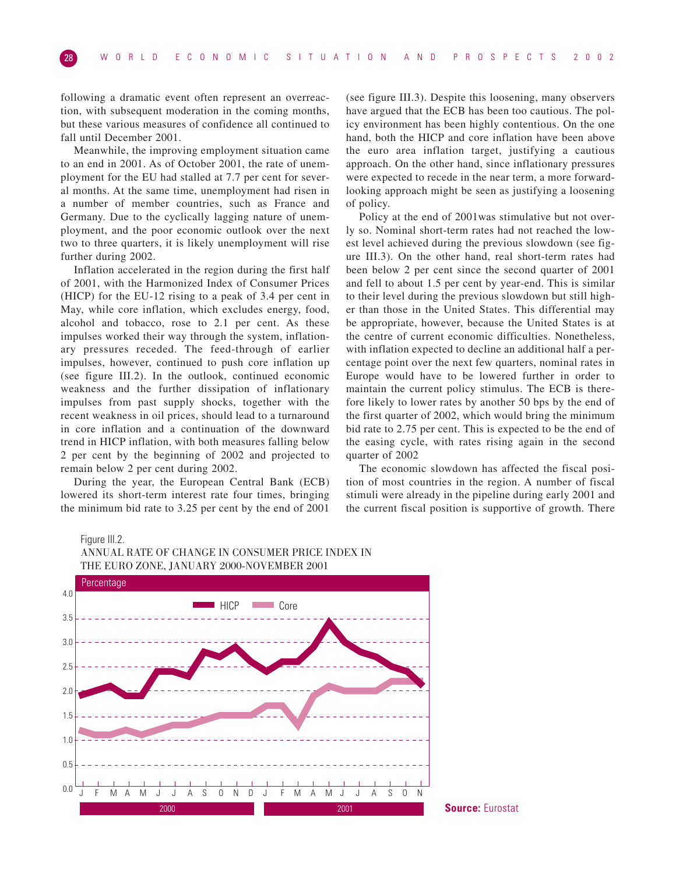following a dramatic event often represent an overreaction, with subsequent moderation in the coming months, but these various measures of confidence all continued to fall until December 2001.

Meanwhile, the improving employment situation came to an end in 2001. As of October 2001, the rate of unemployment for the EU had stalled at 7.7 per cent for several months. At the same time, unemployment had risen in a number of member countries, such as France and Germany. Due to the cyclically lagging nature of unemployment, and the poor economic outlook over the next two to three quarters, it is likely unemployment will rise further during 2002.

Inflation accelerated in the region during the first half of 2001, with the Harmonized Index of Consumer Prices (HICP) for the EU-12 rising to a peak of 3.4 per cent in May, while core inflation, which excludes energy, food, alcohol and tobacco, rose to 2.1 per cent. As these impulses worked their way through the system, inflationary pressures receded. The feed-through of earlier impulses, however, continued to push core inflation up (see figure III.2). In the outlook, continued economic weakness and the further dissipation of inflationary impulses from past supply shocks, together with the recent weakness in oil prices, should lead to a turnaround in core inflation and a continuation of the downward trend in HICP inflation, with both measures falling below 2 per cent by the beginning of 2002 and projected to remain below 2 per cent during 2002.

During the year, the European Central Bank (ECB) lowered its short-term interest rate four times, bringing the minimum bid rate to 3.25 per cent by the end of 2001

(see figure III.3). Despite this loosening, many observers have argued that the ECB has been too cautious. The policy environment has been highly contentious. On the one hand, both the HICP and core inflation have been above the euro area inflation target, justifying a cautious approach. On the other hand, since inflationary pressures were expected to recede in the near term, a more forwardlooking approach might be seen as justifying a loosening of policy.

Policy at the end of 2001was stimulative but not overly so. Nominal short-term rates had not reached the lowest level achieved during the previous slowdown (see figure III.3). On the other hand, real short-term rates had been below 2 per cent since the second quarter of 2001 and fell to about 1.5 per cent by year-end. This is similar to their level during the previous slowdown but still higher than those in the United States. This differential may be appropriate, however, because the United States is at the centre of current economic difficulties. Nonetheless, with inflation expected to decline an additional half a percentage point over the next few quarters, nominal rates in Europe would have to be lowered further in order to maintain the current policy stimulus. The ECB is therefore likely to lower rates by another 50 bps by the end of the first quarter of 2002, which would bring the minimum bid rate to 2.75 per cent. This is expected to be the end of the easing cycle, with rates rising again in the second quarter of 2002

The economic slowdown has affected the fiscal position of most countries in the region. A number of fiscal stimuli were already in the pipeline during early 2001 and the current fiscal position is supportive of growth. There

Figure III.2.



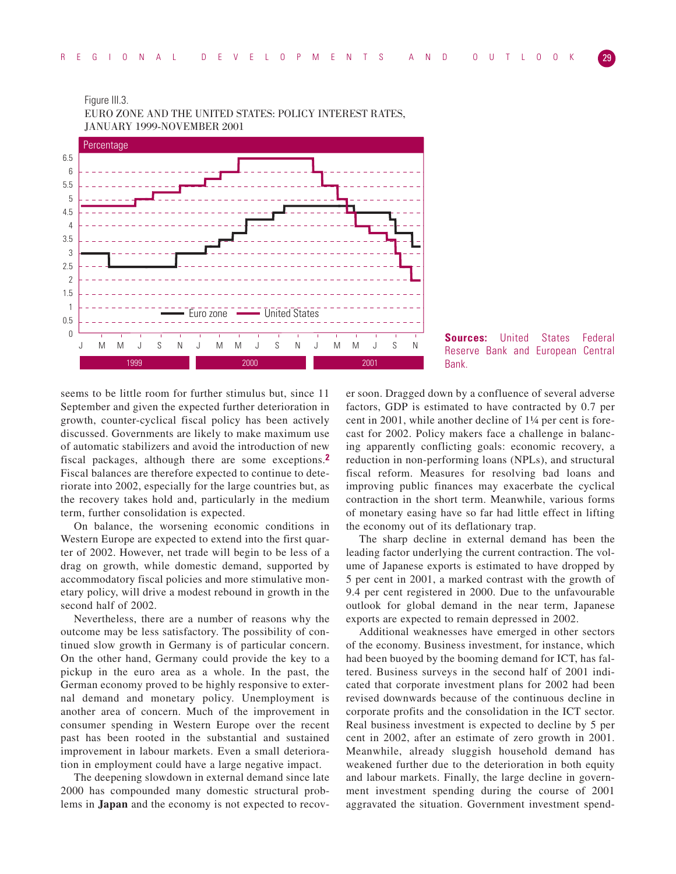

Figure III.3. EURO ZONE AND THE UNITED STATES: POLICY INTEREST RATES, JANUARY 1999-NOVEMBER 2001



seems to be little room for further stimulus but, since 11 September and given the expected further deterioration in growth, counter-cyclical fiscal policy has been actively discussed. Governments are likely to make maximum use of automatic stabilizers and avoid the introduction of new fiscal packages, although there are some exceptions.**2** Fiscal balances are therefore expected to continue to deteriorate into 2002, especially for the large countries but, as the recovery takes hold and, particularly in the medium term, further consolidation is expected.

On balance, the worsening economic conditions in Western Europe are expected to extend into the first quarter of 2002. However, net trade will begin to be less of a drag on growth, while domestic demand, supported by accommodatory fiscal policies and more stimulative monetary policy, will drive a modest rebound in growth in the second half of 2002.

Nevertheless, there are a number of reasons why the outcome may be less satisfactory. The possibility of continued slow growth in Germany is of particular concern. On the other hand, Germany could provide the key to a pickup in the euro area as a whole. In the past, the German economy proved to be highly responsive to external demand and monetary policy. Unemployment is another area of concern. Much of the improvement in consumer spending in Western Europe over the recent past has been rooted in the substantial and sustained improvement in labour markets. Even a small deterioration in employment could have a large negative impact.

The deepening slowdown in external demand since late 2000 has compounded many domestic structural problems in **Japan** and the economy is not expected to recover soon. Dragged down by a confluence of several adverse factors, GDP is estimated to have contracted by 0.7 per cent in 2001, while another decline of 1¼ per cent is forecast for 2002. Policy makers face a challenge in balancing apparently conflicting goals: economic recovery, a reduction in non-performing loans (NPLs), and structural fiscal reform. Measures for resolving bad loans and improving public finances may exacerbate the cyclical contraction in the short term. Meanwhile, various forms of monetary easing have so far had little effect in lifting the economy out of its deflationary trap.

The sharp decline in external demand has been the leading factor underlying the current contraction. The volume of Japanese exports is estimated to have dropped by 5 per cent in 2001, a marked contrast with the growth of 9.4 per cent registered in 2000. Due to the unfavourable outlook for global demand in the near term, Japanese exports are expected to remain depressed in 2002.

Additional weaknesses have emerged in other sectors of the economy. Business investment, for instance, which had been buoyed by the booming demand for ICT, has faltered. Business surveys in the second half of 2001 indicated that corporate investment plans for 2002 had been revised downwards because of the continuous decline in corporate profits and the consolidation in the ICT sector. Real business investment is expected to decline by 5 per cent in 2002, after an estimate of zero growth in 2001. Meanwhile, already sluggish household demand has weakened further due to the deterioration in both equity and labour markets. Finally, the large decline in government investment spending during the course of 2001 aggravated the situation. Government investment spend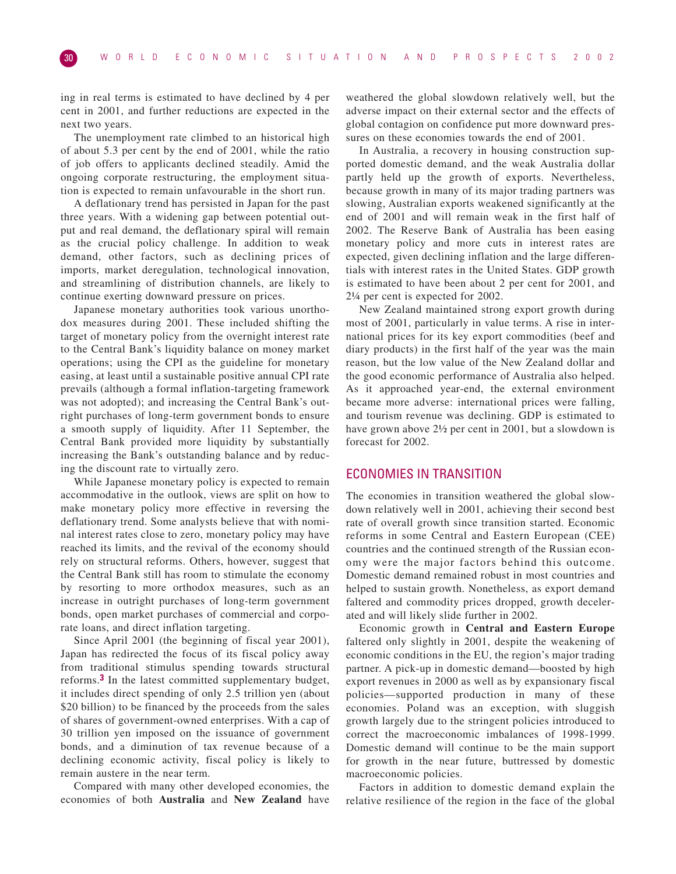ing in real terms is estimated to have declined by 4 per cent in 2001, and further reductions are expected in the next two years.

The unemployment rate climbed to an historical high of about 5.3 per cent by the end of 2001, while the ratio of job offers to applicants declined steadily. Amid the ongoing corporate restructuring, the employment situation is expected to remain unfavourable in the short run.

A deflationary trend has persisted in Japan for the past three years. With a widening gap between potential output and real demand, the deflationary spiral will remain as the crucial policy challenge. In addition to weak demand, other factors, such as declining prices of imports, market deregulation, technological innovation, and streamlining of distribution channels, are likely to continue exerting downward pressure on prices.

Japanese monetary authorities took various unorthodox measures during 2001. These included shifting the target of monetary policy from the overnight interest rate to the Central Bank's liquidity balance on money market operations; using the CPI as the guideline for monetary easing, at least until a sustainable positive annual CPI rate prevails (although a formal inflation-targeting framework was not adopted); and increasing the Central Bank's outright purchases of long-term government bonds to ensure a smooth supply of liquidity. After 11 September, the Central Bank provided more liquidity by substantially increasing the Bank's outstanding balance and by reducing the discount rate to virtually zero.

While Japanese monetary policy is expected to remain accommodative in the outlook, views are split on how to make monetary policy more effective in reversing the deflationary trend. Some analysts believe that with nominal interest rates close to zero, monetary policy may have reached its limits, and the revival of the economy should rely on structural reforms. Others, however, suggest that the Central Bank still has room to stimulate the economy by resorting to more orthodox measures, such as an increase in outright purchases of long-term government bonds, open market purchases of commercial and corporate loans, and direct inflation targeting.

Since April 2001 (the beginning of fiscal year 2001), Japan has redirected the focus of its fiscal policy away from traditional stimulus spending towards structural reforms.**3** In the latest committed supplementary budget, it includes direct spending of only 2.5 trillion yen (about \$20 billion) to be financed by the proceeds from the sales of shares of government-owned enterprises. With a cap of 30 trillion yen imposed on the issuance of government bonds, and a diminution of tax revenue because of a declining economic activity, fiscal policy is likely to remain austere in the near term.

Compared with many other developed economies, the economies of both **Australia** and **New Zealand** have weathered the global slowdown relatively well, but the adverse impact on their external sector and the effects of global contagion on confidence put more downward pressures on these economies towards the end of 2001.

In Australia, a recovery in housing construction supported domestic demand, and the weak Australia dollar partly held up the growth of exports. Nevertheless, because growth in many of its major trading partners was slowing, Australian exports weakened significantly at the end of 2001 and will remain weak in the first half of 2002. The Reserve Bank of Australia has been easing monetary policy and more cuts in interest rates are expected, given declining inflation and the large differentials with interest rates in the United States. GDP growth is estimated to have been about 2 per cent for 2001, and 2¼ per cent is expected for 2002.

New Zealand maintained strong export growth during most of 2001, particularly in value terms. A rise in international prices for its key export commodities (beef and diary products) in the first half of the year was the main reason, but the low value of the New Zealand dollar and the good economic performance of Australia also helped. As it approached year-end, the external environment became more adverse: international prices were falling, and tourism revenue was declining. GDP is estimated to have grown above 2½ per cent in 2001, but a slowdown is forecast for 2002.

# ECONOMIES IN TRANSITION

The economies in transition weathered the global slowdown relatively well in 2001, achieving their second best rate of overall growth since transition started. Economic reforms in some Central and Eastern European (CEE) countries and the continued strength of the Russian economy were the major factors behind this outcome. Domestic demand remained robust in most countries and helped to sustain growth. Nonetheless, as export demand faltered and commodity prices dropped, growth decelerated and will likely slide further in 2002.

Economic growth in **Central and Eastern Europe** faltered only slightly in 2001, despite the weakening of economic conditions in the EU, the region's major trading partner. A pick-up in domestic demand—boosted by high export revenues in 2000 as well as by expansionary fiscal policies—supported production in many of these economies. Poland was an exception, with sluggish growth largely due to the stringent policies introduced to correct the macroeconomic imbalances of 1998-1999. Domestic demand will continue to be the main support for growth in the near future, buttressed by domestic macroeconomic policies.

Factors in addition to domestic demand explain the relative resilience of the region in the face of the global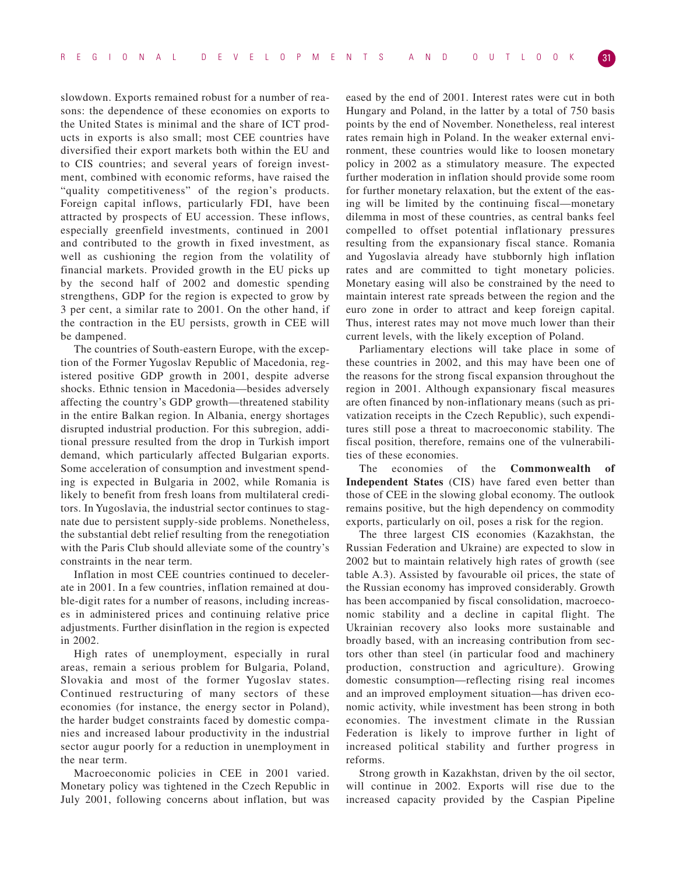slowdown. Exports remained robust for a number of reasons: the dependence of these economies on exports to the United States is minimal and the share of ICT products in exports is also small; most CEE countries have diversified their export markets both within the EU and to CIS countries; and several years of foreign investment, combined with economic reforms, have raised the "quality competitiveness" of the region's products. Foreign capital inflows, particularly FDI, have been attracted by prospects of EU accession. These inflows, especially greenfield investments, continued in 2001 and contributed to the growth in fixed investment, as well as cushioning the region from the volatility of financial markets. Provided growth in the EU picks up by the second half of 2002 and domestic spending strengthens, GDP for the region is expected to grow by 3 per cent, a similar rate to 2001. On the other hand, if the contraction in the EU persists, growth in CEE will be dampened.

The countries of South-eastern Europe, with the exception of the Former Yugoslav Republic of Macedonia, registered positive GDP growth in 2001, despite adverse shocks. Ethnic tension in Macedonia—besides adversely affecting the country's GDP growth—threatened stability in the entire Balkan region. In Albania, energy shortages disrupted industrial production. For this subregion, additional pressure resulted from the drop in Turkish import demand, which particularly affected Bulgarian exports. Some acceleration of consumption and investment spending is expected in Bulgaria in 2002, while Romania is likely to benefit from fresh loans from multilateral creditors. In Yugoslavia, the industrial sector continues to stagnate due to persistent supply-side problems. Nonetheless, the substantial debt relief resulting from the renegotiation with the Paris Club should alleviate some of the country's constraints in the near term.

Inflation in most CEE countries continued to decelerate in 2001. In a few countries, inflation remained at double-digit rates for a number of reasons, including increases in administered prices and continuing relative price adjustments. Further disinflation in the region is expected in 2002.

High rates of unemployment, especially in rural areas, remain a serious problem for Bulgaria, Poland, Slovakia and most of the former Yugoslav states. Continued restructuring of many sectors of these economies (for instance, the energy sector in Poland), the harder budget constraints faced by domestic companies and increased labour productivity in the industrial sector augur poorly for a reduction in unemployment in the near term.

Macroeconomic policies in CEE in 2001 varied. Monetary policy was tightened in the Czech Republic in July 2001, following concerns about inflation, but was eased by the end of 2001. Interest rates were cut in both Hungary and Poland, in the latter by a total of 750 basis points by the end of November. Nonetheless, real interest rates remain high in Poland. In the weaker external environment, these countries would like to loosen monetary policy in 2002 as a stimulatory measure. The expected further moderation in inflation should provide some room for further monetary relaxation, but the extent of the easing will be limited by the continuing fiscal—monetary dilemma in most of these countries, as central banks feel compelled to offset potential inflationary pressures resulting from the expansionary fiscal stance. Romania and Yugoslavia already have stubbornly high inflation rates and are committed to tight monetary policies. Monetary easing will also be constrained by the need to maintain interest rate spreads between the region and the euro zone in order to attract and keep foreign capital. Thus, interest rates may not move much lower than their current levels, with the likely exception of Poland.

Parliamentary elections will take place in some of these countries in 2002, and this may have been one of the reasons for the strong fiscal expansion throughout the region in 2001. Although expansionary fiscal measures are often financed by non-inflationary means (such as privatization receipts in the Czech Republic), such expenditures still pose a threat to macroeconomic stability. The fiscal position, therefore, remains one of the vulnerabilities of these economies.

The economies of the **Commonwealth of Independent States** (CIS) have fared even better than those of CEE in the slowing global economy. The outlook remains positive, but the high dependency on commodity exports, particularly on oil, poses a risk for the region.

The three largest CIS economies (Kazakhstan, the Russian Federation and Ukraine) are expected to slow in 2002 but to maintain relatively high rates of growth (see table A.3). Assisted by favourable oil prices, the state of the Russian economy has improved considerably. Growth has been accompanied by fiscal consolidation, macroeconomic stability and a decline in capital flight. The Ukrainian recovery also looks more sustainable and broadly based, with an increasing contribution from sectors other than steel (in particular food and machinery production, construction and agriculture). Growing domestic consumption—reflecting rising real incomes and an improved employment situation—has driven economic activity, while investment has been strong in both economies. The investment climate in the Russian Federation is likely to improve further in light of increased political stability and further progress in reforms.

Strong growth in Kazakhstan, driven by the oil sector, will continue in 2002. Exports will rise due to the increased capacity provided by the Caspian Pipeline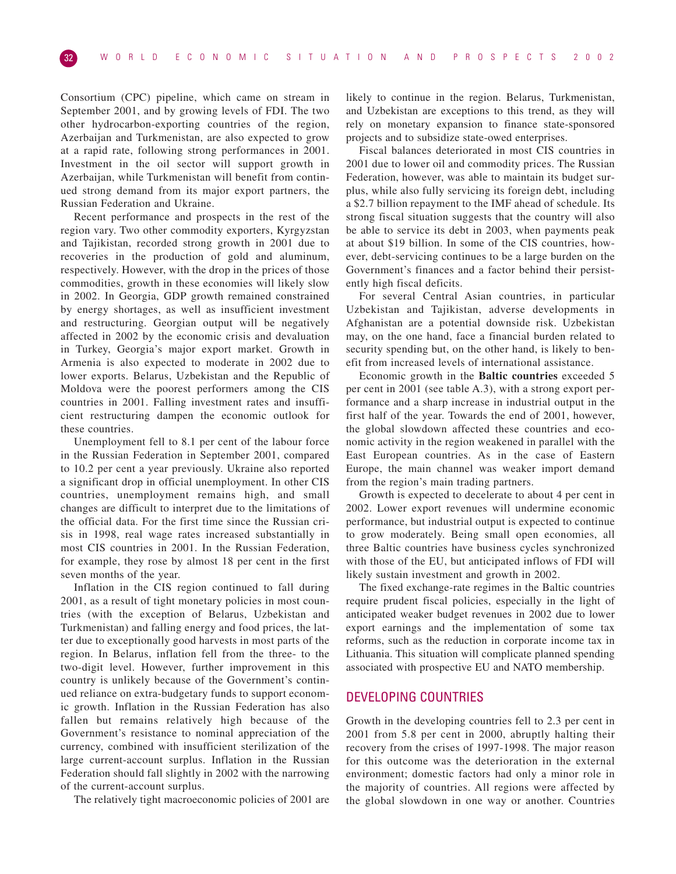Consortium (CPC) pipeline, which came on stream in September 2001, and by growing levels of FDI. The two other hydrocarbon-exporting countries of the region, Azerbaijan and Turkmenistan, are also expected to grow at a rapid rate, following strong performances in 2001. Investment in the oil sector will support growth in Azerbaijan, while Turkmenistan will benefit from continued strong demand from its major export partners, the Russian Federation and Ukraine.

Recent performance and prospects in the rest of the region vary. Two other commodity exporters, Kyrgyzstan and Tajikistan, recorded strong growth in 2001 due to recoveries in the production of gold and aluminum, respectively. However, with the drop in the prices of those commodities, growth in these economies will likely slow in 2002. In Georgia, GDP growth remained constrained by energy shortages, as well as insufficient investment and restructuring. Georgian output will be negatively affected in 2002 by the economic crisis and devaluation in Turkey, Georgia's major export market. Growth in Armenia is also expected to moderate in 2002 due to lower exports. Belarus, Uzbekistan and the Republic of Moldova were the poorest performers among the CIS countries in 2001. Falling investment rates and insufficient restructuring dampen the economic outlook for these countries.

Unemployment fell to 8.1 per cent of the labour force in the Russian Federation in September 2001, compared to 10.2 per cent a year previously. Ukraine also reported a significant drop in official unemployment. In other CIS countries, unemployment remains high, and small changes are difficult to interpret due to the limitations of the official data. For the first time since the Russian crisis in 1998, real wage rates increased substantially in most CIS countries in 2001. In the Russian Federation, for example, they rose by almost 18 per cent in the first seven months of the year.

Inflation in the CIS region continued to fall during 2001, as a result of tight monetary policies in most countries (with the exception of Belarus, Uzbekistan and Turkmenistan) and falling energy and food prices, the latter due to exceptionally good harvests in most parts of the region. In Belarus, inflation fell from the three- to the two-digit level. However, further improvement in this country is unlikely because of the Government's continued reliance on extra-budgetary funds to support economic growth. Inflation in the Russian Federation has also fallen but remains relatively high because of the Government's resistance to nominal appreciation of the currency, combined with insufficient sterilization of the large current-account surplus. Inflation in the Russian Federation should fall slightly in 2002 with the narrowing of the current-account surplus.

The relatively tight macroeconomic policies of 2001 are

likely to continue in the region. Belarus, Turkmenistan, and Uzbekistan are exceptions to this trend, as they will rely on monetary expansion to finance state-sponsored projects and to subsidize state-owed enterprises.

Fiscal balances deteriorated in most CIS countries in 2001 due to lower oil and commodity prices. The Russian Federation, however, was able to maintain its budget surplus, while also fully servicing its foreign debt, including a \$2.7 billion repayment to the IMF ahead of schedule. Its strong fiscal situation suggests that the country will also be able to service its debt in 2003, when payments peak at about \$19 billion. In some of the CIS countries, however, debt-servicing continues to be a large burden on the Government's finances and a factor behind their persistently high fiscal deficits.

For several Central Asian countries, in particular Uzbekistan and Tajikistan, adverse developments in Afghanistan are a potential downside risk. Uzbekistan may, on the one hand, face a financial burden related to security spending but, on the other hand, is likely to benefit from increased levels of international assistance.

Economic growth in the **Baltic countries** exceeded 5 per cent in 2001 (see table A.3), with a strong export performance and a sharp increase in industrial output in the first half of the year. Towards the end of 2001, however, the global slowdown affected these countries and economic activity in the region weakened in parallel with the East European countries. As in the case of Eastern Europe, the main channel was weaker import demand from the region's main trading partners.

Growth is expected to decelerate to about 4 per cent in 2002. Lower export revenues will undermine economic performance, but industrial output is expected to continue to grow moderately. Being small open economies, all three Baltic countries have business cycles synchronized with those of the EU, but anticipated inflows of FDI will likely sustain investment and growth in 2002.

The fixed exchange-rate regimes in the Baltic countries require prudent fiscal policies, especially in the light of anticipated weaker budget revenues in 2002 due to lower export earnings and the implementation of some tax reforms, such as the reduction in corporate income tax in Lithuania. This situation will complicate planned spending associated with prospective EU and NATO membership.

# DEVELOPING COUNTRIES

Growth in the developing countries fell to 2.3 per cent in 2001 from 5.8 per cent in 2000, abruptly halting their recovery from the crises of 1997-1998. The major reason for this outcome was the deterioration in the external environment; domestic factors had only a minor role in the majority of countries. All regions were affected by the global slowdown in one way or another. Countries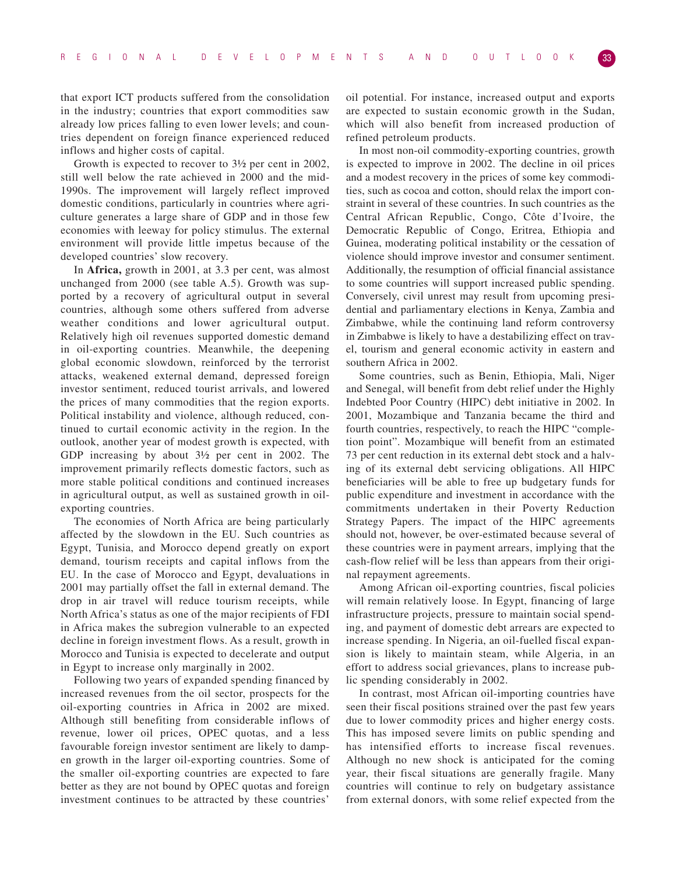that export ICT products suffered from the consolidation in the industry; countries that export commodities saw already low prices falling to even lower levels; and countries dependent on foreign finance experienced reduced inflows and higher costs of capital.

Growth is expected to recover to 3½ per cent in 2002, still well below the rate achieved in 2000 and the mid-1990s. The improvement will largely reflect improved domestic conditions, particularly in countries where agriculture generates a large share of GDP and in those few economies with leeway for policy stimulus. The external environment will provide little impetus because of the developed countries' slow recovery.

In **Africa,** growth in 2001, at 3.3 per cent, was almost unchanged from 2000 (see table A.5). Growth was supported by a recovery of agricultural output in several countries, although some others suffered from adverse weather conditions and lower agricultural output. Relatively high oil revenues supported domestic demand in oil-exporting countries. Meanwhile, the deepening global economic slowdown, reinforced by the terrorist attacks, weakened external demand, depressed foreign investor sentiment, reduced tourist arrivals, and lowered the prices of many commodities that the region exports. Political instability and violence, although reduced, continued to curtail economic activity in the region. In the outlook, another year of modest growth is expected, with GDP increasing by about 3½ per cent in 2002. The improvement primarily reflects domestic factors, such as more stable political conditions and continued increases in agricultural output, as well as sustained growth in oilexporting countries.

The economies of North Africa are being particularly affected by the slowdown in the EU. Such countries as Egypt, Tunisia, and Morocco depend greatly on export demand, tourism receipts and capital inflows from the EU. In the case of Morocco and Egypt, devaluations in 2001 may partially offset the fall in external demand. The drop in air travel will reduce tourism receipts, while North Africa's status as one of the major recipients of FDI in Africa makes the subregion vulnerable to an expected decline in foreign investment flows. As a result, growth in Morocco and Tunisia is expected to decelerate and output in Egypt to increase only marginally in 2002.

Following two years of expanded spending financed by increased revenues from the oil sector, prospects for the oil-exporting countries in Africa in 2002 are mixed. Although still benefiting from considerable inflows of revenue, lower oil prices, OPEC quotas, and a less favourable foreign investor sentiment are likely to dampen growth in the larger oil-exporting countries. Some of the smaller oil-exporting countries are expected to fare better as they are not bound by OPEC quotas and foreign investment continues to be attracted by these countries'

oil potential. For instance, increased output and exports are expected to sustain economic growth in the Sudan, which will also benefit from increased production of refined petroleum products.

In most non-oil commodity-exporting countries, growth is expected to improve in 2002. The decline in oil prices and a modest recovery in the prices of some key commodities, such as cocoa and cotton, should relax the import constraint in several of these countries. In such countries as the Central African Republic, Congo, Côte d'Ivoire, the Democratic Republic of Congo, Eritrea, Ethiopia and Guinea, moderating political instability or the cessation of violence should improve investor and consumer sentiment. Additionally, the resumption of official financial assistance to some countries will support increased public spending. Conversely, civil unrest may result from upcoming presidential and parliamentary elections in Kenya, Zambia and Zimbabwe, while the continuing land reform controversy in Zimbabwe is likely to have a destabilizing effect on travel, tourism and general economic activity in eastern and southern Africa in 2002.

Some countries, such as Benin, Ethiopia, Mali, Niger and Senegal, will benefit from debt relief under the Highly Indebted Poor Country (HIPC) debt initiative in 2002. In 2001, Mozambique and Tanzania became the third and fourth countries, respectively, to reach the HIPC "completion point". Mozambique will benefit from an estimated 73 per cent reduction in its external debt stock and a halving of its external debt servicing obligations. All HIPC beneficiaries will be able to free up budgetary funds for public expenditure and investment in accordance with the commitments undertaken in their Poverty Reduction Strategy Papers. The impact of the HIPC agreements should not, however, be over-estimated because several of these countries were in payment arrears, implying that the cash-flow relief will be less than appears from their original repayment agreements.

Among African oil-exporting countries, fiscal policies will remain relatively loose. In Egypt, financing of large infrastructure projects, pressure to maintain social spending, and payment of domestic debt arrears are expected to increase spending. In Nigeria, an oil-fuelled fiscal expansion is likely to maintain steam, while Algeria, in an effort to address social grievances, plans to increase public spending considerably in 2002.

In contrast, most African oil-importing countries have seen their fiscal positions strained over the past few years due to lower commodity prices and higher energy costs. This has imposed severe limits on public spending and has intensified efforts to increase fiscal revenues. Although no new shock is anticipated for the coming year, their fiscal situations are generally fragile. Many countries will continue to rely on budgetary assistance from external donors, with some relief expected from the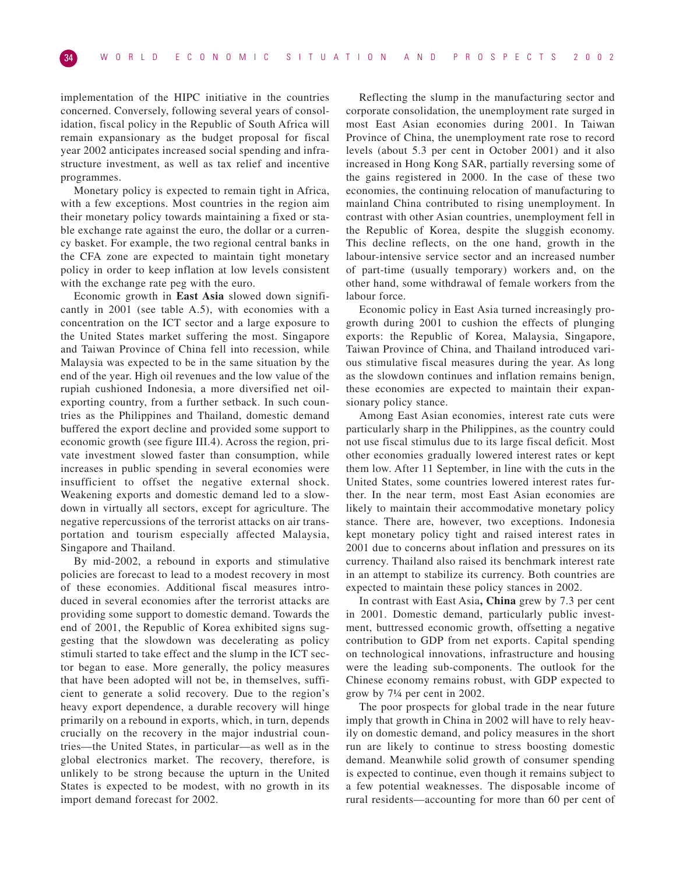implementation of the HIPC initiative in the countries concerned. Conversely, following several years of consolidation, fiscal policy in the Republic of South Africa will remain expansionary as the budget proposal for fiscal year 2002 anticipates increased social spending and infrastructure investment, as well as tax relief and incentive programmes.

Monetary policy is expected to remain tight in Africa, with a few exceptions. Most countries in the region aim their monetary policy towards maintaining a fixed or stable exchange rate against the euro, the dollar or a currency basket. For example, the two regional central banks in the CFA zone are expected to maintain tight monetary policy in order to keep inflation at low levels consistent with the exchange rate peg with the euro.

Economic growth in **East Asia** slowed down significantly in 2001 (see table A.5), with economies with a concentration on the ICT sector and a large exposure to the United States market suffering the most. Singapore and Taiwan Province of China fell into recession, while Malaysia was expected to be in the same situation by the end of the year. High oil revenues and the low value of the rupiah cushioned Indonesia, a more diversified net oilexporting country, from a further setback. In such countries as the Philippines and Thailand, domestic demand buffered the export decline and provided some support to economic growth (see figure III.4). Across the region, private investment slowed faster than consumption, while increases in public spending in several economies were insufficient to offset the negative external shock. Weakening exports and domestic demand led to a slowdown in virtually all sectors, except for agriculture. The negative repercussions of the terrorist attacks on air transportation and tourism especially affected Malaysia, Singapore and Thailand.

By mid-2002, a rebound in exports and stimulative policies are forecast to lead to a modest recovery in most of these economies. Additional fiscal measures introduced in several economies after the terrorist attacks are providing some support to domestic demand. Towards the end of 2001, the Republic of Korea exhibited signs suggesting that the slowdown was decelerating as policy stimuli started to take effect and the slump in the ICT sector began to ease. More generally, the policy measures that have been adopted will not be, in themselves, sufficient to generate a solid recovery. Due to the region's heavy export dependence, a durable recovery will hinge primarily on a rebound in exports, which, in turn, depends crucially on the recovery in the major industrial countries—the United States, in particular—as well as in the global electronics market. The recovery, therefore, is unlikely to be strong because the upturn in the United States is expected to be modest, with no growth in its import demand forecast for 2002.

Reflecting the slump in the manufacturing sector and corporate consolidation, the unemployment rate surged in most East Asian economies during 2001. In Taiwan Province of China, the unemployment rate rose to record levels (about 5.3 per cent in October 2001) and it also increased in Hong Kong SAR, partially reversing some of the gains registered in 2000. In the case of these two economies, the continuing relocation of manufacturing to mainland China contributed to rising unemployment. In contrast with other Asian countries, unemployment fell in the Republic of Korea, despite the sluggish economy. This decline reflects, on the one hand, growth in the labour-intensive service sector and an increased number of part-time (usually temporary) workers and, on the other hand, some withdrawal of female workers from the labour force.

Economic policy in East Asia turned increasingly progrowth during 2001 to cushion the effects of plunging exports: the Republic of Korea, Malaysia, Singapore, Taiwan Province of China, and Thailand introduced various stimulative fiscal measures during the year. As long as the slowdown continues and inflation remains benign, these economies are expected to maintain their expansionary policy stance.

Among East Asian economies, interest rate cuts were particularly sharp in the Philippines, as the country could not use fiscal stimulus due to its large fiscal deficit. Most other economies gradually lowered interest rates or kept them low. After 11 September, in line with the cuts in the United States, some countries lowered interest rates further. In the near term, most East Asian economies are likely to maintain their accommodative monetary policy stance. There are, however, two exceptions. Indonesia kept monetary policy tight and raised interest rates in 2001 due to concerns about inflation and pressures on its currency. Thailand also raised its benchmark interest rate in an attempt to stabilize its currency. Both countries are expected to maintain these policy stances in 2002.

In contrast with East Asia**, China** grew by 7.3 per cent in 2001. Domestic demand, particularly public investment, buttressed economic growth, offsetting a negative contribution to GDP from net exports. Capital spending on technological innovations, infrastructure and housing were the leading sub-components. The outlook for the Chinese economy remains robust, with GDP expected to grow by 7¼ per cent in 2002.

The poor prospects for global trade in the near future imply that growth in China in 2002 will have to rely heavily on domestic demand, and policy measures in the short run are likely to continue to stress boosting domestic demand. Meanwhile solid growth of consumer spending is expected to continue, even though it remains subject to a few potential weaknesses. The disposable income of rural residents—accounting for more than 60 per cent of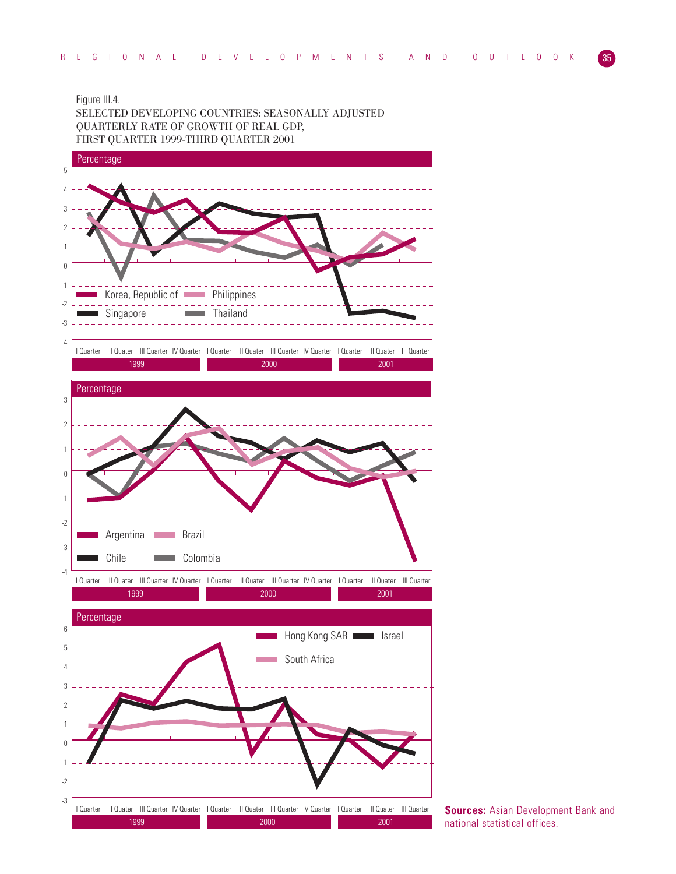# Figure III.4.

SELECTED DEVELOPING COUNTRIES: SEASONALLY ADJUSTED QUARTERLY RATE OF GROWTH OF REAL GDP, FIRST QUARTER 1999-THIRD QUARTER 2001



**Sources: Asian Development Bank and** national statistical offices.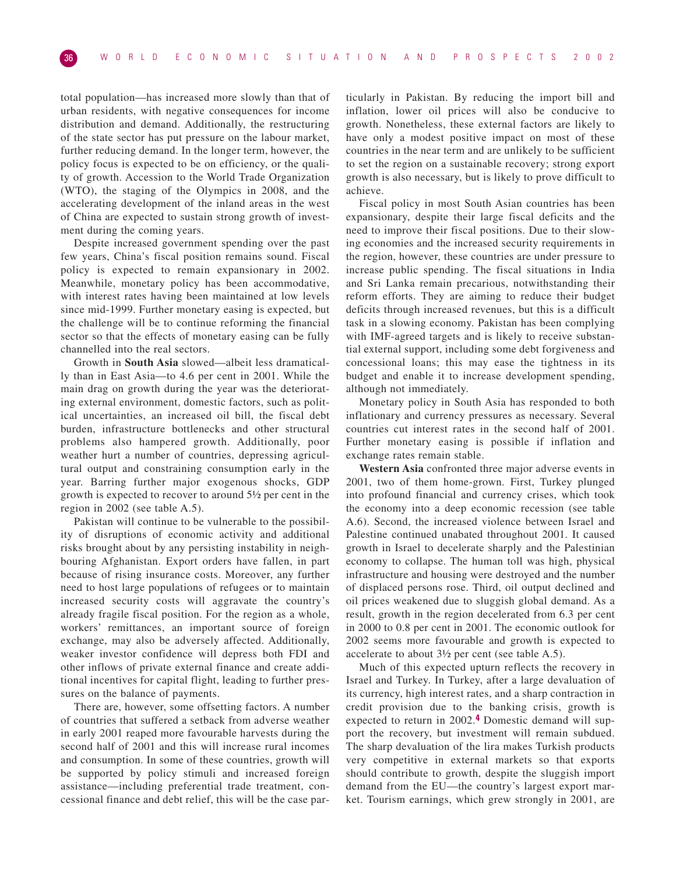total population—has increased more slowly than that of urban residents, with negative consequences for income distribution and demand. Additionally, the restructuring of the state sector has put pressure on the labour market, further reducing demand. In the longer term, however, the policy focus is expected to be on efficiency, or the quality of growth. Accession to the World Trade Organization (WTO), the staging of the Olympics in 2008, and the accelerating development of the inland areas in the west of China are expected to sustain strong growth of investment during the coming years.

Despite increased government spending over the past few years, China's fiscal position remains sound. Fiscal policy is expected to remain expansionary in 2002. Meanwhile, monetary policy has been accommodative, with interest rates having been maintained at low levels since mid-1999. Further monetary easing is expected, but the challenge will be to continue reforming the financial sector so that the effects of monetary easing can be fully channelled into the real sectors.

Growth in **South Asia** slowed—albeit less dramatically than in East Asia—to 4.6 per cent in 2001. While the main drag on growth during the year was the deteriorating external environment, domestic factors, such as political uncertainties, an increased oil bill, the fiscal debt burden, infrastructure bottlenecks and other structural problems also hampered growth. Additionally, poor weather hurt a number of countries, depressing agricultural output and constraining consumption early in the year. Barring further major exogenous shocks, GDP growth is expected to recover to around 5½ per cent in the region in 2002 (see table A.5).

Pakistan will continue to be vulnerable to the possibility of disruptions of economic activity and additional risks brought about by any persisting instability in neighbouring Afghanistan. Export orders have fallen, in part because of rising insurance costs. Moreover, any further need to host large populations of refugees or to maintain increased security costs will aggravate the country's already fragile fiscal position. For the region as a whole, workers' remittances, an important source of foreign exchange, may also be adversely affected. Additionally, weaker investor confidence will depress both FDI and other inflows of private external finance and create additional incentives for capital flight, leading to further pressures on the balance of payments.

There are, however, some offsetting factors. A number of countries that suffered a setback from adverse weather in early 2001 reaped more favourable harvests during the second half of 2001 and this will increase rural incomes and consumption. In some of these countries, growth will be supported by policy stimuli and increased foreign assistance—including preferential trade treatment, concessional finance and debt relief, this will be the case par-

ticularly in Pakistan. By reducing the import bill and inflation, lower oil prices will also be conducive to growth. Nonetheless, these external factors are likely to have only a modest positive impact on most of these countries in the near term and are unlikely to be sufficient to set the region on a sustainable recovery; strong export growth is also necessary, but is likely to prove difficult to achieve.

Fiscal policy in most South Asian countries has been expansionary, despite their large fiscal deficits and the need to improve their fiscal positions. Due to their slowing economies and the increased security requirements in the region, however, these countries are under pressure to increase public spending. The fiscal situations in India and Sri Lanka remain precarious, notwithstanding their reform efforts. They are aiming to reduce their budget deficits through increased revenues, but this is a difficult task in a slowing economy. Pakistan has been complying with IMF-agreed targets and is likely to receive substantial external support, including some debt forgiveness and concessional loans; this may ease the tightness in its budget and enable it to increase development spending, although not immediately.

Monetary policy in South Asia has responded to both inflationary and currency pressures as necessary. Several countries cut interest rates in the second half of 2001. Further monetary easing is possible if inflation and exchange rates remain stable.

**Western Asia** confronted three major adverse events in 2001, two of them home-grown. First, Turkey plunged into profound financial and currency crises, which took the economy into a deep economic recession (see table A.6). Second, the increased violence between Israel and Palestine continued unabated throughout 2001. It caused growth in Israel to decelerate sharply and the Palestinian economy to collapse. The human toll was high, physical infrastructure and housing were destroyed and the number of displaced persons rose. Third, oil output declined and oil prices weakened due to sluggish global demand. As a result, growth in the region decelerated from 6.3 per cent in 2000 to 0.8 per cent in 2001. The economic outlook for 2002 seems more favourable and growth is expected to accelerate to about 3½ per cent (see table A.5).

Much of this expected upturn reflects the recovery in Israel and Turkey. In Turkey, after a large devaluation of its currency, high interest rates, and a sharp contraction in credit provision due to the banking crisis, growth is expected to return in 2002.**4** Domestic demand will support the recovery, but investment will remain subdued. The sharp devaluation of the lira makes Turkish products very competitive in external markets so that exports should contribute to growth, despite the sluggish import demand from the EU—the country's largest export market. Tourism earnings, which grew strongly in 2001, are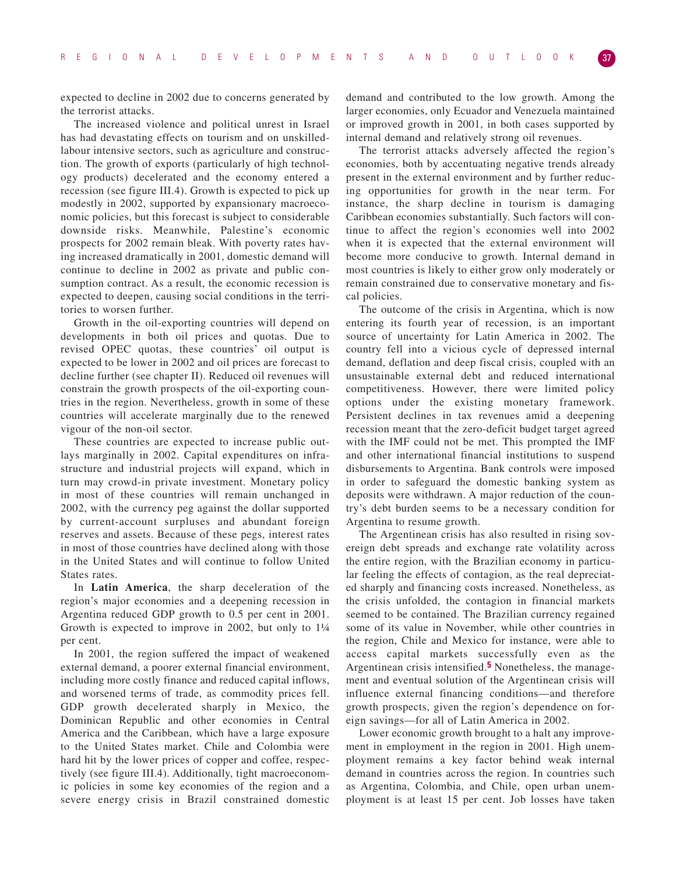expected to decline in 2002 due to concerns generated by the terrorist attacks.

The increased violence and political unrest in Israel has had devastating effects on tourism and on unskilledlabour intensive sectors, such as agriculture and construction. The growth of exports (particularly of high technology products) decelerated and the economy entered a recession (see figure III.4). Growth is expected to pick up modestly in 2002, supported by expansionary macroeconomic policies, but this forecast is subject to considerable downside risks. Meanwhile, Palestine's economic prospects for 2002 remain bleak. With poverty rates having increased dramatically in 2001, domestic demand will continue to decline in 2002 as private and public consumption contract. As a result, the economic recession is expected to deepen, causing social conditions in the territories to worsen further.

Growth in the oil-exporting countries will depend on developments in both oil prices and quotas. Due to revised OPEC quotas, these countries' oil output is expected to be lower in 2002 and oil prices are forecast to decline further (see chapter II). Reduced oil revenues will constrain the growth prospects of the oil-exporting countries in the region. Nevertheless, growth in some of these countries will accelerate marginally due to the renewed vigour of the non-oil sector.

These countries are expected to increase public outlays marginally in 2002. Capital expenditures on infrastructure and industrial projects will expand, which in turn may crowd-in private investment. Monetary policy in most of these countries will remain unchanged in 2002, with the currency peg against the dollar supported by current-account surpluses and abundant foreign reserves and assets. Because of these pegs, interest rates in most of those countries have declined along with those in the United States and will continue to follow United States rates.

In **Latin America**, the sharp deceleration of the region's major economies and a deepening recession in Argentina reduced GDP growth to 0.5 per cent in 2001. Growth is expected to improve in 2002, but only to 1¼ per cent.

In 2001, the region suffered the impact of weakened external demand, a poorer external financial environment, including more costly finance and reduced capital inflows, and worsened terms of trade, as commodity prices fell. GDP growth decelerated sharply in Mexico, the Dominican Republic and other economies in Central America and the Caribbean, which have a large exposure to the United States market. Chile and Colombia were hard hit by the lower prices of copper and coffee, respectively (see figure III.4). Additionally, tight macroeconomic policies in some key economies of the region and a severe energy crisis in Brazil constrained domestic demand and contributed to the low growth. Among the larger economies, only Ecuador and Venezuela maintained or improved growth in 2001, in both cases supported by internal demand and relatively strong oil revenues.

The terrorist attacks adversely affected the region's economies, both by accentuating negative trends already present in the external environment and by further reducing opportunities for growth in the near term. For instance, the sharp decline in tourism is damaging Caribbean economies substantially. Such factors will continue to affect the region's economies well into 2002 when it is expected that the external environment will become more conducive to growth. Internal demand in most countries is likely to either grow only moderately or remain constrained due to conservative monetary and fiscal policies.

The outcome of the crisis in Argentina, which is now entering its fourth year of recession, is an important source of uncertainty for Latin America in 2002. The country fell into a vicious cycle of depressed internal demand, deflation and deep fiscal crisis, coupled with an unsustainable external debt and reduced international competitiveness. However, there were limited policy options under the existing monetary framework. Persistent declines in tax revenues amid a deepening recession meant that the zero-deficit budget target agreed with the IMF could not be met. This prompted the IMF and other international financial institutions to suspend disbursements to Argentina. Bank controls were imposed in order to safeguard the domestic banking system as deposits were withdrawn. A major reduction of the country's debt burden seems to be a necessary condition for Argentina to resume growth.

The Argentinean crisis has also resulted in rising sovereign debt spreads and exchange rate volatility across the entire region, with the Brazilian economy in particular feeling the effects of contagion, as the real depreciated sharply and financing costs increased. Nonetheless, as the crisis unfolded, the contagion in financial markets seemed to be contained. The Brazilian currency regained some of its value in November, while other countries in the region, Chile and Mexico for instance, were able to access capital markets successfully even as the Argentinean crisis intensified.**5** Nonetheless, the management and eventual solution of the Argentinean crisis will influence external financing conditions—and therefore growth prospects, given the region's dependence on foreign savings—for all of Latin America in 2002.

Lower economic growth brought to a halt any improvement in employment in the region in 2001. High unemployment remains a key factor behind weak internal demand in countries across the region. In countries such as Argentina, Colombia, and Chile, open urban unemployment is at least 15 per cent. Job losses have taken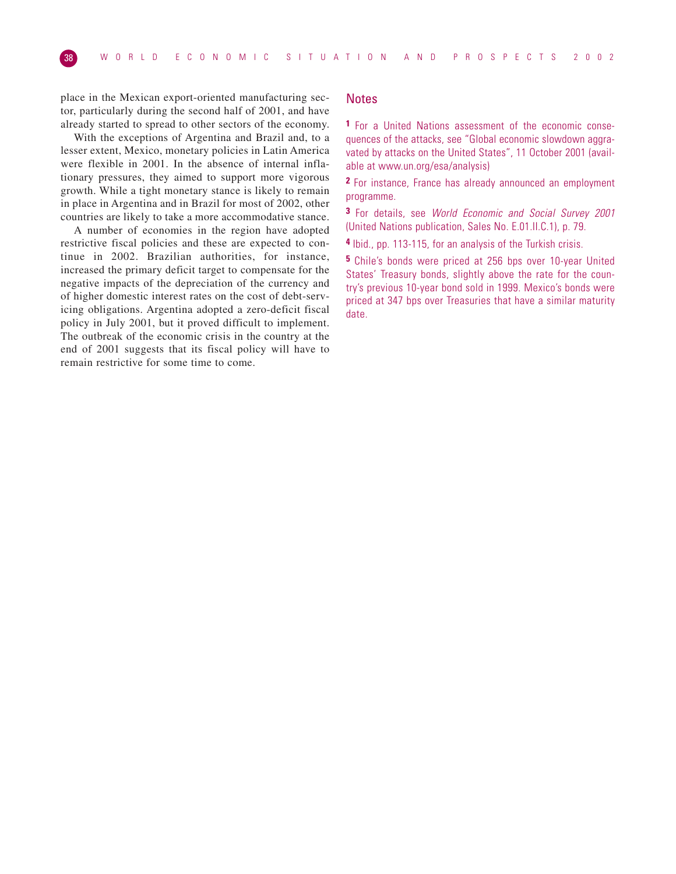place in the Mexican export-oriented manufacturing sector, particularly during the second half of 2001, and have already started to spread to other sectors of the economy.

With the exceptions of Argentina and Brazil and, to a lesser extent, Mexico, monetary policies in Latin America were flexible in 2001. In the absence of internal inflationary pressures, they aimed to support more vigorous growth. While a tight monetary stance is likely to remain in place in Argentina and in Brazil for most of 2002, other countries are likely to take a more accommodative stance.

A number of economies in the region have adopted restrictive fiscal policies and these are expected to continue in 2002. Brazilian authorities, for instance, increased the primary deficit target to compensate for the negative impacts of the depreciation of the currency and of higher domestic interest rates on the cost of debt-servicing obligations. Argentina adopted a zero-deficit fiscal policy in July 2001, but it proved difficult to implement. The outbreak of the economic crisis in the country at the end of 2001 suggests that its fiscal policy will have to remain restrictive for some time to come.

# **Notes**

**1** For a United Nations assessment of the economic consequences of the attacks, see "Global economic slowdown aggravated by attacks on the United States", 11 October 2001 (available at www.un.org/esa/analysis)

**2** For instance, France has already announced an employment programme.

**3** For details, see World Economic and Social Survey 2001 (United Nations publication, Sales No. E.01.II.C.1), p. 79.

**4** Ibid., pp. 113-115, for an analysis of the Turkish crisis.

**5** Chile's bonds were priced at 256 bps over 10-year United States' Treasury bonds, slightly above the rate for the country's previous 10-year bond sold in 1999. Mexico's bonds were priced at 347 bps over Treasuries that have a similar maturity date.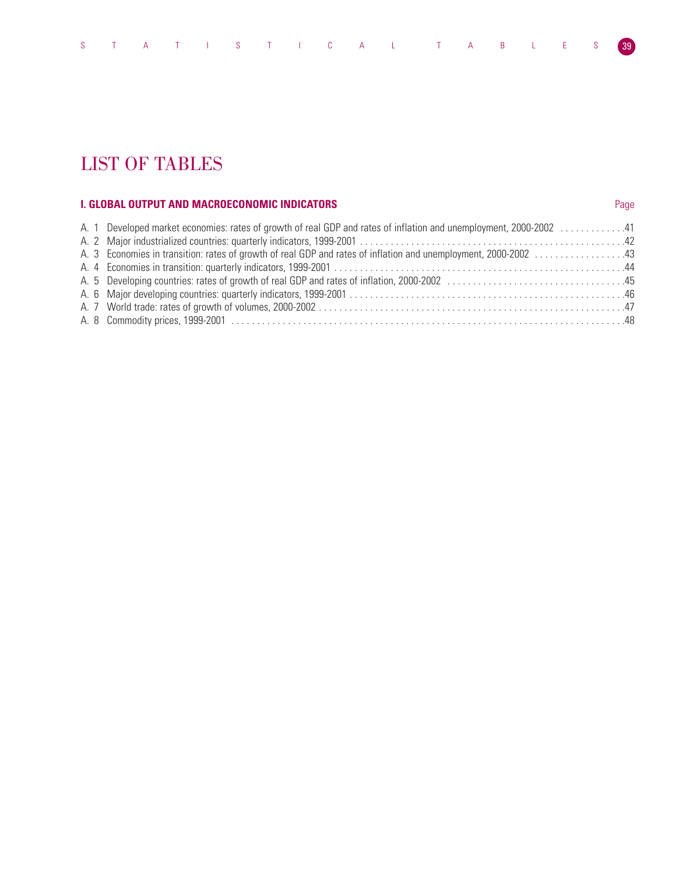# LIST OF TABLES

# **I. GLOBAL OUTPUT AND MACROECONOMIC INDICATORS** *Page* **2021 2022 12:00 Page**

|  | A. 1 Developed market economies: rates of growth of real GDP and rates of inflation and unemployment, 2000-2002 41 |  |
|--|--------------------------------------------------------------------------------------------------------------------|--|
|  |                                                                                                                    |  |
|  | A. 3 Economies in transition: rates of growth of real GDP and rates of inflation and unemployment, 2000-2002 43    |  |
|  |                                                                                                                    |  |
|  |                                                                                                                    |  |
|  |                                                                                                                    |  |
|  |                                                                                                                    |  |
|  |                                                                                                                    |  |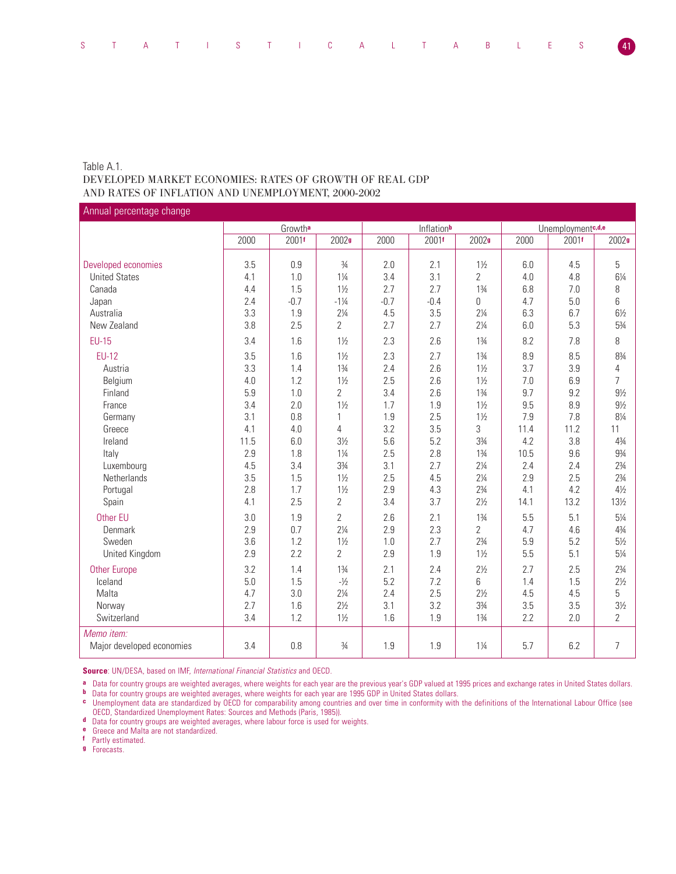# Table A.1. DEVELOPED MARKET ECONOMIES: RATES OF GROWTH OF REAL GDP AND RATES OF INFLATION AND UNEMPLOYMENT, 2000-2002

Annual percentage change

|                           | Growtha |        |                   |        | Inflationb |                | Unemploymentc, d,e |       |                   |  |
|---------------------------|---------|--------|-------------------|--------|------------|----------------|--------------------|-------|-------------------|--|
|                           | 2000    | 2001f  | 2002 <sub>9</sub> | 2000   | 2001f      | 2002g          | 2000               | 2001f | 2002 <sub>9</sub> |  |
|                           |         |        |                   |        |            |                |                    |       |                   |  |
| Developed economies       | 3.5     | 0.9    | $\frac{3}{4}$     | 2.0    | 2.1        | $1\frac{1}{2}$ | 6.0                | 4.5   | 5                 |  |
| <b>United States</b>      | 4.1     | 1.0    | $1\frac{1}{4}$    | 3.4    | 3.1        | $\overline{2}$ | 4.0                | 4.8   | $6\frac{1}{4}$    |  |
| Canada                    | 4.4     | 1.5    | $1\frac{1}{2}$    | 2.7    | 2.7        | $1\frac{3}{4}$ | 6.8                | 7.0   | 8                 |  |
| Japan                     | 2.4     | $-0.7$ | $-1\frac{1}{4}$   | $-0.7$ | $-0.4$     | $\overline{0}$ | 4.7                | 5.0   | 6                 |  |
| Australia                 | 3.3     | 1.9    | $2\frac{1}{4}$    | 4.5    | 3.5        | $2\frac{1}{4}$ | 6.3                | 6.7   | $6\frac{1}{2}$    |  |
| New Zealand               | 3.8     | 2.5    | $\overline{2}$    | 2.7    | 2.7        | $2\frac{1}{4}$ | 6.0                | 5.3   | $5\frac{3}{4}$    |  |
| <b>EU-15</b>              | 3.4     | 1.6    | $1\frac{1}{2}$    | 2.3    | 2.6        | $1\frac{3}{4}$ | 8.2                | 7.8   | 8                 |  |
| <b>EU-12</b>              | 3.5     | 1.6    | $1\frac{1}{2}$    | 2.3    | 2.7        | $1\frac{3}{4}$ | 8.9                | 8.5   | 83/4              |  |
| Austria                   | 3.3     | 1.4    | $1\frac{3}{4}$    | 2.4    | 2.6        | $1\frac{1}{2}$ | 3.7                | 3.9   | 4                 |  |
| Belgium                   | 4.0     | 1.2    | $1\frac{1}{2}$    | 2.5    | 2.6        | $1\frac{1}{2}$ | 7.0                | 6.9   | $\overline{7}$    |  |
| Finland                   | 5.9     | 1.0    | $\overline{2}$    | 3.4    | 2.6        | $1\frac{3}{4}$ | 9.7                | 9.2   | $9\frac{1}{2}$    |  |
| France                    | 3.4     | 2.0    | $1\frac{1}{2}$    | 1.7    | 1.9        | $1\frac{1}{2}$ | 9.5                | 8.9   | $9\frac{1}{2}$    |  |
| Germany                   | 3.1     | 0.8    | 1                 | 1.9    | 2.5        | $1\frac{1}{2}$ | 7.9                | 7.8   | 81/4              |  |
| Greece                    | 4.1     | 4.0    | 4                 | 3.2    | 3.5        | 3              | 11.4               | 11.2  | 11                |  |
| Ireland                   | 11.5    | 6.0    | $3\frac{1}{2}$    | 5.6    | 5.2        | $3\frac{3}{4}$ | 4.2                | 3.8   | $4\frac{3}{4}$    |  |
| Italy                     | 2.9     | 1.8    | $1\frac{1}{4}$    | 2.5    | 2.8        | $1\frac{3}{4}$ | 10.5               | 9.6   | $9\frac{3}{4}$    |  |
| Luxembourg                | 4.5     | 3.4    | $3\frac{3}{4}$    | 3.1    | 2.7        | $2\frac{1}{4}$ | 2.4                | 2.4   | $2\frac{3}{4}$    |  |
| <b>Netherlands</b>        | 3.5     | 1.5    | $1\frac{1}{2}$    | 2.5    | 4.5        | $2\frac{1}{4}$ | 2.9                | 2.5   | $2\frac{3}{4}$    |  |
| Portugal                  | 2.8     | 1.7    | $1\frac{1}{2}$    | 2.9    | 4.3        | $2\frac{3}{4}$ | 4.1                | 4.2   | $4\frac{1}{2}$    |  |
| Spain                     | 4.1     | 2.5    | $\overline{2}$    | 3.4    | 3.7        | $2\frac{1}{2}$ | 14.1               | 13.2  | 13½               |  |
| Other EU                  | 3.0     | 1.9    | $\overline{2}$    | 2.6    | 2.1        | $1\frac{3}{4}$ | 5.5                | 5.1   | $5\frac{1}{4}$    |  |
| Denmark                   | 2.9     | 0.7    | $2\frac{1}{4}$    | 2.9    | 2.3        | $\overline{2}$ | 4.7                | 4.6   | $4\frac{3}{4}$    |  |
| Sweden                    | 3.6     | 1.2    | $1\frac{1}{2}$    | 1.0    | 2.7        | $2\frac{3}{4}$ | 5.9                | 5.2   | $5\frac{1}{2}$    |  |
| United Kingdom            | 2.9     | 2.2    | $\overline{2}$    | 2.9    | 1.9        | $1\frac{1}{2}$ | 5.5                | 5.1   | $5\frac{1}{4}$    |  |
| <b>Other Europe</b>       | 3.2     | 1.4    | $1\frac{3}{4}$    | 2.1    | 2.4        | $2\frac{1}{2}$ | 2.7                | 2.5   | $2\frac{3}{4}$    |  |
| Iceland                   | 5.0     | 1.5    | $-1/2$            | 5.2    | 7.2        | 6              | 1.4                | 1.5   | $2\frac{1}{2}$    |  |
| Malta                     | 4.7     | 3.0    | $2\frac{1}{4}$    | 2.4    | 2.5        | $2\frac{1}{2}$ | 4.5                | 4.5   | 5                 |  |
| Norway                    | 2.7     | 1.6    | $2\frac{1}{2}$    | 3.1    | 3.2        | 33/4           | 3.5                | 3.5   | $3\frac{1}{2}$    |  |
| Switzerland               | 3.4     | 1.2    | $1\frac{1}{2}$    | 1.6    | 1.9        | $1\frac{3}{4}$ | 2.2                | 2.0   | $\overline{2}$    |  |
| Memo item:                |         |        |                   |        |            |                |                    |       |                   |  |
| Major developed economies | 3.4     | 0.8    | $\frac{3}{4}$     | 1.9    | 1.9        | $1\frac{1}{4}$ | 5.7                | 6.2   | $\overline{7}$    |  |

**Source**: UN/DESA, based on IMF, International Financial Statistics and OECD.

**a** Data for country groups are weighted averages, where weights for each year are the previous year's GDP valued at 1995 prices and exchange rates in United States dollars.

**b** Data for country groups are weighted averages, where weights for each year are 1995 GDP in United States dollars.

**c** Unemployment data are standardized by OECD for comparability among countries and over time in conformity with the definitions of the International Labour Office (see OECD, Standardized Unemployment Rates: Sources and Methods (Paris, 1985)).

**d** Data for country groups are weighted averages, where labour force is used for weights.

**e** Greece and Malta are not standardized.

**f** Partly estimated.

**g** Forecasts.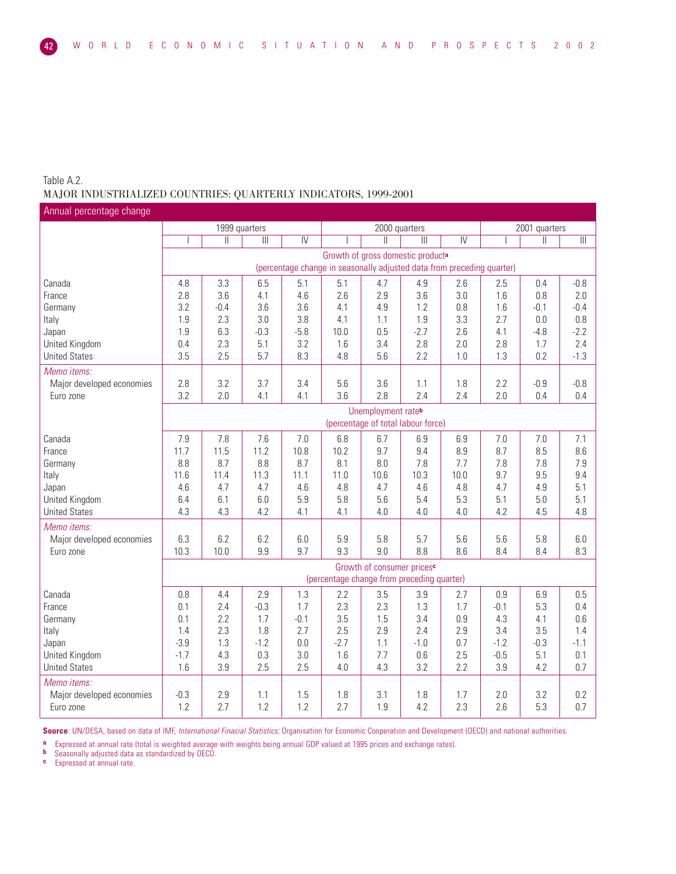# Table A.2. MAJOR INDUSTRIALIZED COUNTRIES: QUARTERLY INDICATORS, 1999-2001

| Annual percentage change  |        |                                    |                                       |                |                                                                        |                                        |                                               |                |        |               |                         |  |
|---------------------------|--------|------------------------------------|---------------------------------------|----------------|------------------------------------------------------------------------|----------------------------------------|-----------------------------------------------|----------------|--------|---------------|-------------------------|--|
|                           |        | 1999 quarters                      |                                       |                |                                                                        | 2000 quarters                          |                                               |                |        | 2001 quarters |                         |  |
|                           |        | $\mathbf{  }$                      | $\begin{array}{c} \hline \end{array}$ | $\overline{N}$ |                                                                        | $\mathbf{I}$                           | $\mathbb{H}$                                  | $\overline{N}$ |        | Ш             | $\overline{\mathbb{H}}$ |  |
|                           |        |                                    |                                       |                |                                                                        |                                        | Growth of gross domestic product <sup>a</sup> |                |        |               |                         |  |
|                           |        |                                    |                                       |                | (percentage change in seasonally adjusted data from preceding quarter) |                                        |                                               |                |        |               |                         |  |
| Canada                    | 4.8    | 3.3                                | 6.5                                   | 5.1            | 5.1                                                                    | 4.7                                    | 4.9                                           | 2.6            | 2.5    | 0.4           | $-0.8$                  |  |
| France                    | 2.8    | 3.6                                | 4.1                                   | 4.6            | 2.6                                                                    | 2.9                                    | 3.6                                           | 3.0            | 1.6    | 0.8           | 2.0                     |  |
| Germany                   | 3.2    | $-0.4$                             | 3.6                                   | 3.6            | 4.1                                                                    | 4.9                                    | 1.2                                           | 0.8            | 1.6    | $-0.1$        | $-0.4$                  |  |
| Italy                     | 1.9    | 2.3                                | 3.0                                   | 3.8            | 4.1                                                                    | 1.1                                    | 1.9                                           | 3.3            | 2.7    | 0.0           | 0.8                     |  |
| Japan                     | 1.9    | 6.3                                | $-0.3$                                | $-5.8$         | 10.0                                                                   | 0.5                                    | $-2.7$                                        | 2.6            | 4.1    | $-4.8$        | $-2.2$                  |  |
| United Kingdom            | 0.4    | 2.3                                | 5.1                                   | 3.2            | 1.6                                                                    | 3.4                                    | 2.8                                           | 2.0            | 2.8    | 1.7           | 2.4                     |  |
| <b>United States</b>      | 3.5    | 2.5                                | 5.7                                   | 8.3            | 4.8                                                                    | 5.6                                    | 2.2                                           | 1.0            | 1.3    | 0.2           | $-1.3$                  |  |
| Memo items:               |        |                                    |                                       |                |                                                                        |                                        |                                               |                |        |               |                         |  |
| Major developed economies | 2.8    | 3.2                                | 3.7                                   | 3.4            | 5.6                                                                    | 3.6                                    | 1.1                                           | 1.8            | 2.2    | $-0.9$        | $-0.8$                  |  |
| Euro zone                 | 3.2    | 2.0                                | 4.1                                   | 4.1            | 3.6                                                                    | 2.8                                    | 2.4                                           | 2.4            | 2.0    | 0.4           | 0.4                     |  |
|                           |        | Unemployment rateb                 |                                       |                |                                                                        |                                        |                                               |                |        |               |                         |  |
|                           |        | (percentage of total labour force) |                                       |                |                                                                        |                                        |                                               |                |        |               |                         |  |
| Canada                    | 7.9    | 7.8                                | 7.6                                   | 7.0            | 6.8                                                                    | 6.7                                    | 6.9                                           | 6.9            | 7.0    | 7.0           | 7.1                     |  |
| France                    | 11.7   | 11.5                               | 11.2                                  | 10.8           | 10.2                                                                   | 9.7                                    | 9.4                                           | 8.9            | 8.7    | 8.5           | 8.6                     |  |
| Germany                   | 8.8    | 8.7                                | 8.8                                   | 8.7            | 8.1                                                                    | 8.0                                    | 7.8                                           | 7.7            | 7.8    | 7.8           | 7.9                     |  |
| Italy                     | 11.6   | 11.4                               | 11.3                                  | 11.1           | 11.0                                                                   | 10.6                                   | 10.3                                          | 10.0           | 9.7    | 9.5           | 9.4                     |  |
| Japan                     | 4.6    | 4.7                                | 4.7                                   | 4.6            | 4.8                                                                    | 4.7                                    | 4.6                                           | 4.8            | 4.7    | 4.9           | 5.1                     |  |
| United Kingdom            | 6.4    | 6.1                                | 6.0                                   | 5.9            | 5.8                                                                    | 5.6                                    | 5.4                                           | 5.3            | 5.1    | 5.0           | 5.1                     |  |
| <b>United States</b>      | 4.3    | 4.3                                | 4.2                                   | 4.1            | 4.1                                                                    | 4.0                                    | 4.0                                           | 4.0            | 4.2    | 4.5           | 4.8                     |  |
| Memo items:               |        |                                    |                                       |                |                                                                        |                                        |                                               |                |        |               |                         |  |
| Major developed economies | 6.3    | 6.2                                | 6.2                                   | 6.0            | 5.9                                                                    | 5.8                                    | 5.7                                           | 5.6            | 5.6    | 5.8           | 6.0                     |  |
| Euro zone                 | 10.3   | 10.0                               | 9.9                                   | 9.7            | 9.3                                                                    | 9.0                                    | 8.8                                           | 8.6            | 8.4    | 8.4           | 8.3                     |  |
|                           |        |                                    |                                       |                |                                                                        | Growth of consumer prices <sup>c</sup> |                                               |                |        |               |                         |  |
|                           |        |                                    |                                       |                | (percentage change from preceding quarter)                             |                                        |                                               |                |        |               |                         |  |
| Canada                    | 0.8    | 4.4                                | 2.9                                   | 1.3            | 2.2                                                                    | 3.5                                    | 3.9                                           | 2.7            | 0.9    | 6.9           | 0.5                     |  |
| France                    | 0.1    | 2.4                                | $-0.3$                                | 1.7            | 2.3                                                                    | 2.3                                    | 1.3                                           | 1.7            | $-0.1$ | 5.3           | 0.4                     |  |
| Germany                   | 0.1    | 2.2                                | 1.7                                   | $-0.1$         | 3.5                                                                    | 1.5                                    | 3.4                                           | 0.9            | 4.3    | 4.1           | 0.6                     |  |
| Italy                     | 1.4    | 2.3                                | 1.8                                   | 2.7            | 2.5                                                                    | 2.9                                    | 2.4                                           | 2.9            | 3.4    | 3.5           | 1.4                     |  |
| Japan                     | $-3.9$ | 1.3                                | $-1.2$                                | 0.0            | $-2.7$                                                                 | 1.1                                    | $-1.0$                                        | 0.7            | $-1.2$ | $-0.3$        | $-1.1$                  |  |
| United Kingdom            | $-1.7$ | 4.3                                | 0.3                                   | 3.0            | 1.6                                                                    | 7.7                                    | 0.6                                           | 2.5            | $-0.5$ | 5.1           | 0.1                     |  |
| <b>United States</b>      | 1.6    | 3.9                                | 2.5                                   | 2.5            | 4.0                                                                    | 4.3                                    | 3.2                                           | 2.2            | 3.9    | 4.2           | 0.7                     |  |
| Memo items:               |        |                                    |                                       |                |                                                                        |                                        |                                               |                |        |               |                         |  |
| Major developed economies | $-0.3$ | 2.9                                | 1.1                                   | 1.5            | 1.8                                                                    | 3.1                                    | 1.8                                           | 1.7            | 2.0    | 3.2           | 0.2                     |  |
| Euro zone                 | 1.2    | 2.7                                | 1.2                                   | 1.2            | 2.7                                                                    | 1.9                                    | 4.2                                           | 2.3            | 2.6    | 5.3           | 0.7                     |  |

**Source**: UN/DESA, based on data of IMF, International Finacial Statistics; Organisation for Economic Cooperation and Development (OECD) and national authorities.

**a** Expressed at annual rate (total is weighted average with weights being annual GDP valued at 1995 prices and exchange rates).

**b** Seasonally adjusted data as standardized by OECD.

**c** Expressed at annual rate.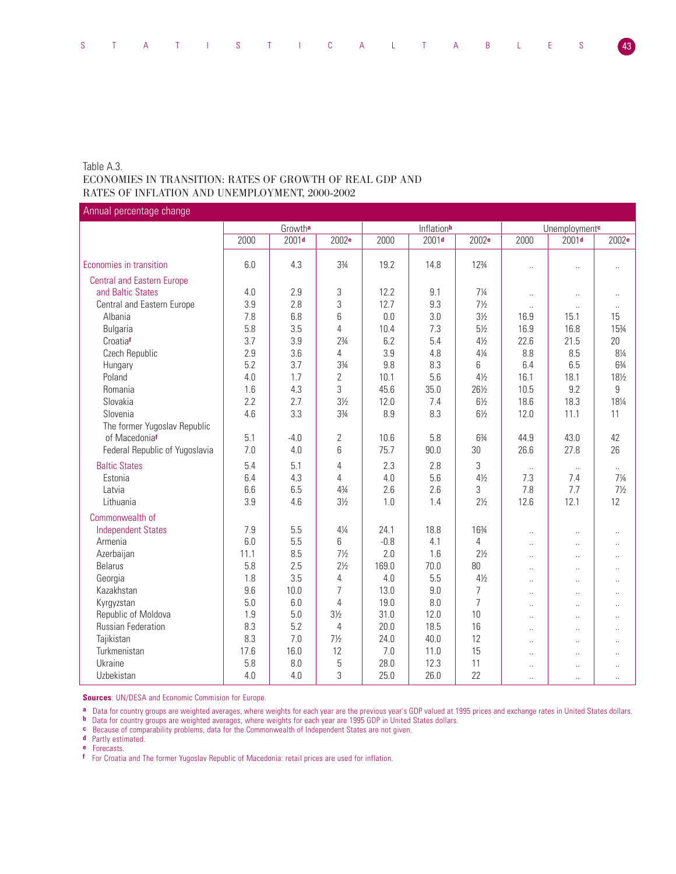# Table A.3. ECONOMIES IN TRANSITION: RATES OF GROWTH OF REAL GDP AND RATES OF INFLATION AND UNEMPLOYMENT, 2000-2002

Annual percentage change

|                                   |      | Growtha           |                |        | Inflationb        |                   |                      | Unemployment <sup>c</sup> |                      |
|-----------------------------------|------|-------------------|----------------|--------|-------------------|-------------------|----------------------|---------------------------|----------------------|
|                                   | 2000 | 2001 <sub>d</sub> | 2002e          | 2000   | 2001 <sub>d</sub> | 2002 <sup>e</sup> | 2000                 | 2001 <sub>d</sub>         | 2002 <sup>e</sup>    |
|                                   |      |                   |                |        |                   |                   |                      |                           |                      |
| Economies in transition           | 6.0  | 4.3               | 33⁄4           | 19.2   | 14.8              | 123/4             | $\ddot{\phantom{a}}$ | $\ddot{\phantom{a}}$      | $\ddot{\phantom{a}}$ |
| <b>Central and Eastern Europe</b> |      |                   |                |        |                   |                   |                      |                           |                      |
| and Baltic States                 | 4.0  | 2.9               | $\sqrt{3}$     | 12.2   | 9.1               | $7\frac{1}{4}$    | $\ddotsc$            | Ω.                        | $\ddot{\phantom{a}}$ |
| Central and Eastern Europe        | 3.9  | 2.8               | 3              | 12.7   | 9.3               | $7\frac{1}{2}$    | $\ddotsc$            | ÷.                        | $\ldots$             |
| Albania                           | 7.8  | 6.8               | 6              | 0.0    | 3.0               | $3\frac{1}{2}$    | 16.9                 | 15.1                      | 15                   |
| Bulgaria                          | 5.8  | 3.5               | 4              | 10.4   | 7.3               | $5\frac{1}{2}$    | 16.9                 | 16.8                      | 153⁄4                |
| Croatiaf                          | 3.7  | 3.9               | $2\frac{3}{4}$ | 6.2    | 5.4               | $4\frac{1}{2}$    | 22.6                 | 21.5                      | 20                   |
| Czech Republic                    | 2.9  | 3.6               | 4              | 3.9    | 4.8               | $4\frac{1}{4}$    | 8.8                  | 8.5                       | $8\frac{1}{4}$       |
| Hungary                           | 5.2  | 3.7               | 33⁄4           | 9.8    | 8.3               | 6                 | 6.4                  | 6.5                       | 63/4                 |
| Poland                            | 4.0  | 1.7               | $\overline{2}$ | 10.1   | 5.6               | $4\frac{1}{2}$    | 16.1                 | 18.1                      | 181/2                |
| Romania                           | 1.6  | 4.3               | 3              | 45.6   | 35.0              | 261/2             | 10.5                 | 9.2                       | 9                    |
| Slovakia                          | 2.2  | 2.7               | $3\frac{1}{2}$ | 12.0   | 7.4               | $6\frac{1}{2}$    | 18.6                 | 18.3                      | 181/4                |
| Slovenia                          | 4.6  | 3.3               | 33/4           | 8.9    | 8.3               | $6\frac{1}{2}$    | 12.0                 | 11.1                      | 11                   |
| The former Yugoslav Republic      |      |                   |                |        |                   |                   |                      |                           |                      |
| of Macedoniaf                     | 5.1  | $-4.0$            | $\overline{2}$ | 10.6   | 5.8               | 63/4              | 44.9                 | 43.0                      | 42                   |
| Federal Republic of Yugoslavia    | 7.0  | 4.0               | 6              | 75.7   | 90.0              | 30                | 26.6                 | 27.8                      | 26                   |
| <b>Baltic States</b>              | 5.4  | 5.1               | 4              | 2.3    | 2.8               | 3                 | $\ddotsc$            | $\ddot{\phantom{1}}$      | u.                   |
| Estonia                           | 6.4  | 4.3               | 4              | 4.0    | 5.6               | $4\frac{1}{2}$    | 7.3                  | 7.4                       | $7\frac{1}{4}$       |
| Latvia                            | 6.6  | 6.5               | 43/4           | 2.6    | 2.6               | 3                 | 7.8                  | 7.7                       | $7\frac{1}{2}$       |
| Lithuania                         | 3.9  | 4.6               | $3\frac{1}{2}$ | 1.0    | 1.4               | $2\frac{1}{2}$    | 12.6                 | 12.1                      | 12                   |
| Commonwealth of                   |      |                   |                |        |                   |                   |                      |                           |                      |
| <b>Independent States</b>         | 7.9  | 5.5               | $4\frac{1}{4}$ | 24.1   | 18.8              | 163⁄4             | $\ddotsc$            | Ω.                        |                      |
| Armenia                           | 6.0  | 5.5               | 6              | $-0.8$ | 4.1               | 4                 | $\sim$               | $\ddot{\phantom{a}}$      | $\ddot{\phantom{a}}$ |
| Azerbaijan                        | 11.1 | 8.5               | $7\frac{1}{2}$ | 2.0    | 1.6               | $2\frac{1}{2}$    | $\ddot{\phantom{a}}$ | $\ddot{\phantom{a}}$      | $\ddot{\phantom{a}}$ |
| <b>Belarus</b>                    | 5.8  | 2.5               | $2\frac{1}{2}$ | 169.0  | 70.0              | 80                | $\sim$               | $\ddotsc$                 | $\ddotsc$            |
| Georgia                           | 1.8  | 3.5               | 4              | 4.0    | 5.5               | $4\frac{1}{2}$    | $\ddotsc$            | Ω.                        | Ω.                   |
| Kazakhstan                        | 9.6  | 10.0              | 7              | 13.0   | 9.0               | 7                 | $\sim$               | $\ddot{\phantom{a}}$      | $\ddot{\phantom{a}}$ |
| Kyrgyzstan                        | 5.0  | 6.0               | 4              | 19.0   | 8.0               | $\overline{7}$    | $\ddot{\phantom{a}}$ | ÷.                        | $\ddot{\phantom{0}}$ |
| Republic of Moldova               | 1.9  | 5.0               | $3\frac{1}{2}$ | 31.0   | 12.0              | 10                | $\ddotsc$            | $\ddotsc$                 | ÷.                   |
| <b>Russian Federation</b>         | 8.3  | 5.2               | $\overline{4}$ | 20.0   | 18.5              | 16                | $\ddotsc$            | $\ddot{\phantom{a}}$      | $\ddot{\phantom{0}}$ |
| Tajikistan                        | 8.3  | 7.0               | $7\frac{1}{2}$ | 24.0   | 40.0              | 12                | $\sim$               | $\sim$                    | $\ddot{\phantom{1}}$ |
| Turkmenistan                      | 17.6 | 16.0              | 12             | 7.0    | 11.0              | 15                | $\ddot{\phantom{a}}$ | $\ddotsc$                 | $\ddotsc$            |
| Ukraine                           | 5.8  | 8.0               | 5              | 28.0   | 12.3              | 11                | $\ddotsc$            | $\ddotsc$                 | $\ddotsc$            |
| Uzbekistan                        | 4.0  | 4.0               | 3              | 25.0   | 26.0              | 22                | $\ddot{\phantom{a}}$ | $\ddot{\phantom{a}}$      | $\ddotsc$            |

**Sources**: UN/DESA and Economic Commision for Europe.

**a** Data for country groups are weighted averages, where weights for each year are the previous year's GDP valued at 1995 prices and exchange rates in United States dollars.

**b** Data for country groups are weighted averages, where weights for each year are 1995 GDP in United States dollars.

**c** Because of comparability problems, data for the Commonwealth of Independent States are not given.

**d** Partly estimated.

**e** Forecasts.

**f** For Croatia and The former Yugoslav Republic of Macedonia: retail prices are used for inflation.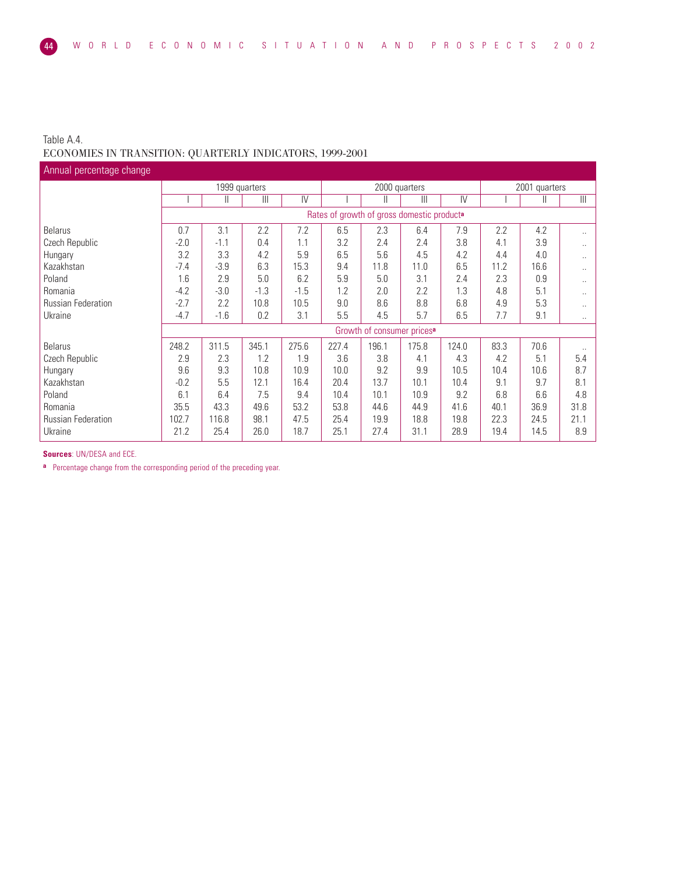# Table A.4. ECONOMIES IN TRANSITION: QUARTERLY INDICATORS, 1999-2001

| Annual percentage change  |        |        |                |               |                                            |                                        |       |                |      |               |                         |
|---------------------------|--------|--------|----------------|---------------|--------------------------------------------|----------------------------------------|-------|----------------|------|---------------|-------------------------|
|                           |        |        | 1999 quarters  |               |                                            | 2000 quarters                          |       |                |      | 2001 quarters |                         |
|                           |        | Ш      | $\mathbf{III}$ | $\mathsf{IV}$ |                                            | Ш                                      | Ш     | $\overline{N}$ |      | Ш             | $\overline{\mathbb{H}}$ |
|                           |        |        |                |               | Rates of growth of gross domestic producta |                                        |       |                |      |               |                         |
| <b>Belarus</b>            | 0.7    | 3.1    | 2.2            | 7.2           | 6.5                                        | 2.3                                    | 6.4   | 7.9            | 2.2  | 4.2           | $\ddotsc$               |
| Czech Republic            | $-2.0$ | $-1.1$ | 0.4            | 1.1           | 3.2                                        | 2.4                                    | 2.4   | 3.8            | 4.1  | 3.9           | $\ddotsc$               |
| Hungary                   | 3.2    | 3.3    | 4.2            | 5.9           | 6.5                                        | 5.6                                    | 4.5   | 4.2            | 4.4  | 4.0           | $\ddotsc$               |
| Kazakhstan                | $-7.4$ | $-3.9$ | 6.3            | 15.3          | 9.4                                        | 11.8                                   | 11.0  | 6.5            | 11.2 | 16.6          | $\ddotsc$               |
| Poland                    | 1.6    | 2.9    | 5.0            | 6.2           | 5.9                                        | 5.0                                    | 3.1   | 2.4            | 2.3  | 0.9           | $\ddotsc$               |
| Romania                   | $-4.2$ | $-3.0$ | $-1.3$         | $-1.5$        | 1.2                                        | 2.0                                    | 2.2   | 1.3            | 4.8  | 5.1           | $\ddotsc$               |
| <b>Russian Federation</b> | $-2.7$ | 2.2    | 10.8           | 10.5          | 9.0                                        | 8.6                                    | 8.8   | 6.8            | 4.9  | 5.3           | $\ddotsc$               |
| Ukraine                   | $-4.7$ | $-1.6$ | 0.2            | 3.1           | 5.5                                        | 4.5                                    | 5.7   | 6.5            | 7.7  | 9.1           | $\ddotsc$               |
|                           |        |        |                |               |                                            | Growth of consumer prices <sup>a</sup> |       |                |      |               |                         |
| <b>Belarus</b>            | 248.2  | 311.5  | 345.1          | 275.6         | 227.4                                      | 196.1                                  | 175.8 | 124.0          | 83.3 | 70.6          |                         |
| Czech Republic            | 2.9    | 2.3    | 1.2            | 1.9           | 3.6                                        | 3.8                                    | 4.1   | 4.3            | 4.2  | 5.1           | 5.4                     |
| Hungary                   | 9.6    | 9.3    | 10.8           | 10.9          | 10.0                                       | 9.2                                    | 9.9   | 10.5           | 10.4 | 10.6          | 8.7                     |
| Kazakhstan                | $-0.2$ | 5.5    | 12.1           | 16.4          | 20.4                                       | 13.7                                   | 10.1  | 10.4           | 9.1  | 9.7           | 8.1                     |
| Poland                    | 6.1    | 6.4    | 7.5            | 9.4           | 10.4                                       | 10.1                                   | 10.9  | 9.2            | 6.8  | 6.6           | 4.8                     |
| Romania                   | 35.5   | 43.3   | 49.6           | 53.2          | 53.8                                       | 44.6                                   | 44.9  | 41.6           | 40.1 | 36.9          | 31.8                    |
| <b>Russian Federation</b> | 102.7  | 116.8  | 98.1           | 47.5          | 25.4                                       | 19.9                                   | 18.8  | 19.8           | 22.3 | 24.5          | 21.1                    |
| Ukraine                   | 21.2   | 25.4   | 26.0           | 18.7          | 25.1                                       | 27.4                                   | 31.1  | 28.9           | 19.4 | 14.5          | 8.9                     |

**Sources**: UN/DESA and ECE.

**a** Percentage change from the corresponding period of the preceding year.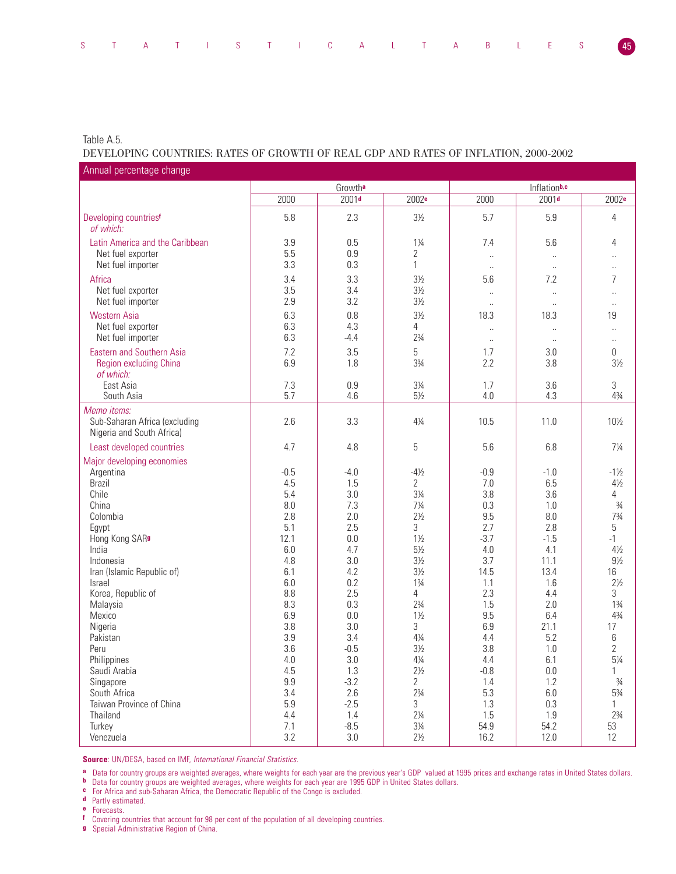# Table A.5.

# DEVELOPING COUNTRIES: RATES OF GROWTH OF REAL GDP AND RATES OF INFLATION, 2000-2002

| Annual percentage change                                                  |            |                   |                                  |                        |                   |                                  |
|---------------------------------------------------------------------------|------------|-------------------|----------------------------------|------------------------|-------------------|----------------------------------|
|                                                                           |            | Growtha           |                                  |                        | Inflationb,c      |                                  |
|                                                                           | 2000       | 2001 <sub>d</sub> | 2002 <sup>e</sup>                | 2000                   | 2001 <sup>d</sup> | 2002 <sup>e</sup>                |
| Developing countries <sup>f</sup><br>of which:                            | 5.8        | 2.3               | $3\frac{1}{2}$                   | 5.7                    | 5.9               | 4                                |
| Latin America and the Caribbean<br>Net fuel exporter                      | 3.9<br>5.5 | 0.5<br>0.9        | $1\frac{1}{4}$<br>2              | 7.4<br>$\ddotsc$       | 5.6               | 4                                |
| Net fuel importer                                                         | 3.3        | 0.3               | $\mathbf{1}$                     | $\ldots$               | $\ldots$          | Ω.                               |
| Africa                                                                    | 3.4        | 3.3               | $3\frac{1}{2}$                   | 5.6                    | 7.2               | 7                                |
| Net fuel exporter<br>Net fuel importer                                    | 3.5<br>2.9 | 3.4<br>3.2        | $3\frac{1}{2}$<br>$3\frac{1}{2}$ | $\ddotsc$<br>$\ddotsc$ | $\ldots$          | $\ddot{\phantom{0}}$<br>$\ldots$ |
| <b>Western Asia</b>                                                       | 6.3        | 0.8               | $3\frac{1}{2}$                   | 18.3                   | 18.3              | 19                               |
| Net fuel exporter                                                         | 6.3        | 4.3               | 4                                | $\ddotsc$              |                   |                                  |
| Net fuel importer                                                         | 6.3        | $-4.4$            | $2\frac{3}{4}$                   | $\ldots$               | $\ddotsc$         | $\ddotsc$                        |
| <b>Eastern and Southern Asia</b>                                          | 7.2        | 3.5               | 5                                | 1.7                    | 3.0               | $\boldsymbol{0}$                 |
| Region excluding China<br>of which:                                       | 6.9        | 1.8               | 33/4                             | 2.2                    | 3.8               | $3\frac{1}{2}$                   |
| East Asia                                                                 | 7.3        | 0.9               | $3\frac{1}{4}$                   | 1.7                    | 3.6               | 3                                |
| South Asia                                                                | 5.7        | 4.6               | $5\frac{1}{2}$                   | 4.0                    | 4.3               | $4\frac{3}{4}$                   |
| Memo items:<br>Sub-Saharan Africa (excluding<br>Nigeria and South Africa) | 2.6        | 3.3               | $4\frac{1}{4}$                   | 10.5                   | 11.0              | 10½                              |
| Least developed countries                                                 | 4.7        | 4.8               | 5                                | 5.6                    | 6.8               | $7\frac{1}{4}$                   |
| Major developing economies                                                |            |                   |                                  |                        |                   |                                  |
| Argentina                                                                 | $-0.5$     | $-4.0$            | $-4\frac{1}{2}$                  | $-0.9$                 | $-1.0$            | $-1\frac{1}{2}$                  |
| <b>Brazil</b>                                                             | 4.5        | 1.5               | $\overline{2}$                   | 7.0                    | 6.5               | $4\frac{1}{2}$                   |
| Chile                                                                     | 5.4        | 3.0               | $3\frac{1}{4}$                   | 3.8                    | 3.6               | 4                                |
| China                                                                     | 8.0        | 7.3               | $7\frac{1}{4}$                   | 0.3                    | 1.0               | $\frac{3}{4}$                    |
| Colombia                                                                  | 2.8        | 2.0               | $2\frac{1}{2}$                   | 9.5                    | 8.0               | $7\frac{3}{4}$                   |
| Egypt                                                                     | 5.1        | 2.5               | 3                                | 2.7                    | 2.8               | 5                                |
| Hong Kong SARs                                                            | 12.1       | 0.0               | $1\frac{1}{2}$                   | $-3.7$                 | $-1.5$            | $-1$                             |
| India                                                                     | 6.0        | 4.7               | $5\frac{1}{2}$                   | 4.0                    | 4.1               | $4\frac{1}{2}$                   |
| Indonesia                                                                 | 4.8        | 3.0               | $3\frac{1}{2}$                   | 3.7                    | 11.1              | $9\frac{1}{2}$                   |
| Iran (Islamic Republic of)                                                | 6.1        | 4.2               | $3\frac{1}{2}$                   | 14.5                   | 13.4              | 16                               |
| <b>Israel</b>                                                             | 6.0        | 0.2               | $1\frac{3}{4}$                   | 1.1                    | 1.6               | $2\frac{1}{2}$                   |
| Korea, Republic of                                                        | 8.8        | 2.5               | 4                                | 2.3                    | 4.4               | 3                                |
| Malaysia                                                                  | 8.3        | 0.3               | $2\frac{3}{4}$                   | 1.5                    | 2.0               | $1\frac{3}{4}$                   |
| Mexico                                                                    | 6.9        | 0.0               | $1\frac{1}{2}$                   | 9.5                    | 6.4               | $4\frac{3}{4}$                   |
| Nigeria                                                                   | 3.8        | 3.0               | 3                                | 6.9                    | 21.1              | 17                               |
| Pakistan                                                                  | 3.9        | 3.4               | $4\frac{1}{4}$                   | 4.4                    | 5.2               | 6                                |
| Peru                                                                      | 3.6        | $-0.5$            | $3\frac{1}{2}$                   | 3.8                    | 1.0               | $\overline{2}$                   |
| Philippines                                                               | $4.0\,$    | $3.0\,$           | $4\frac{1}{4}$                   | 4.4                    | 6.1               | $5\frac{1}{4}$                   |
| Saudi Arabia                                                              | 4.5        | 1.3               | $2\frac{1}{2}$                   | $-0.8$                 | $0.0\,$           | 1                                |
| Singapore                                                                 | $9.9\,$    | $-3.2$            | $\overline{2}$                   | 1.4                    | 1.2               | $\frac{3}{4}$                    |
| South Africa<br>Taiwan Province of China                                  | 3.4<br>5.9 | 2.6               | $2\frac{3}{4}$<br>$\mathfrak{Z}$ | 5.3                    | 6.0               | 53/4                             |
| Thailand                                                                  | 4.4        | $-2.5$<br>1.4     | $2\frac{1}{4}$                   | 1.3<br>1.5             | 0.3<br>1.9        | 1<br>$2\frac{3}{4}$              |
| Turkey                                                                    | 7.1        | $-8.5$            | $3\frac{1}{4}$                   | 54.9                   | 54.2              | 53                               |
| Venezuela                                                                 | 3.2        | $3.0\,$           | $2\frac{1}{2}$                   | 16.2                   | 12.0              | 12                               |
|                                                                           |            |                   |                                  |                        |                   |                                  |

**Source**: UN/DESA, based on IMF, International Financial Statistics.

**a** Data for country groups are weighted averages, where weights for each year are the previous year's GDP valued at 1995 prices and exchange rates in United States dollars.

**b** Data for country groups are weighted averages, where weights for each year are 1995 GDP in United States dollars.

**c** For Africa and sub-Saharan Africa, the Democratic Republic of the Congo is excluded.

**d** Partly estimated.

**e** Forecasts.

**f** Covering countries that account for 98 per cent of the population of all developing countries.

**g** Special Administrative Region of China.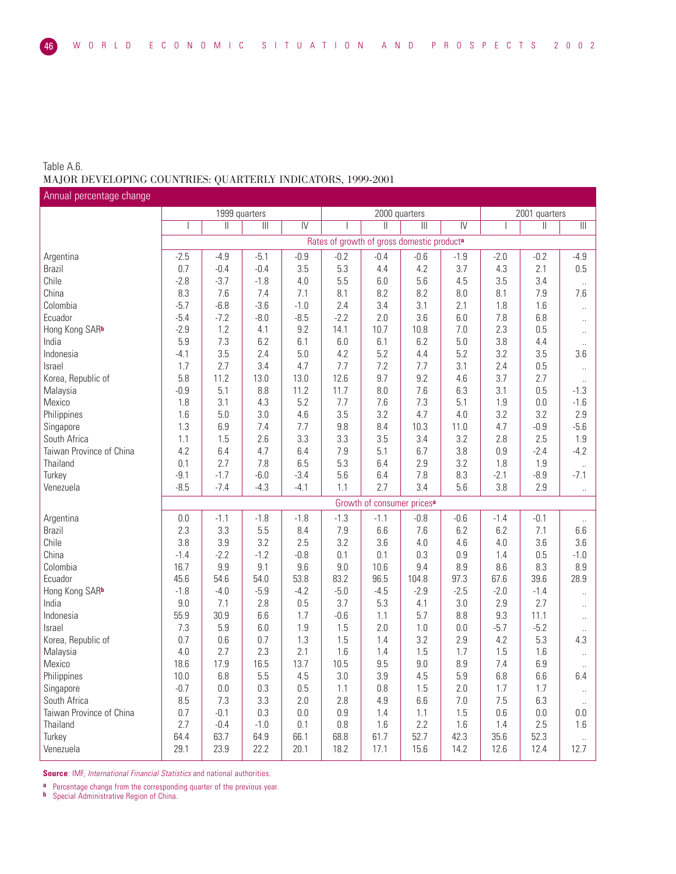# Table A.6. MAJOR DEVELOPING COUNTRIES: QUARTERLY INDICATORS, 1999-2001

1999 quarters 2000 quarters 2000 quarters 2001 quarters 2001 quarters 2001 quarters I II III IV I II III IV I II III Rates of growth of gross domestic product**<sup>a</sup>** Argentina -2.5 -4.9 -5.1 -0.9 -0.2 -0.4 -0.6 -1.9 -2.0 -0.2 -4.9 Brazil 0.7 -0.4 -0.4 3.5 5.3 4.4 4.2 3.7 4.3 2.1 0.5 Chile -2.8 -3.7 -1.8 4.0 5.5 6.0 5.6 4.5 3.5 3.4 ... China 8.3 7.6 7.4 7.1 8.1 8.2 8.2 8.0 8.1 7.9 7.6 Colombia | -5.7 | -6.8 | -3.6 | -1.0 | 2.4 | 3.4 | 3.1 | 2.1 | 1.8 | 1.6 | .. Ecuador -5.4 -7.2 -8.0 -8.5 -2.2 2.0 3.6 6.0 7.8 6.8 .. Hong Kong SAR**<sup>b</sup>** -2.9 1.2 4.1 9.2 14.1 10.7 10.8 7.0 2.3 0.5 .. India 5.9 7.3 6.2 6.1 6.0 6.1 6.2 5.0 3.8 4.4 .. Indonesia -4.1 3.5 2.4 5.0 4.2 5.2 4.4 5.2 3.2 3.5 3.6 Israel 1.7 2.7 3.4 4.7 7.7 7.2 7.7 3.1 2.4 0.5 .. Korea, Republic of 15.8 | 11.2 | 13.0 | 13.0 | 12.6 | 9.7 | 9.2 | 4.6 | 3.7 | 2.7 | .. Malaysia -0.9 5.1 8.8 11.2 11.7 8.0 7.6 6.3 3.1 0.5 -1.3 Mexico 1.8 3.1 4.3 5.2 7.7 7.6 7.3 5.1 1.9 0.0 -1.6 Philippines 1.6 5.0 3.0 4.6 3.5 3.2 4.7 4.0 3.2 3.2 2.9 Singapore 1.3 6.9 7.4 7.7 9.8 8.4 10.3 11.0 4.7 -0.9 -5.6 South Africa 1.1 1.5 2.6 3.3 3.3 3.5 3.4 3.2 2.8 2.5 1.9 Taiwan Province of China | 4.2 | 6.4 | 4.7 | 6.4 | 7.9 | 5.1 | 6.7 | 3.8 | 0.9 | -2.4 | -4.2 .. | 1.8 | 1.9 | 1.9 | 1.9 | 1.8 | 1.9 | 1.9 | 1.9 | 1.9 | 1.9 | 1.9 | 1.9 | 1.9 | 1.9 | 1.9 | 1.9 | Turkey -9.1 -1.7 -6.0 -3.4 5.6 6.4 7.8 8.3 -2.1 -8.9 -7.1 Venezuela | -8.5 | -7.4 | -4.3 | -4.1 | 1.1 | 2.7 | 3.4 | 5.6 | 3.8 | 2.9 | .. Growth of consumer prices**<sup>a</sup>** Argentina 0.0 -1.1 -1.8 -1.8 -1.3 -1.1 -0.8 -0.6 -1.4 -0.1 .. Brazil 2.3 3.3 5.5 8.4 7.9 6.6 7.6 6.2 6.2 7.1 6.6 Chile 3.8 3.9 3.2 2.5 3.2 3.6 4.0 4.6 4.0 3.6 3.6 China -1.4 -2.2 -1.2 -0.8 0.1 0.1 0.3 0.9 1.4 0.5 -1.0 Colombia 16.7 9.9 9.1 9.6 9.0 10.6 9.4 8.9 8.6 8.3 8.9 Ecuador 45.6 54.6 54.0 53.8 83.2 96.5 104.8 97.3 67.6 39.6 28.9 Hong Kong SAR<sup>b</sup> | -1.8 | -4.0 | -5.9 | -4.2 | -5.0 | -4.5 | -2.9 | -2.5 | -2.0 | -1.4 | .. India 9.0 7.1 2.8 0.5 3.7 5.3 4.1 3.0 2.9 2.7 .. Indonesia 55.9 30.9 6.6 1.7 -0.6 1.1 5.7 8.8 9.3 11.1 .. Israel 7.3 5.9 6.0 1.9 1.5 2.0 1.0 0.0 -5.7 -5.2 .. Korea, Republic of 0.7 0.7 0.6 0.7 1.3 1.5 1.4 3.2 2.9 4.2 5.3 4.3<br>Malaysia 1.5 4.0 2.7 2.3 2.1 1.6 1.4 1.5 1.7 1.5 1.6 . Malaysia 4.0 2.7 2.3 2.1 1.6 1.4 1.5 1.7 1.5 1.6 .. Mexico 18.6 17.9 16.5 13.7 10.5 9.5 9.0 8.9 7.4 6.9 .. Philippines 10.0 | 10.0 | 6.8 | 5.5 | 4.5 | 3.0 | 3.9 | 4.5 | 5.9 | 6.8 | 6.6 | 6.4 Singapore -0.7 0.0 0.3 0.5 1.1 0.8 1.5 2.0 1.7 1.7 .. South Africa 8.5 7.3 3.3 2.0 2.8 4.9 6.6 7.0 7.5 6.3 .. Taiwan Province of China 0.7 -0.1 0.3 0.0 0.9 1.4 1.1 1.5 0.6 0.0 0.0 Thailand 2.7 -0.4 -1.0 0.1 0.8 1.6 2.2 1.6 1.4 2.5 1.6 Turkey 64.4 63.7 64.9 66.1 68.8 61.7 52.7 42.3 35.6 52.3 .. Venezuela 29.1 23.9 22.2 20.1 18.2 17.1 15.6 14.2 12.6 12.4 12.7 Annual percentage change

**Source:** IMF, International Financial Statistics and national authorities.

**a** Percentage change from the corresponding quarter of the previous year.<br>**b** Special Administrative Begion of China

**Special Administrative Region of China.**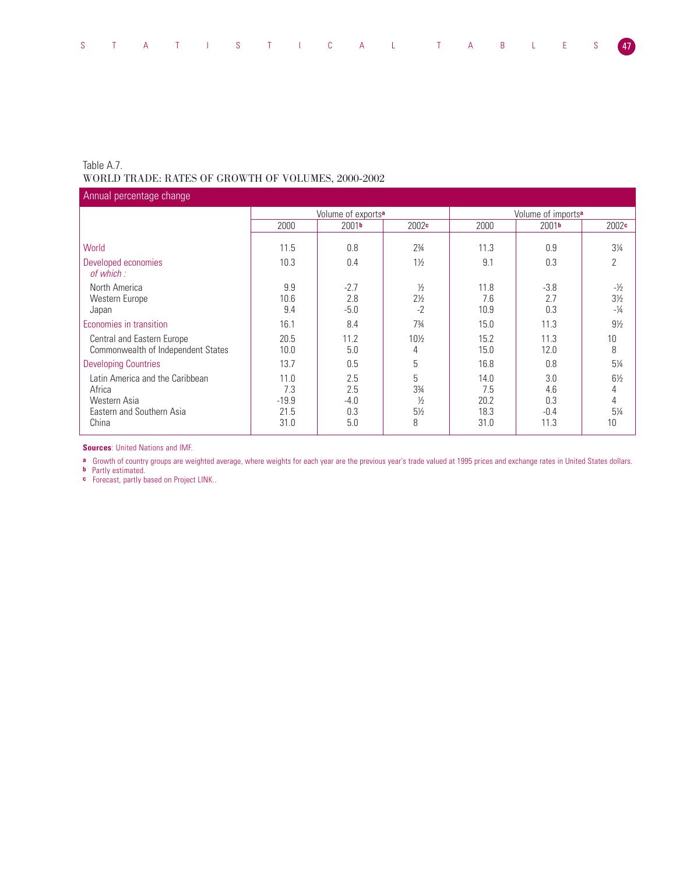# Table A.7. WORLD TRADE: RATES OF GROWTH OF VOLUMES, 2000-2002

Volume of exports<sup>a</sup><br>
2001<sup>b</sup> 2002<sup>c</sup><br>
2000 2001<sup>b</sup> 2000 2001**<sup>b</sup>** 2002**<sup>c</sup>** 2000 2001**<sup>b</sup>** 2002**<sup>c</sup>** World 11.5 0.8 2¾ 11.3 0.9 3¼ Developed economies 10.3 10.3 0.4 1<sup>1</sup>/<sub>2</sub> 1<sup>9</sup> 9.1 0.3 2 of which : North America 9.9 -2.7 ½ 11.8 -3.8 -½ Western Europe 10.6 2.8 21/2 7.6 2.7 31/2<br>
Japan 10.9 31/2 31/2 10.9 0.3 -1/4 Japan 10.9 -2 10.9 0.3 -14 -44 -44 -5.0 -5.0 -2 -2 -2 10.9 0.3 -14 Economies in transition 16.1 16.1 16.1 16.4 1734 16.0 16.1 11.3 13 91/2 Central and Eastern Europe 20.5 11.2 10<sup>1</sup>/<sub>2</sub> 15.2 11.3 10<br>
Commonwealth of Independent States 10.0 5.0 4 15.0 12.0 8 Commonwealth of Independent States Annual percentage change

**Sources**: United Nations and IMF.

**a** Growth of country groups are weighted average, where weights for each year are the previous year's trade valued at 1995 prices and exchange rates in United States dollars.

Developing Countries 13.7 | 0.5 | 5 | 16.8 | 0.8 | 5¼ Latin America and the Caribbean 11.0 2.5 5 14.0 3.0 6<sup>1</sup>/<sub>2</sub> 11.0 11.0 11.0 11.0 11.0 11.0 12.5 14.0 15<sup>1</sup>/<sub>2</sub> 15 14.6 14 Africa 7.3 2.5 3¾ 7.5 4.6 4 Western Asia -19.9 -4.0 ½ 20.2 0.3 4 Eastern and Southern Asia<br>
China<br>
China<br>
21.5 0.3 5<sup>1/2</sup> 18.3 -0.4 5<sup>1/2</sup><br>
21.0 5.0 8 31.0 11.3 10 China 31.0 5.0 8 31.0 11.3 10

**b** Partly estimated.

**c** Forecast, partly based on Project LINK..